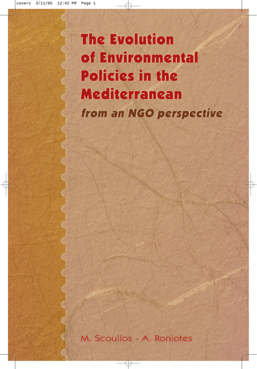**The Evolution** of Environmental **Policies in the Mediterranean** from an NGO perspective

M. Scoullos - A. Roniotes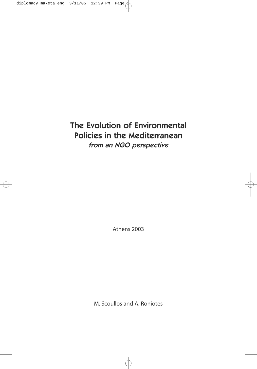# The Evolution of Environmental Policies in the Mediterranean from an NGO perspective

Athens 2003

M. Scoullos and A. Roniotes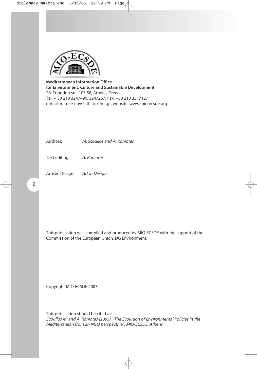

Mediterranean Information Office for Environment, Culture and Sustainable Development 28, Tripodon str., 105 58, Athens, Greece Tel. + 30 210 3247490, 3247267, Fax: +30 210 3317127 e-mail: mio-ee-env@ath.forrtnet.gr, website: www.mio-ecsde.org

Authors: M. Scoullos and A. Roniotes

Text editing: A. Roniotes

Artistic Design: Art in Design

This publication was compiled and produced by MIO-ECSDE with the support of the Commission of the European Union, DG Environment.

Copyright MIO-ECSDE 2003

This publication should be cited as: Scoullos M. and A. Roniotes (2003), "The Evolution of Environmental Policies in the Mediterranean from an NGO perspective", MIO-ECSDE, Athens.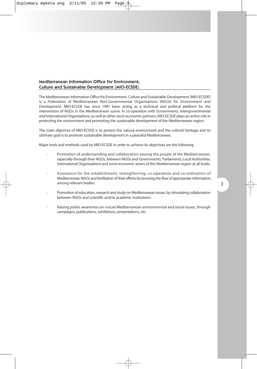#### Mediterranean Information Office for Environment, Culture and Sustainable Development (MIO-ECSDE)

The Mediterranean Information Office for Environment, Culture and Sustainable Development (MIO-ECSDE) is a Federation of Mediterranean Non-Governmental Organizations (NGOs) for Environment and Development. MIO-ECSDE has since 1991 been acting as a technical and political platform for the intervention of NGOs in the Mediterranean scene. In co-operation with Governments, Intergovernmental and International Organisations, as well as other socio-economic partners, MIO-ECSDE plays an active role in protecting the environment and promoting the sustainable development of the Mediterranean region.

The main objective of MIO-ECSDE is to protect the natural environment and the cultural heritage and its ultimate goal is to promote sustainable development in a peaceful Mediterranean.

Major tools and methods used by MIO-ECSDE in order to achieve its objectives are the following:

- Promotion of understanding and collaboration among the people of the Mediterranean, especially through their NGOs, between NGOs and Governments, Parliaments, Local Authorities, International Organizations and socio-economic actors of the Mediterranean region at all levels.
- Assistance for the establishment, strengthening, co-operation and co-ordination of Mediterranean NGOs and facilitation of their efforts by ensuring the flow of appropriate information among relevant bodies.
- Promotion of education, research and study on Mediterranean issues, by stimulating collaboration between NGOs and scientific and/or academic institutions.
- Raising public awareness on crucial Mediterranean environmental and social issues, through campaigns, publications, exhibitions, presentations, etc.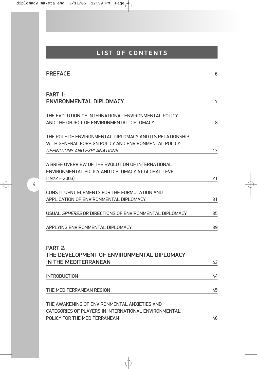# **LIST OF CONTENTS**

| <b>PREFACE</b>                                                                         | 6  |
|----------------------------------------------------------------------------------------|----|
|                                                                                        |    |
| PART 1:                                                                                |    |
| <b>ENVIRONMENTAL DIPLOMACY</b>                                                         | 7  |
|                                                                                        |    |
| THE EVOLUTION OF INTERNATIONAL ENVIRONMENTAL POLICY                                    |    |
| AND THE OBJECT OF ENVIRONMENTAL DIPLOMACY                                              | 8  |
| THE ROLE OF ENVIRONMENTAL DIPLOMACY AND ITS RELATIONSHIP                               |    |
| WITH GENERAL FOREIGN POLICY AND ENVIRONMENTAL POLICY:                                  |    |
| DEFINITIONS AND EXPLANATIONS                                                           | 13 |
|                                                                                        |    |
| A BRIEF OVERVIEW OF THE EVOLUTION OF INTERNATIONAL                                     |    |
| ENVIRONMENTAL POLICY AND DIPLOMACY AT GLOBAL LEVEL                                     |    |
| (1972 – 2003)                                                                          | 21 |
|                                                                                        |    |
| CONSTITUENT ELEMENTS FOR THE FORMULATION AND<br>APPLICATION OF ENVIRONMENTAL DIPLOMACY | 31 |
|                                                                                        |    |
| USUAL SPHERES OR DIRECTIONS OF ENVIRONMENTAL DIPLOMACY                                 | 35 |
|                                                                                        |    |
| APPLYING ENVIRONMENTAL DIPLOMACY                                                       | 39 |
|                                                                                        |    |
| PART 2:                                                                                |    |
| THE DEVELOPMENT OF ENVIRONMENTAL DIPLOMACY                                             |    |
| IN THE MEDITERRANEAN                                                                   | 43 |
|                                                                                        |    |
| <b>INTRODUCTION</b>                                                                    | 44 |
|                                                                                        |    |
| THE MEDITERRANEAN REGION                                                               | 45 |
| THE AWAKENING OF ENVIRONMENTAL ANXIETIES AND                                           |    |
| CATEGORIES OF PLAYERS IN INTERNATIONAL ENVIRONMENTAL                                   |    |
| POLICY FOR THE MEDITERRANEAN                                                           | 46 |
|                                                                                        |    |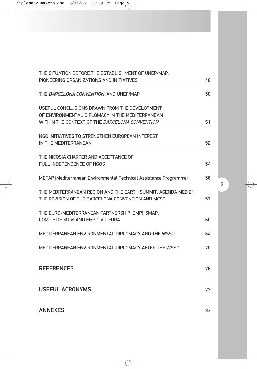| THE SITUATION BEFORE THE ESTABLISHMENT OF UNEP/MAP.                                                                |    |
|--------------------------------------------------------------------------------------------------------------------|----|
| PIONEERING ORGANIZATIONS AND INITIATIVES                                                                           | 48 |
| THE BARCELONA CONVENTION AND UNEP/MAP                                                                              | 50 |
| USEFUL CONCLUSIONS DRAWN FROM THE DEVELOPMENT                                                                      |    |
| OF ENVIRONMENTAL DIPLOMACY IN THE MEDITERRANEAN                                                                    |    |
| WITHIN THE CONTEXT OF THE <i>BARCELONA CONVENTION</i>                                                              | 51 |
| NGO INITIATIVES TO STRENGTHEN EUROPEAN INTEREST                                                                    |    |
| IN THE MEDITERRANEAN                                                                                               | 52 |
| THE NICOSIA CHARTER AND ACCEPTANCE OF                                                                              |    |
| FULL INDEPENDENCE OF NGOS                                                                                          | 54 |
| METAP (Mediterranean Environmental Technical Assistance Programme)                                                 | 56 |
| THE MEDITERRANEAN REGION AND THE EARTH SUMMIT, AGENDA MED 21,<br>THE REVISION OF THE BARCELONA CONVENTION AND MCSD | 57 |
|                                                                                                                    |    |
| THE EURO-MEDITERRANEAN PARTNERSHIP (EMP), SMAP,                                                                    |    |
| COMITE DE SUIVI AND EMP CIVIL FORA                                                                                 | 60 |
| MEDITERRANEAN ENVIRONMENTAL DIPLOMACY AND THE WSSD                                                                 | 64 |
| MEDITERRANEAN ENVIRONMENTAL DIPLOMACY AFTER THE WSSD                                                               | 70 |
| <b>REFERENCES</b>                                                                                                  | 76 |
|                                                                                                                    |    |
| <b>USEFUL ACRONYMS</b>                                                                                             | 77 |
| <b>ANNEXES</b>                                                                                                     | 83 |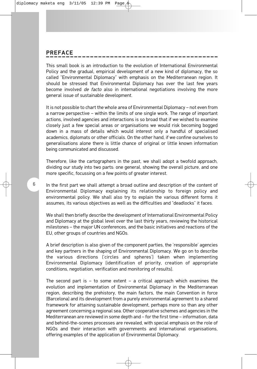### **PREFACE**

6

This small book is an introduction to the evolution of International Environmental Policy and the gradual, empirical development of a new kind of diplomacy, the so called "Environmental Diplomacy" with emphasis on the Mediterranean region. It should be stressed that Environmental Diplomacy has over the last few years become involved *de facto* also in international negotiations involving the more general issue of sustainable development.

It is not possible to chart the whole area of Environmental Diplomacy – not even from a narrow perspective – within the limits of one single work. The range of important actions, involved agencies and interactions is so broad that if we wished to examine closely just a few special areas or organisations we would risk becoming bogged down in a mass of details which would interest only a handful of specialised academics, diplomats or other officials. On the other hand, if we confine ourselves to generalisations alone there is little chance of original or little known information being communicated and discussed.

Therefore, like the cartographers in the past, we shall adopt a twofold approach, dividing our study into two parts: one general, showing the overall picture, and one more specific, focussing on a few points of greater interest.

In the first part we shall attempt a broad outline and description of the content of Environmental Diplomacy explaining its relationship to foreign policy and environmental policy. We shall also try to explain the various different forms it assumes, its various objectives as well as the difficulties and "deadlocks" it faces.

We shall then briefly describe the development of International Environmental Policy and Diplomacy at the global level over the last thirty years, reviewing the historical milestones – the major UN conferences, and the basic initiatives and reactions of the EU, other groups of countries and NGOs.

A brief description is also given of the component parties, the 'responsible' agencies and key partners in the shaping of Environmental Diplomacy. We go on to describe the various directions ('circles and spheres') taken when implementing Environmental Diplomacy (identification of priority, creation of appropriate conditions, negotiation, verification and monitoring of results).

The second part is – to some extent – a critical approach which examines the evolution and implementation of Environmental Diplomacy in the Mediterranean region, describing the prehistory, the main factors, the main Convention in force (Barcelona) and its development from a purely environmental agreement to a shared framework for attaining sustainable development, perhaps more so than any other agreement concerning a regional sea. Other cooperative schemes and agencies in the Mediterranean are reviewed in some depth and – for the first time – information, data and behind-the-scenes processes are revealed, with special emphasis on the role of NGOs and their interaction with governments and international organisations, offering examples of the application of Environmental Diplomacy.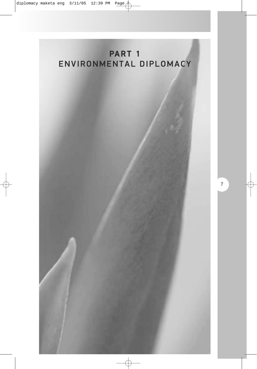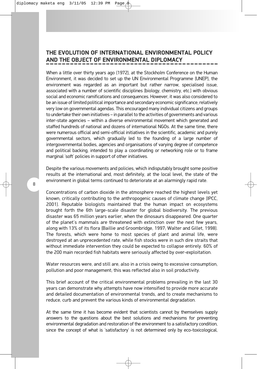## **THE EVOLUTION OF INTERNATIONAL ENVIRONMENTAL POLICY AND THE OBJECT OF ENVIRONMENTAL DIPLOMACY**

When a little over thirty years ago (1972), at the Stockholm Conference on the Human Environment, it was decided to set up the UN Environmental Programme (UNEP), the environment was regarded as an important but rather narrow, specialised issue, associated with a number of scientific disciplines (biology, chemistry, etc.) with obvious social and economic ramifications and consequences. However, it was also considered to be an issue of limited political importance and secondary economic significance, relatively very low on governmental agendas. This encouraged many individual citizens and groups to undertake their own initiatives – in parallel to the activities of governments and various inter-state agencies – within a diverse environmental movement which generated and staffed hundreds of national and dozens of international NGOs. At the same time, there were numerous official and semi-official initiatives in the scientific, academic and purely governmental sectors, which gradually led to the founding of a large number of intergovernmental bodies, agencies and organisations of varying degree of competence and political backing, intended to play a coordinating or networking role or to frame marginal 'soft' policies in support of other initiatives.

Despite the various movements and policies, which indisputably brought some positive results at the international and, most definitely, at the local level, the state of the environment in global terms continued to deteriorate at an alarmingly rapid rate.

Concentrations of carbon dioxide in the atmosphere reached the highest levels yet known, critically contributing to the anthropogenic causes of climate change (IPCC, 2001). Reputable biologists maintained that the human impact on ecosystems brought forth the 6th large-scale disaster for global biodiversity. The previous disaster was 65 million years earlier, when the dinosaurs disappeared. One quarter of the planet's mammals are threatened with extinction over the next few years, along with 13% of its flora (Baillie and Groombridge, 1997; Walter and Gillet, 1998). The forests, which were home to most species of plant and animal life, were destroyed at an unprecedented rate, while fish stocks were in such dire straits that without immediate intervention they could be expected to collapse entirely. 60% of the 200 main recorded fish habitats were seriously affected by over-exploitation.

Water resources were, and still are, also in a crisis owing to excessive consumption, pollution and poor management; this was reflected also in soil productivity.

This brief account of the critical environmental problems prevailing in the last 30 years can demonstrate why attempts have now intensified to provide more accurate and detailed documentation of environmental trends, and to create mechanisms to reduce, curb and prevent the various kinds of environmental degradation.

At the same time it has become evident that scientists cannot by themselves supply answers to the questions about the best solutions and mechanisms for preventing environmental degradation and restoration of the environment to a satisfactory condition, since the concept of what is 'satisfactory' is not determined only by eco-toxicological,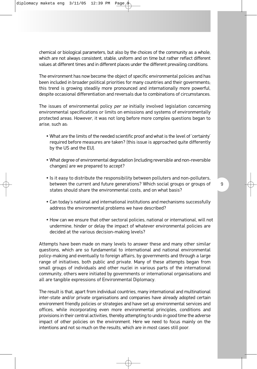chemical or biological parameters, but also by the choices of the community as a whole, which are not always consistent, stable, uniform and on time but rather reflect different values at different times and in different places under the different prevailing conditions.

The environment has now become the object of specific environmental policies and has been included in broader political priorities for many countries and their governments; this trend is growing steadily more pronounced and internationally more powerful, despite occasional differentiation and reversals due to combinations of circumstances.

The issues of environmental policy per se initially involved legislation concerning environmental specifications or limits on emissions and systems of environmentally protected areas. However, it was not long before more complex questions began to arise, such as:

- What are the limits of the needed scientific proof and what is the level of 'certainty' required before measures are taken? (this issue is approached quite differently by the US and the EU).
- What degree of environmental degradation (including reversible and non-reversible changes) are we prepared to accept?
- Is it easy to distribute the responsibility between polluters and non-polluters, between the current and future generations? Which social groups or groups of states should share the environmental costs, and on what basis?
- Can today's national and international institutions and mechanisms successfully address the environmental problems we have described?
- How can we ensure that other sectoral policies, national or international, will not undermine, hinder or delay the impact of whatever environmental policies are decided at the various decision-making levels?

Attempts have been made on many levels to answer these and many other similar questions, which are so fundamental to international and national environmental policy-making and eventually to foreign affairs, by governments and through a large range of initiatives, both public and private. Many of these attempts began from small groups of individuals and other nuclei in various parts of the international community, others were initiated by governments or international organisations and all are tangible expressions of Environmental Diplomacy.

The result is that, apart from individual countries, many international and multinational inter-state and/or private organisations and companies have already adopted certain environment friendly policies or strategies and have set up environmental services and offices, while incorporating even more environmental principles, conditions and provisions in their central activities, thereby attempting to undo in good time the adverse impact of other policies on the environment. Here we need to focus mainly on the intentions and not so much on the results, which are in most cases still poor.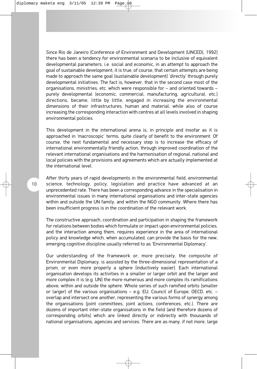Since Rio de Janeiro (Conference of Environment and Development (UNCED), 1992) there has been a tendency for environmental scenaria to be inclusive of equivalent developmental parameters, i.e. social and economic, in an attempt to approach the goal of sustainable development; it is true, of course, that certain attempts are being made to approach the same goal (sustainable development) 'directly' through purely developmental initiatives. The fact is, however, that in the second case most of the organisations, ministries, etc. which were responsible for – and oriented towards – purely developmental (economic, commercial, manufacturing, agricultural, etc.) directions, became, little by little, engaged in increasing the environmental dimensions of their infrastructures, human and material, while also of course increasing the corresponding interaction with centres at all levels involved in shaping environmental policies.

This development in the international arena is, in principle and insofar as it is approached in 'macroscopic' terms, quite clearly of benefit to the environment. Of course, the next fundamental and necessary step is to increase the efficacy of international environmentally friendly action, through improved coordination of the relevant international organisations and the harmonisation of regional, national and local policies with the provisions and agreements which are actually implemented at the international level.

After thirty years of rapid developments in the environmental field, environmental science, technology, policy, legislation and practice have advanced at an unprecedented rate. There has been a corresponding advance in the specialisation in environmental issues in many international organisations and inter-state agencies within and outside the UN family, and within the NGO community. Where there has been insufficient progress is in the coordination of the relevant work.

The constructive approach, coordination and participation in shaping the framework for relations between bodies which formulate or impact upon environmental policies, and the interaction among them, requires experience in the area of international policy and knowledge which, when accumulated, can provide the basis for the new, emerging cognitive discipline usually referred to as 'Environmental Diplomacy'.

Our understanding of the framework or, more precisely, the composite of Environmental Diplomacy, is assisted by the three-dimensional representation of a prism, or even more properly a sphere (inductively easier). Each international organisation develops its activities in a smaller or larger orbit and the larger and more complex it is (e.g. UN) the more numerous and more complex its ramifications above, within and outside the sphere. Whole series of such ramified orbits (smaller or larger) of the various organisations – e.g. EU, Council of Europe, OECD, etc. – overlap and intersect one another, representing the various forms of synergy among the organisations (joint committees, joint actions, conferences, etc.). There are dozens of important inter-state organisations in the field (and therefore dozens of corresponding orbits) which are linked directly or indirectly with thousands of national organisations, agencies and services. There are as many, if not more, large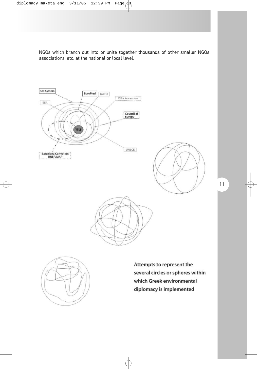NGOs which branch out into or unite together thousands of other smaller NGOs, associations, etc. at the national or local level.







Attempts to represent the several circles or spheres within which Greek environmental diplomacy is implemented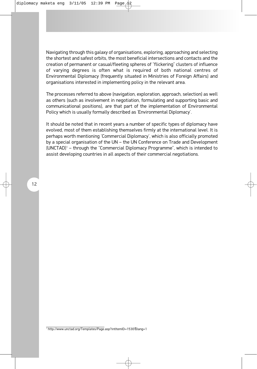Navigating through this galaxy of organisations, exploring, approaching and selecting the shortest and safest orbits, the most beneficial intersections and contacts and the creation of permanent or casual/fleeting spheres of "flickering" clusters of influence of varying degrees is often what is required of both national centres of Environmental Diplomacy (frequently situated in Ministries of Foreign Affairs) and organisations interested in implementing policy in the relevant area.

The processes referred to above (navigation, exploration, approach, selection) as well as others (such as involvement in negotiation, formulating and supporting basic and communicational positions), are that part of the implementation of Environmental Policy which is usually formally described as 'Environmental Diplomacy'.

It should be noted that in recent years a number of specific types of diplomacy have evolved, most of them establishing themselves firmly at the international level. It is perhaps worth mentioning 'Commercial Diplomacy', which is also officially promoted by a special organisation of the UN – the UN Conference on Trade and Development (UNCTAD)1 – through the "Commercial Diplomacy Programme", which is intended to assist developing countries in all aspects of their commercial negotiations.

<sup>&</sup>lt;sup>1</sup> http://www.unctad.org/Templates/Page.asp?intItemID=1530&lang=1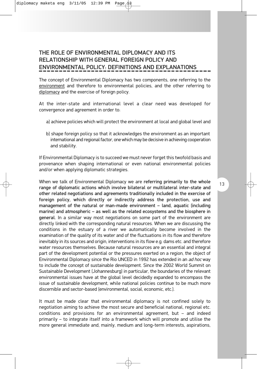# THE ROLE OF ENVIRONMENTAL DIPLOMACY AND ITS RELATIONSHIP WITH GENERAL FOREIGN POLICY AND ENVIRONMENTAL POLICY: DEFINITIONS AND EXPLANATIONS

The concept of Environmental Diplomacy has two components, one referring to the environment and therefore to environmental policies, and the other referring to diplomacy and the exercise of foreign policy.

At the inter-state and international level a clear need was developed for convergence and agreement in order to:

- a) achieve policies which will protect the environment at local and global level and
- b) shape foreign policy so that it acknowledges the environment as an important international and regional factor, one which may be decisive in achieving cooperation and stability.

If Environmental Diplomacy is to succeed we must never forget this twofold basis and provenance when shaping international or even national environmental policies and/or when applying diplomatic strategies.

When we talk of Environmental Diplomacy we are referring primarily to the whole range of diplomatic actions which involve bilateral or multilateral inter-state and other related negotiations and agreements traditionally included in the exercise of foreign policy, which directly or indirectly address the protection, use and management of the natural or man-made environment – land, aquatic (including marine) and atmospheric – as well as the related ecosystems and the biosphere in general. In a similar way most negotiations on some part of the environment are directly linked with the corresponding natural resources. When we are discussing the conditions in the estuary of a river we automatically become involved in the examination of the quality of its water and of the fluctuations in its flow and therefore inevitably in its sources and origin, interventions in its flow e.g. dams etc. and therefore water resources themselves. Because natural resources are an essential and integral part of the development potential or the pressures exerted on a region, the object of Environmental Diplomacy since the Rio UNCED in 1992 has extended in an ad hoc way to include the concept of sustainable development. Since the 2002 World Summit on Sustainable Development (Johannesburg) in particular, the boundaries of the relevant environmental issues have at the global level decidedly expanded to encompass the issue of sustainable development, while national policies continue to be much more discernible and sector-based (environmental, social, economic, etc.).

It must be made clear that environmental diplomacy is not confined solely to negotiation aiming to achieve the most secure and beneficial national, regional etc. conditions and provisions for an environmental agreement, but – and indeed primarily – to integrate itself into a framework which will promote and utilise the more general immediate and, mainly, medium and long-term interests, aspirations,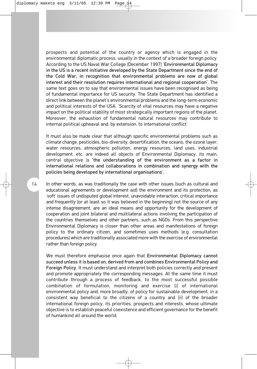prospects and potential of the country or agency which is engaged in the environmental diplomatic process, usually in the context of a broader foreign policy. According to the US Naval War College (December 1997) 'Environmental Diplomacy in the US is a recent initiative developed by the State Department since the end of the Cold War, in recognition that environmental problems are now of global interest and their resolution requires international and regional cooperation'. The same text goes on to say that environmental issues have been recognised as being of fundamental importance for US security. The State Department has identified a direct link between the planet's environmental problems and the long-term economic and political interests of the USA. 'Scarcity of vital resources may have a negative impact on the political stability of most strategically important regions of the planet. Moreover, the exhaustion of fundamental natural resources may contribute to internal political upheaval and, by extension, to international conflict'.

It must also be made clear that although specific environmental problems such as climate change, pesticides, bio-diversity, desertification, the oceans, the ozone layer, water resources, atmospheric pollution, energy resources, land uses, industrial development, etc. are indeed all objects of Environmental Diplomacy, its main, central objective is 'the understanding of the environment as a factor in international relations and collaborations in combination and synergy with the policies being developed by international organisations'.

In other words, as was traditionally the case with other issues (such as cultural and educational agreements or development aid) the environment and its protection, as 'soft' issues of undisputed global interest, unavoidable interaction, critical importance and frequently (or at least so it was believed in the beginning) not the source of any intense disagreement, are an ideal means and opportunity for the development of cooperation and joint bilateral and multilateral actions involving the participation of the countries themselves and other partners, such as NGOs. From this perspective Environmental Diplomacy is closer than other areas and manifestations of foreign policy to the ordinary citizen, and sometimes uses methods (e.g. consultation procedures) which are traditionally associated more with the exercise of environmental rather than foreign policy.

We must therefore emphasise once again that Environmental Diplomacy cannot succeed unless it is based on, derived from and combines Environmental Policy and Foreign Policy. It must understand and interpret both policies correctly and present and promote appropriately the corresponding messages. At the same time it must contribute through a process of feedback, to the most successful possible combination of formulation, monitoring and exercise (i) of international environmental policy and, more broadly, of policy for sustainable development, in a consistent way beneficial to the citizens of a country and (ii) of the broader international foreign policy, its priorities, prospects and interests, whose ultimate objective is to establish peaceful coexistence and efficient governance for the benefit of humankind all around the world.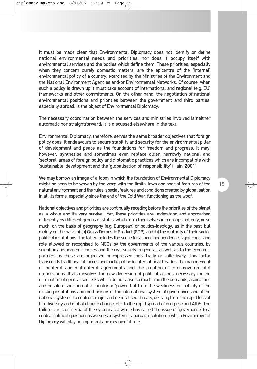It must be made clear that Environmental Diplomacy does not identify or define national environmental needs and priorities, nor does it occupy itself with environmental services and the bodies which define them. These priorities, especially when they concern purely domestic matters, are the epicentre of the (internal) environmental policy of a country, exercised by the Ministries of the Environment and the National Environment Agencies and/or Environmental Networks. Of course, when such a policy is drawn up it must take account of international and regional (e.g. EU) frameworks and other commitments. On the other hand, the negotiation of national environmental positions and priorities between the government and third parties, especially abroad, is the object of Environmental Diplomacy.

The necessary coordination between the services and ministries involved is neither automatic nor straightforward; it is discussed elsewhere in the text.

Environmental Diplomacy, therefore, serves the same broader objectives that foreign policy does: it endeavours to secure stability and security for the environmental pillar of development and peace as the foundations for freedom and progress. It may, however, synthesise and sometimes even replace older, narrowly national and 'sectoral' areas of foreign policy and diplomatic practices which are incompatible with 'sustainable' development and the 'globalisation of responsibility' (Hain, 2001).

We may borrow an image of a loom in which the foundation of Environmental Diplomacy might be seen to be woven by the warp with the limits, laws and special features of the natural environment and the rules, special features and conditions created by globalisation in all its forms, especially since the end of the Cold War, functioning as the woof.

National objectives and priorities are continually receding before the priorities of the planet as a whole and its very survival. Yet, these priorities are understood and approached differently by different groups of states, which form themselves into groups not only, or so much, on the basis of geography (e.g. European) or politics-ideology, as in the past, but mainly on the basis of (a) Gross Domestic Product (GDP), and (b) the maturity of their sociopolitical institutions. The latter includes the scope for action, independence, significance and role allowed or recognised to NGOs by the governments of the various countries, by scientific and academic circles and the civil society in general, as well as to the economic partners as these are organised or expressed individually or collectively. This factor transcends traditional alliances and participation in international treaties, the management of bilateral and multilateral agreements and the creation of inter-governmental organizations. It also involves the new dimension of political actions, necessary for the elimination of generalised risks which do not arise so much from the demands, aspirations and hostile disposition of a country or 'power' but from the weakness or inability of the existing institutions and mechanisms of the international system of governance, and of the national systems, to confront major and generalised threats, deriving from the rapid loss of bio-diversity and global climate change, etc. to the rapid spread of drug use and AIDS. The failure, crisis or inertia of the system as a whole has raised the issue of 'governance' to a central political question, as we seek a 'systemic' approach-solution in which Environmental Diplomacy will play an important and meaningful role.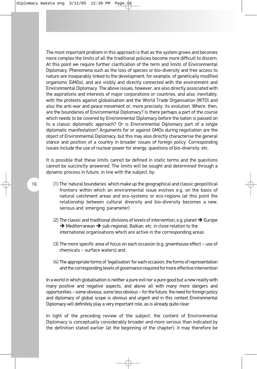The most important problem in this approach is that as the system grows and becomes more complex the limits of all the traditional policies become more difficult to discern. At this point we require further clarification of the term and limits of Environmental Diplomacy. Phenomena such as the loss of species or bio-diversity and free access to nature are inseparably linked to the development, for example, of genetically modified organisms (GMOs), and are visibly and directly connected with the environment and Environmental Diplomacy. The above issues, however, are also directly associated with the aspirations and interests of major corporations or countries, and also, inevitably, with the protests against globalisation and the World Trade Organisation (WTO) and also the anti-war and peace movement or, more precisely, its evolution. Where, then, are the boundaries of Environmental Diplomacy? Is there perhaps a part of the course which needs to be covered by Environmental Diplomacy before the baton is passed on to a classic diplomatic approach? Or is Environmental Diplomacy part of a single diplomatic manifestation? Arguments for or against GMOs during negotiation are the object of Environmental Diplomacy, but this may also directly characterise the general stance and position of a country in broader issues of foreign policy. Corresponding issues include the use of nuclear power for energy, questions of bio-diversity, etc.

It is possible that these limits cannot be defined in static terms and the questions cannot be succinctly answered. The limits will be sought and determined through a dynamic process in future, in line with the subject, by:

- (1) The 'natural boundaries' which make up the geographical and classic geopolitical frontiers within which an environmental issue evolves e.g. on the basis of natural catchment areas and eco-systems or eco-regions (at this point the relationship between cultural diversity and bio-diversity becomes a new, serious and 'emerging' parameter)
- (2) The classic and traditional divisions of levels of intervention, e.g. planet  $\rightarrow$  Europe  $\rightarrow$  Mediterranean  $\rightarrow$  sub-regional, Balkan, etc. in close relation to the international organisations which are active in the corresponding areas
- (3) The more specific area of focus on each occasion (e.g. greenhouse effect use of chemicals – surface waters) and
- (4) The appropriate forms of 'legalisation' for each occasion, the forms of representation and the corresponding levels of governance required for more effective intervention

In a world in which globalisation is neither a pure evil nor a pure good but a new reality with many positive and negative aspects, and above all with many more dangers and opportunities – some obvious, some less obvious – for the future, the need for foreign policy and diplomacy of global scope is obvious and urgent and in this context Environmental Diplomacy will definitely play a very important role, as is already quite clear.

In light of the preceding review of the subject, the content of Environmental Diplomacy is conceptually considerably broader and more serious than indicated by the definition stated earlier (at the beginning of the chapter); it may therefore be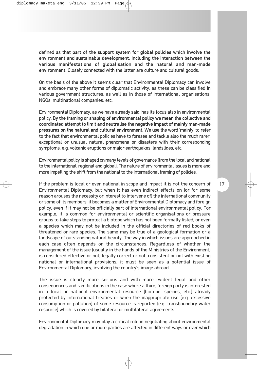defined as that part of the support system for global policies which involve the environment and sustainable development, including the interaction between the various manifestations of globalisation and the natural and man-made environment. Closely connected with the latter are culture and cultural goods.

On the basis of the above it seems clear that Environmental Diplomacy can involve and embrace many other forms of diplomatic activity, as these can be classified in various government structures, as well as in those of international organisations, NGOs, multinational companies, etc.

Environmental Diplomacy, as we have already said, has its focus also in environmental policy. By the framing or shaping of environmental policy we mean the collective and coordinated attempt to limit and neutralise the negative impact of mainly man-made pressures on the natural and cultural environment. We use the word 'mainly' to refer to the fact that environmental policies have to foresee and tackle also the much rarer, exceptional or unusual natural phenomena or disasters with their corresponding symptoms, e.g. volcanic eruptions or major earthquakes, landslides, etc.

Environmental policy is shaped on many levels of governance (from the local and national to the international, regional and global). The nature of environmental issues is more and more impelling the shift from the national to the international framing of policies.

If the problem is local or even national in scope and impact it is not the concern of Environmental Diplomacy, but when it has even indirect effects on (or for some reason arouses the necessity or interest to intervene of) the international community or some of its members, it becomes a matter of Environmental Diplomacy and foreign policy, even if it may not be officially part of international environmental policy. For example, it is common for environmental or scientific organisations or pressure groups to take steps to protect a biotope which has not been formally listed, or even a species which may not be included in the official directories of red books of threatened or rare species. The same may be true of a geological formation or a landscape of outstanding natural beauty. The way in which issues are approached in each case often depends on the circumstances. Regardless of whether the management of the issue (usually in the hands of the Ministries of the Environment) is considered effective or not, legally correct or not, consistent or not with existing national or international provisions, it must be seen as a potential issue of Environmental Diplomacy, involving the country's image abroad.

The issue is clearly more serious and with more evident legal and other consequences and ramifications in the case where a third, foreign party is interested in a local or national environmental resource (biotope, species, etc.) already protected by international treaties or when the inappropriate use (e.g. excessive consumption or pollution) of some resource is reported (e.g. transboundary water resource) which is covered by bilateral or multilateral agreements.

Environmental Diplomacy may play a critical role in negotiating about environmental degradation in which one or more parties are affected in different ways or over which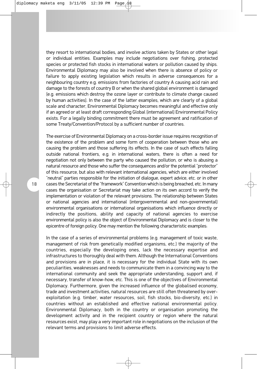they resort to international bodies, and involve actions taken by States or other legal or individual entities. Examples may include negotiations over fishing, protected species or protected fish stocks in international waters or pollution caused by ships. Environmental Diplomacy may also be involved when there is absence of policy or failure to apply existing legislation which results in adverse consequences for a neighbouring country e.g. emissions from factories of country A causing acid rain and damage to the forests of country B or when the shared global environment is damaged (e.g. emissions which destroy the ozone layer or contribute to climate change caused by human activities). In the case of the latter examples, which are clearly of a global scale and character, Environmental Diplomacy becomes meaningful and effective only if an agreed or at least draft corresponding Global (international) Environmental Policy exists. For a legally binding commitment there must be agreement and ratification of some Treaty/Convention/Protocol by a sufficient number of countries.

The exercise of Environmental Diplomacy on a cross-border issue requires recognition of the existence of the problem and some form of cooperation between those who are causing the problem and those suffering its effects. In the case of such effects falling outside national frontiers, e.g. in international waters, there is often a need for negotiation not only between the party who caused the pollution, or who is abusing a natural resource and those who suffer the consequences and/or the potential "protector" of this resource, but also with relevant international agencies, which are either involved "neutral" parties responsible for the initiation of dialogue, expert advice, etc. or in other cases the Secretariat of the "framework" Convention which is being breached, etc. In many cases the organisation or Secretariat may take action on its own accord to verify the implementation or violation of the relevant provisions. The relationship between States or national agencies and international (intergovernmental and non-governmental) environmental organisations or international organisations which influence directly or indirectly the positions, ability and capacity of national agencies to exercise environmental policy is also the object of Environmental Diplomacy and is closer to the epicentre of foreign policy. One may mention the following characteristic examples:

In the case of a series of environmental problems (e.g. management of toxic waste, management of risk from genetically modified organisms, etc.) the majority of the countries, especially the developing ones, lack the necessary expertise and infrastructures to thoroughly deal with them. Although the International Conventions and provisions are in place, it is necessary for the individual State with its own peculiarities, weaknesses and needs to communicate them in a convincing way to the international community and seek the appropriate understanding, support and, if necessary, transfer of know-how, etc. This is one of the objectives of Environmental Diplomacy. Furthermore, given the increased influence of the globalised economy, trade and investment activities, natural resources are still often threatened by overexploitation (e.g. timber, water resources, soil, fish stocks, bio-diversity, etc.) in countries without an established and effective national environmental policy. Environmental Diplomacy, both in the country or organisation promoting the development activity and in the recipient country or region where the natural resources exist, may play a very important role in negotiations on the inclusion of the relevant terms and provisions to limit adverse effects.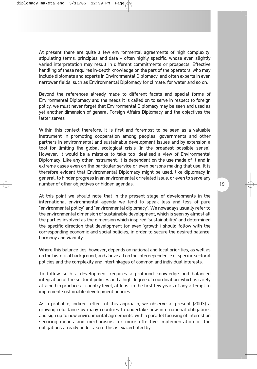At present there are quite a few environmental agreements of high complexity, stipulating terms, principles and data – often highly specific, whose even slightly varied interpretation may result in different commitments or prospects. Effective handling of these requires in-depth knowledge on the part of the operators, who may include diplomats and experts in Environmental Diplomacy, and often experts in even narrower fields, such as Environmental Diplomacy for climate, for water and so on.

Beyond the references already made to different facets and special forms of Environmental Diplomacy and the needs it is called on to serve in respect to foreign policy, we must never forget that Environmental Diplomacy may be seen and used as yet another dimension of general Foreign Affairs Diplomacy and the objectives the latter serves.

Within this context therefore, it is first and foremost to be seen as a valuable instrument in promoting cooperation among peoples, governments and other partners in environmental and sustainable development issues and by extension a tool for limiting the global ecological crisis (in the broadest possible sense). However, it would be a mistake to take too idealised a view of Environmental Diplomacy. Like any other instrument, it is dependent on the use made of it and in extreme cases even on the particular service or even persons making that use. It is therefore evident that Environmental Diplomacy might be used, like diplomacy in general, to hinder progress in an environmental or related issue, or even to serve any number of other objectives or hidden agendas.

At this point we should note that in the present stage of developments in the international environmental agenda we tend to speak less and less of pure "environmental policy" and "environmental diplomacy". We nowadays usually refer to the environmental dimension of sustainable development, which is seen by almost all the parties involved as the dimension which inspired 'sustainability' and determined the specific direction that development (or even 'growth') should follow with the corresponding economic and social policies, in order to secure the desired balance, harmony and viability.

Where this balance lies, however, depends on national and local priorities, as well as on the historical background, and above all on the interdependence of specific sectoral policies and the complexity and interlinkages of common and individual interests.

To follow such a development requires a profound knowledge and balanced integration of the sectoral policies and a high degree of coordination, which is rarely attained in practice at country level, at least in the first few years of any attempt to implement sustainable development policies.

As a probable, indirect effect of this approach, we observe at present (2003) a growing reluctance by many countries to undertake new international obligations and sign up to new environmental agreements, with a parallel focusing of interest on securing means and mechanisms for more effective implementation of the obligations already undertaken. This is exacerbated by: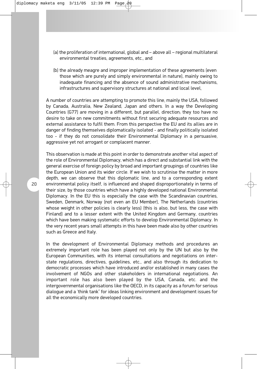- (a) the proliferation of international, global and above all regional multilateral environmental treaties, agreements, etc., and
- (b) the already meagre and improper implementation of these agreements (even those which are purely and simply environmental in nature), mainly owing to inadequate financing and the absence of sound administrative mechanisms, infrastructures and supervisory structures at national and local level,

A number of countries are attempting to promote this line, mainly the USA, followed by Canada, Australia, New Zealand, Japan and others. In a way the Developing Countries (G77) are moving in a different, but parallel, direction; they too have no desire to take on new commitments without first securing adequate resources and external assistance to fulfil them. From this perspective the EU and its allies are in danger of finding themselves diplomatically isolated - and finally politically isolated too - if they do not consolidate their Environmental Diplomacy in a persuasive, aggressive yet not arrogant or complacent manner.

This observation is made at this point in order to demonstrate another vital aspect of the role of Environmental Diplomacy, which has a direct and substantial link with the general exercise of foreign policy by broad and important groupings of countries like the European Union and its wider circle. If we wish to scrutinise the matter in more depth, we can observe that this diplomatic line, and to a corresponding extent environmental policy itself, is influenced and shaped disproportionately in terms of their size, by those countries which have a highly developed national Environmental Diplomacy. In the EU this is especially the case with the Scandinavian countries, Sweden, Denmark, Norway (not even an EU Member), The Netherlands (countries whose weight in other policies is clearly less) (this is also, but less, the case with Finland) and to a lesser extent with the United Kingdom and Germany, countries which have been making systematic efforts to develop Environmental Diplomacy. In the very recent years small attempts in this have been made also by other countries such as Greece and Italy.

In the development of Environmental Diplomacy methods and procedures an extremely important role has been played not only by the UN but also by the European Communities, with its internal consultations and negotiations on interstate regulations, directives, guidelines, etc., and also through its dedication to democratic processes which have introduced and/or established in many cases the involvement of NGOs and other stakeholders in international negotiations. An important role has also been played by the USA, Canada, etc. and the intergovernmental organisations like the OECD, in its capacity as a forum for serious dialogue and a 'think tank" for ideas linking environment and development issues for all the economically more developed countries.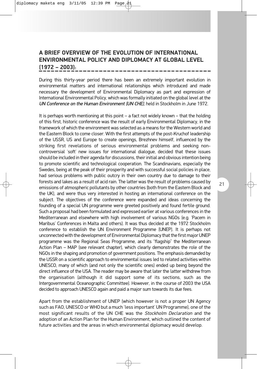## **A BRIEF OVERVIEW OF THE EVOLUTION OF INTERNATIONAL ENVIRONMENTAL POLICY AND DIPLOMACY AT GLOBAL LEVEL (1972 – 2003):**

During this thirty-year period there has been an extremely important evolution in environmental matters and international relationships which introduced and made necessary the development of Environmental Diplomacy as part and expression of International Environmental Policy, which was formally initiated on the global level at the UN Conference on the Human Environment (UN CHE), held in Stockholm in June 1972.

It is perhaps worth mentioning at this point – a fact not widely known – that the holding of this first, historic conference was the result of early Environmental Diplomacy, in the framework of which the environment was selected as a means for the Western world and the Eastern Block to come closer. With the first attempts of the post-Kruchof leadership of the USSR, US and Europe to create openings, Brezhnev himself, influenced by the striking first revelations of serious environmental problems and seeking noncontroversial 'soft' new issues for international dialogue, decided that these issues should be included in their agenda for discussions, their initial and obvious intention being to promote scientific and technological cooperation. The Scandinavians, especially the Swedes, being at the peak of their prosperity and with successful social policies in place, had serious problems with public outcry in their own country due to damage to their forests and lakes as a result of acid rain. The latter was the result of problems caused by emissions of atmospheric pollutants by other countries (both from the Eastern Block and the UK), and were thus very interested in hosting an international conference on the subject. The objectives of the conference were expanded and ideas concerning the founding of a special UN programme were greeted positively and found fertile ground. Such a proposal had been formulated and expressed earlier at various conferences in the Mediterranean and elsewhere with high involvement of various NGOs (e.g. 'Pacem in Maribus' Conferences in Malta and others). It was thus decided at the 1972 Stockholm conference to establish the UN Environment Programme (UNEP). It is perhaps not unconnected with the development of Environmental Diplomacy that the first major UNEP programme was the Regional Seas Programme, and its "flagship" the Mediterranean Action Plan – MAP (see relevant chapter), which clearly demonstrates the role of the NGOs in the shaping and promotion of government positions. The emphasis demanded by the USSR on a scientific approach to environmental issues led to related activities within UNESCO, many of which (and not only the scientific ones) ended up being beyond the direct influence of the USA. The reader may be aware that later the latter withdrew from the organisation (although it did support some of its sections, such as the Intergovernmental Oceanographic Committee). However, in the course of 2003 the USA decided to approach UNESCO again and paid a major sum towards its due fees.

Apart from the establishment of UNEP (which however is not a proper UN Agency such as FAO, UNESCO or WHO but a much 'less important' UN Programme), one of the most significant results of the UN CHE was the Stockholm Declaration and the adoption of an Action Plan for the Human Environment, which outlined the content of future activities and the areas in which environmental diplomacy would develop.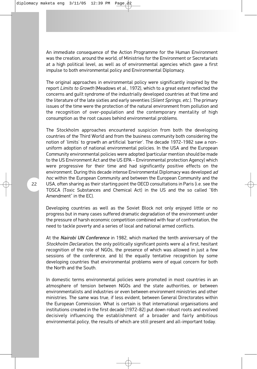An immediate consequence of the Action Programme for the Human Environment was the creation, around the world, of Ministries for the Environment or Secretariats at a high political level, as well as of environmental agencies which gave a first impulse to both environmental policy and Environmental Diplomacy.

The original approaches in environmental policy were significantly inspired by the report Limits to Growth (Meadows et al., 1972), which to a great extent reflected the concerns and guilt syndrome of the industrially developed countries at that time and the literature of the late sixties and early seventies (Silent Springs, etc.). The primary issues of the time were the protection of the natural environment from pollution and the recognition of over-population and the contemporary mentality of high consumption as the root causes behind environmental problems.

The Stockholm approaches encountered suspicion from both the developing countries of the Third World and from the business community both considering the notion of 'limits' to growth an artificial 'barrier'. The decade 1972-1982 saw a nonuniform adoption of national environmental policies. In the USA and the European Community environmental policies were adopted (particular mention should be made to the US Environment Act and the US EPA – Environmental protection Agency) which were progressive for their time and had significantly positive effects on the environment. During this decade intense Environmental Diplomacy was developed ad hoc within the European Community and between the European Community and the USA, often sharing as their starting point the OECD consultations in Paris (i.e. see the TOSCA (Toxic Substances and Chemical Act) in the US and the so called "6th Amendment" in the EC).

Developing countries as well as the Soviet Block not only enjoyed little or no progress but in many cases suffered dramatic degradation of the environment under the pressure of harsh economic competition combined with fear of confrontation, the need to tackle poverty and a series of local and national armed conflicts.

At the Nairobi UN Conference in 1982, which marked the tenth anniversary of the Stockholm Declaration, the only politically significant points were a) a first, hesitant recognition of the role of NGOs, the presence of which was allowed in just a few sessions of the conference, and b) the equally tentative recognition by some developing countries that environmental problems were of equal concern for both the North and the South.

In domestic terms environmental policies were promoted in most countries in an atmosphere of tension between NGOs and the state authorities, or between environmentalists and industries or even between environment ministries and other ministries. The same was true, if less evident, between General Directorates within the European Commission. What is certain is that international organisations and institutions created in the first decade (1972-82) put down robust roots and evolved decisively influencing the establishment of a broader and fairly ambitious environmental policy, the results of which are still present and all-important today.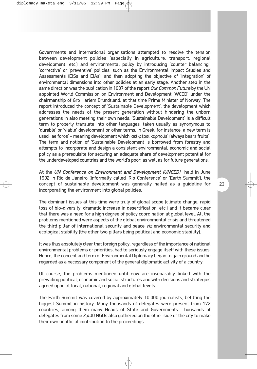Governments and international organisations attempted to resolve the tension between development policies (especially in agriculture, transport, regional development, etc.) and environmental policy by introducing 'counter balancing', 'corrective' or 'preventive' policies, such as the Environmental Impact Studies and Assessments (EISs and EIAs), and then adopting the objective of 'integration' of environmental dimensions into other policies at an early stage. Another step in the same direction was the publication in 1987 of the report Our Common Future by the UN appointed World Commission on Environment and Development (WCED) under the chairmanship of Gro Harlem Brundtland, at that time Prime Minister of Norway. The report introduced the concept of 'Sustainable Development', the development which addresses the needs of the present generation without hindering the unborn generations in also meeting their own needs. 'Sustainable Development' is a difficult term to properly translate into other languages, taken usually as synonymous to 'durable' or 'viable' development or other terms. In Greek, for instance, a new term is used: 'aeiforos' – meaning development which 'get φέρει καρπούs' (always bears fruits). The term and notion of 'Sustainable Development is borrowed from forestry and attempts to incorporate and design a consistent environmental, economic and social policy as a prerequisite for securing an adequate share of development potential for the underdeveloped countries and the world's poor, as well as for future generations.

At the UN Conference on Environment and Development (UNCED) held in June 1992 in Rio de Janeiro (informally called 'Rio Conference' or 'Earth Summit'), the concept of sustainable development was generally hailed as a guideline for incorporating the environment into global policies.

The dominant issues at this time were truly of global scope (climate change, rapid loss of bio-diversity, dramatic increase in desertification, etc.) and it became clear that there was a need for a high degree of policy coordination at global level. All the problems mentioned were aspects of the global environmental crisis and threatened the third pillar of international security and peace viz environmental security and ecological stability (the other two pillars being political and economic stability).

It was thus absolutely clear that foreign policy, regardless of the importance of national environmental problems or priorities, had to seriously engage itself with these issues. Hence, the concept and term of Environmental Diplomacy began to gain ground and be regarded as a necessary component of the general diplomatic activity of a country.

Of course, the problems mentioned until now are inseparably linked with the prevailing political, economic and social structures and with decisions and strategies agreed upon at local, national, regional and global levels.

The Earth Summit was covered by approximately 10,000 journalists, befitting the biggest Summit in history. Many thousands of delegates were present from 172 countries, among them many Heads of State and Governments. Thousands of delegates from some 2,400 NGOs also gathered on the other side of the city to make their own unofficial contribution to the proceedings.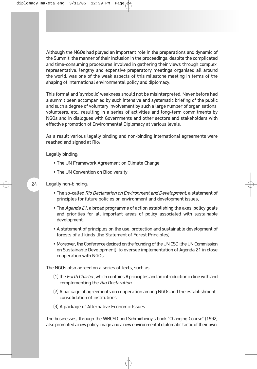Although the NGOs had played an important role in the preparations and dynamic of the Summit, the manner of their inclusion in the proceedings, despite the complicated and time-consuming procedures involved in gathering their views through complex, representative, lengthy and expensive preparatory meetings organised all around the world, was one of the weak aspects of this milestone meeting in terms of the shaping of international environmental policy and diplomacy.

This formal and 'symbolic' weakness should not be misinterpreted. Never before had a summit been accompanied by such intensive and systematic briefing of the public and such a degree of voluntary involvement by such a large number of organisations, volunteers, etc., resulting in a series of activities and long-term commitments by NGOs and in dialogues with Governments and other sectors and stakeholders with effective promotion of Environmental Diplomacy at various levels.

As a result various legally binding and non-binding international agreements were reached and signed at Rio:

Legally binding:

- The UN Framework Agreement on Climate Change
- The UN Convention on Biodiversity

### Legally non-binding:

- The so-called Rio Declaration on Environment and Development, a statement of principles for future policies on environment and development issues,
- The Agenda 21, a broad programme of action establishing the axes, policy goals and priorities for all important areas of policy associated with sustainable development,
- A statement of principles on the use, protection and sustainable development of forests of all kinds (the Statement of Forest Principles).
- Moreover, the Conference decided on the founding of the UN CSD (the UN Commission on Sustainable Development), to oversee implementation of Agenda 21 in close cooperation with NGOs.

The NGOs also agreed on a series of texts, such as:

- (1) the Earth Charter, which contains 8 principles and an introduction in line with and complementing the Rio Declaration.
- (2) A package of agreements on cooperation among NGOs and the establishmentconsolidation of institutions.
- (3) A package of Alternative Economic Issues.

The businesses, through the WBCSD and Schmidheiny's book "Changing Course" (1992) also promoted a new policy image and a new environmental diplomatic tactic of their own.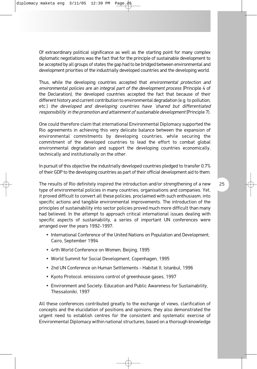Of extraordinary political significance as well as the starting point for many complex diplomatic negotiations was the fact that for the principle of sustainable development to be accepted by all groups of states the gap had to be bridged between environmental and development priorities of the industrially developed countries and the developing world.

Thus, while the developing countries accepted that environmental protection and environmental policies are an integral part of the development process (Principle 4 of the Declaration), the developed countries accepted the fact that because of their different history and current contribution to environmental degradation (e.g. to pollution, etc.) the developed and developing countries have 'shared but differentiated responsibility' in the promotion and attainment of sustainable development (Principle 7).

One could therefore claim that international Environmental Diplomacy supported the Rio agreements in achieving this very delicate balance between the expansion of environmental commitments by developing countries, while securing the commitment of the developed countries to lead the effort to combat global environmental degradation and support the developing countries economically, technically and institutionally on the other.

In pursuit of this objective the industrially developed countries pledged to transfer 0.7% of their GDP to the developing countries as part of their official development aid to them.

The results of Rio definitely inspired the introduction and/or strengthening of a new type of environmental policies in many countries, organisations and companies. Yet, it proved difficult to convert all these policies, proclaimed with such enthusiasm, into specific actions and tangible environmental improvements. The introduction of the principles of sustainability into sector policies proved much more difficult than many had believed. In the attempt to approach critical international issues dealing with specific aspects of sustainability, a series of important UN conferences were arranged over the years 1992-1997:

- International Conference of the United Nations on Population and Development, Cairo, September 1994
- 4rth World Conference on Women, Beijing, 1995
- World Summit for Social Development, Copenhagen, 1995
- 2nd UN Conference on Human Settlements Habitat II, Istanbul, 1996
- Kyoto Protocol: emissions control of greenhouse gases, 1997
- Environment and Society: Education and Public Awareness for Sustainability, Thessaloniki, 1997

All these conferences contributed greatly to the exchange of views, clarification of concepts and the elucidation of positions and opinions; they also demonstrated the urgent need to establish centres for the consistent and systematic exercise of Environmental Diplomacy within national structures, based on a thorough knowledge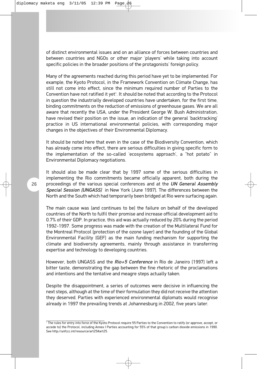of distinct environmental issues and on an alliance of forces between countries and between countries and NGOs or other major 'players' while taking into account specific policies in the broader positions of the protagonists' foreign policy.

Many of the agreements reached during this period have yet to be implemented. For example, the Kyoto Protocol, in the Framework Convention on Climate Change, has still not come into effect, since the minimum required number of Parties to the Convention have not ratified it yet<sup>1</sup>. It should be noted that according to the Protocol in question the industrially developed countries have undertaken, for the first time, binding commitments on the reduction of emissions of greenhouse gases. We are all aware that recently the USA, under the President George W. Bush Administration, have revised their position on the issue, an indication of the general 'backtracking' practice in US international environmental policies, with corresponding major changes in the objectives of their Environmental Diplomacy.

It should be noted here that even in the case of the Biodiversity Convention, which has already come into effect, there are serious difficulties in giving specific form to the implementation of the so-called 'ecosystems approach', a "hot potato" in Environmental Diplomacy negotiations.

It should also be made clear that by 1997 some of the serious difficulties in implementing the Rio commitments became officially apparent, both during the proceedings of the various special conferences and at the UN General Assembly Special Session (UNGASS) in New York (June 1997). The differences between the North and the South which had temporarily been bridged at Rio were surfacing again.

The main cause was (and continues to be) the failure on behalf of the developed countries of the North to fulfil their promise and increase official development aid to 0.7% of their GDP. In practice, this aid was actually reduced by 20% during the period 1992-1997. Some progress was made with the creation of the Multilateral Fund for the Montreal Protocol (protection of the ozone layer) and the founding of the Global Environmental Facility (GEF) as the main funding mechanism for supporting the climate and biodiversity agreements, mainly through assistance in transferring expertise and technology to developing countries.

However, both UNGASS and the *Rio+5 Conference* in Rio de Janeiro (1997) left a bitter taste, demonstrating the gap between the fine rhetoric of the proclamations and intentions and the tentative and meagre steps actually taken.

Despite the disappointment, a series of outcomes were decisive in influencing the next steps, although at the time of their formulation they did not receive the attention they deserved. Parties with experienced environmental diplomats would recognise already in 1997 the prevailing trends at Johannesburg in 2002, five years later.

<sup>&</sup>lt;sup>1</sup>The rules for entry into force of the Kyoto Protocol require 55 Parties to the Convention to ratify (or approve, accept, or accede to) the Protocol, including Annex I Parties accounting for 55% of that group's carbon dioxide emissions in 1990. See http://unfccc.int/resource/art25#art25.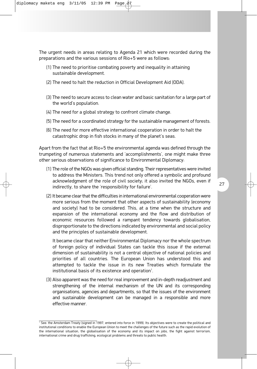The urgent needs in areas relating to Agenda 21 which were recorded during the preparations and the various sessions of Rio+5 were as follows:

- (1) The need to prioritise combating poverty and inequality in attaining sustainable development.
- (2) The need to halt the reduction in Official Development Aid (ODA).
- (3) The need to secure access to clean water and basic sanitation for a large part of the world's population.
- (4) The need for a global strategy to confront climate change.
- (5) The need for a coordinated strategy for the sustainable management of forests.
- (6) The need for more effective international cooperation in order to halt the catastrophic drop in fish stocks in many of the planet's seas.

Apart from the fact that at Rio+5 the environmental agenda was defined through the trumpeting of numerous statements and 'accomplishments', one might make three other serious observations of significance to Environmental Diplomacy:

- (1) The role of the NGOs was given official standing. Their representatives were invited to address the Ministers. This trend not only offered a symbolic and profound acknowledgment of the role of civil society; it also invited the NGOs, even if indirectly, to share the 'responsibility for failure'.
- (2) It became clear that the difficulties in international environmental cooperation were more serious from the moment that other aspects of sustainability (economy and society) had to be considered. This, at a time when the structure and expansion of the international economy and the flow and distribution of economic resources followed a rampant tendency towards globalisation, disproportionate to the directions indicated by environmental and social policy and the principles of sustainable development.

It became clear that neither Environmental Diplomacy nor the whole spectrum of foreign policy of individual States can tackle this issue if the external dimension of sustainability is not a central objective of national policies and priorities of all countries. The European Union has understood this and attempted to tackle the issue in its new Treaties which formulate the institutional basis of its existence and operation $^{\textrm{\tiny{1}}}.$ 

(3) Also apparent was the need for real improvement and in-depth readjustment and strengthening of the internal mechanism of the UN and its corresponding organisations, agencies and departments, so that the issues of the environment and sustainable development can be managed in a responsible and more effective manner.

<sup>&</sup>lt;sup>1</sup> See: the Amsterdam Treaty (signed in 1997, entered into force in 1999). Its objectives were to create the political and institutional conditions to enable the European Union to meet the challenges of the future such as the rapid evolution of the international situation, the globalisation of the economy and its impact on jobs, the fight against terrorism, international crime and drug trafficking, ecological problems and threats to public health.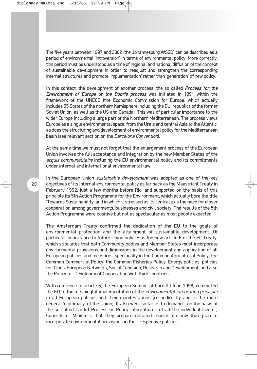The five years between 1997 and 2002 (the Johannesburg WSSD) can be described as a period of environmental 'introversion' in terms of environmental policy. More correctly, this period must be understood as a time of regional and national diffusion of the concept of sustainable development in order to readjust and strengthen the corresponding internal structures and promote 'implementation' rather than 'generation' of new policy.

In this context, the development of another process, the so called *Process for the* Environment of Europe or the Dobris process was initiated in 1991 within the framework of the UNECE (the Economic Commission for Europe, which actually includes 55 States of the northern hemisphere including the EU, republics of the former Soviet Union, as well as the US and Canada). This was of particular importance to the wider Europe including a large part of the Northern Mediterranean. The process views Europe as a single environmental space, from the Urals and central Asia to the Atlantic, as does the structuring and development of environmental policy for the Mediterranean basin (see relevant section on the Barcelona Convention).

At the same time we must not forget that the enlargement process of the European Union involves the full acceptance and integration by the new Member States of the acquis communautaire including the EU environmental policy and its commitments under internal and international environmental law.

In the European Union *sustainable development* was adopted as one of the key objectives of its internal environmental policy as far back as the Maastricht Treaty in February 1992, just a few months before Rio, and supported on the basis of this principle its 5th Action Programme for the Environment, which actually bore the title 'Towards Sustainability' and in which it stressed as its central axis the need for closer cooperation among governments, businesses and civil society. The results of the 5th Action Programme were positive but not as spectacular as most people expected.

The Amsterdam Treaty confirmed the dedication of the EU to the goals of environmental protection and the attainment of sustainable development. Of particular importance to future Union policies is the new article 6 of the EC Treaty, which stipulates that both Community bodies and Member States must incorporate environmental provisions and dimensions in the development and application of all European policies and measures, specifically in the Common Agricultural Policy, the Common Commercial Policy, the Common Fisheries Policy, Energy policies, policies for Trans-European Networks, Social Cohesion, Research and Development, and also the Policy for Development Cooperation with third countries.

With reference to article 6, the European Summit at Cardiff (June 1998) committed the EU to the meaningful implementation of the *environmental integration principle* in all European policies and their manifestations (i.e. indirectly and in the more general 'diplomacy' of the Union). It also went so far as to demand - on the basis of the so-called Cardiff Process on Policy Integration – of all the individual (sector) Councils of Ministers that they prepare detailed reports on how they plan to incorporate environmental provisions in their respective policies.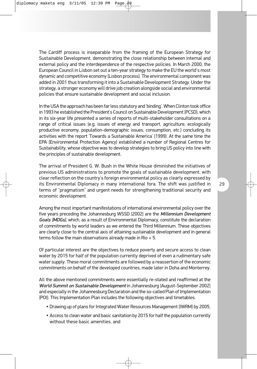The Cardiff process is inseparable from the framing of the European Strategy for Sustainable Development, demonstrating the close relationship between internal and external policy and the interdependence of the respective policies. In March 2000, the European Council in Lisbon set out a ten-year strategy to make the EU the world's most dynamic and competitive economy (Lisbon process). The environmental component was added in 2001 thus transforming it into a Sustainable Development Strategy. Under the strategy, a stronger economy will drive job creation alongside social and environmental policies that ensure sustainable development and social inclusion.

In the USA the approach has been far less statutory and 'binding'. When Clinton took office in 1993 he established the President's Council on Sustainable Development (PCSD), which in its six-year life presented a series of reports of multi-stakeholder consultations on a range of critical issues (e.g. issues of energy and transport, agriculture, ecologically productive economy, population-demographic issues, consumption, etc.) concluding its activities with the report 'Towards a Sustainable America' (1999). At the same time the EPA (Environmental Protection Agency) established a number of Regional Centres for Sustainability, whose objective was to develop strategies to bring US policy into line with the principles of sustainable development.

The arrival of President G. W. Bush in the White House diminished the initiatives of previous US administrations to promote the goals of sustainable development, with clear reflection on the country's foreign environmental policy as clearly expressed by its Environmental Diplomacy in many international fora. The shift was justified in terms of "pragmatism" and urgent needs for strengthening traditional security and economic development.

Among the most important manifestations of international environmental policy over the five years preceding the Johannesburg WSSD (2002) are the Millennium Development Goals (MDGs), which, as a result of Environmental Diplomacy, constitute the declaration of commitments by world leaders as we entered the Third Millennium. These objectives are clearly close to the central axis of attaining sustainable development and in general terms follow the main observations already made in Rio  $+5$ .

Of particular interest are the objectives to reduce poverty and secure access to clean water by 2015 for half of the population currently deprived of even a rudimentary safe water supply. These moral commitments are followed by a reassertion of the economic commitments on behalf of the developed countries, made later in Doha and Monterrey.

All the above mentioned commitments were essentially re-stated and reaffirmed at the World Summit on Sustainable Developmentin Johannesburg (August-September 2002) and especially in the Johannesburg Declaration and the so-called Plan of Implementation (POI). This Implementation Plan includes the following objectives and timetables:

- Drawing up of plans for Integrated Water Resources Management (IWRM) by 2005,
- Access to clean water and basic sanitation by 2015 for half the population currently without these basic amenities, and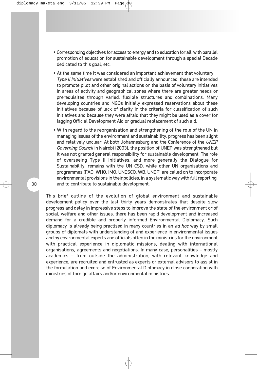- Corresponding objectives for access to energy and to education for all, with parallel promotion of education for sustainable development through a special Decade dedicated to this goal, etc.
- At the same time it was considered an important achievement that voluntary Type II Initiatives were established and officially announced; these are intended to promote pilot and other original actions on the basis of voluntary initiatives in areas of activity and geographical zones where there are greater needs or prerequisites through varied, flexible structures and combinations. Many developing countries and NGOs initially expressed reservations about these initiatives because of lack of clarity in the criteria for classification of such initiatives and because they were afraid that they might be used as a cover for lagging Official Development Aid or gradual replacement of such aid.
- With regard to the reorganisation and strengthening of the role of the UN in managing issues of the environment and sustainability, progress has been slight and relatively unclear. At both Johannesburg and the Conference of the UNEP Governing Council in Nairobi (2003), the position of UNEP was strengthened but it was not granted general responsibility for sustainable development. The role of overseeing Type II Initiatives, and more generally the Dialogue for Sustainability, remains with the UN CSD, while other UN organisations and programmes (FAO, WHO, IMO, UNESCO, WB, UNDP) are called on to incorporate environmental provisions in their policies, in a systematic way with full reporting, and to contribute to sustainable development.

This brief outline of the evolution of global environment and sustainable development policy over the last thirty years demonstrates that despite slow progress and delay in impressive steps to improve the state of the environment or of social, welfare and other issues, there has been rapid development and increased demand for a credible and properly informed Environmental Diplomacy. Such diplomacy is already being practised in many countries in an ad hoc way by small groups of diplomats with understanding of and experience in environmental issues and by environmental experts and officials often in the ministries for the environment with practical experience in diplomatic missions, dealing with international organisations, agreements and negotiations. In many case, personalities – mostly academics – from outside the administration, with relevant knowledge and experience, are recruited and entrusted as experts or external advisors to assist in the formulation and exercise of Environmental Diplomacy in close cooperation with ministries of foreign affairs and/or environmental ministries.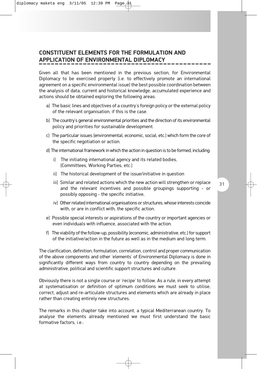# **CONSTITUENT ELEMENTS FOR THE FORMULATION AND APPLICATION OF ENVIRONMENTAL DIPLOMACY**

Given all that has been mentioned in the previous section, for Environmental Diplomacy to be exercised properly (i.e. to effectively promote an international agreement on a specific environmental issue) the best possible coordination between the analysis of data, current and historical knowledge, accumulated experience and actions should be obtained exploring the following areas:

- a) The basic lines and objectives of a country's foreign policy or the external policy of the relevant organisation, if this is the case.
- b) The country's general environmental priorities and the direction of its environmental policy and priorities for sustainable development.
- c) The particular issues (environmental, economic, social, etc.) which form the core of the specific negotiation or action.
- d) The international framework in which the action in question is to be formed, including:
	- i) The initiating international agency and its related bodies, (Committees, Working Parties, etc.)
	- ii) The historical development of the issue/initiative in question
	- iii) Similar and related actions which the new action will strengthen or replace and the relevant incentives and possible groupings supporting - or possibly opposing - the specific initiative,
	- iv) Other related international organisations or structures, whose interests coincide with, or are in conflict with, the specific action.
- e) Possible special interests or aspirations of the country or important agencies or even individuals with influence, associated with the action.
- f) The viability of the follow-up, possibility (economic, administrative, etc.) for support of the initiative/action in the future as well as in the medium and long term.

The clarification, definition, formulation, correlation, control and proper communication of the above components and other 'elements' of Environmental Diplomacy is done in significantly different ways from country to country depending on the prevailing administrative, political and scientific support structures and culture.

Obviously there is not a single course or 'recipe' to follow. As a rule, in every attempt at systematisation or definition of optimum conditions we must seek to utilise, correct, adjust and re-articulate structures and elements which are already in place rather than creating entirely new structures.

The remarks in this chapter take into account, a typical Mediterranean country. To analyse the elements already mentioned we must first understand the basic formative factors, i.e.: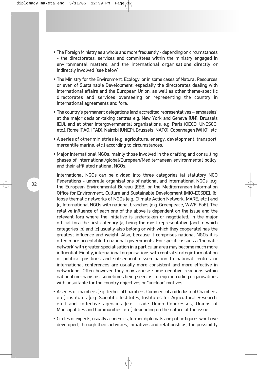- The Foreign Ministry as a whole and more frequently depending on circumstances - the directorates, services and committees within the ministry engaged in environmental matters, and the international organisations directly or indirectly involved (see below).
- The Ministry for the Environment, Ecology, or in some cases of Natural Resources or even of Sustainable Development, especially the directorates dealing with international affairs and the European Union, as well as other theme-specific directorates and services overseeing or representing the country in international agreements and fora.
- The country's permanent delegations (and accredited representatives embassies) at the major decision-taking centres e.g. New York and Geneva (UN), Brussels (EU), and at other intergovernmental organisations, e.g. Paris (OECD, UNESCO, etc.), Rome (FAO, IFAD), Nairobi (UNEP), Brussels (NATO), Copenhagen (WHO), etc.
- A series of other ministries (e.g. agriculture, energy, development, transport, mercantile marine, etc.) according to circumstances.
- Major international NGOs, mainly those involved in the drafting and consulting phases of international/global/European/Mediterranean environmental policy, and their affiliated national NGOs.

International NGOs can be divided into three categories (a) statutory NGO Federations - umbrella organisations of national and international NGOs (e.g. the European Environmental Bureau (EEB) or the Mediterranean Information Office for Environment, Culture and Sustainable Development (MIO-ECSDE), (b) loose thematic networks of NGOs (e.g. Climate Action Network, MARE, etc.) and (c) International NGOs with national branches (e.g. Greenpeace, WWF, FoE). The relative influence of each one of the above is dependent on the issue and the relevant fora where the initiative is undertaken or negotiated. In the major official fora the first category (a) being the most representative [and to which categories (b) and (c) usually also belong or with which they cooperate] has the greatest influence and weight. Also, because it comprises national NGOs it is often more acceptable to national governments. For specific issues a 'thematic network' with greater specialisation in a particular area may become much more influential. Finally, international organisations with central strategic formulation of political positions and subsequent dissemination to national centres or international conferences are usually more consistent and more effective in networking. Often however they may arouse some negative reactions within national mechanisms, sometimes being seen as 'foreign' intruding organisations with unsuitable for the country objectives or "unclear" motives.

- A series of chambers (e.g. Technical Chambers, Commercial and Industrial Chambers, etc.) institutes (e.g. Scientific Institutes, Institutes for Agricultural Research, etc.) and collective agencies (e.g. Trade Union Congresses, Unions of Municipalities and Communities, etc.) depending on the nature of the issue.
- Circles of experts, usually academics, former diplomats and public figures who have developed, through their activities, initiatives and relationships, the possibility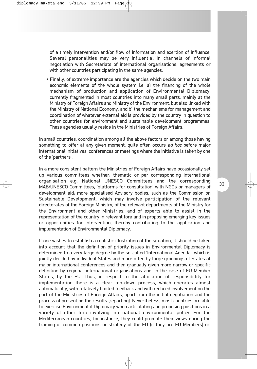of a timely intervention and/or flow of information and exertion of influence. Several personalities may be very influential in channels of informal negotiation with Secretariats of international organisations, agreements or with other countries participating in the same agencies.

• Finally, of extreme importance are the agencies which decide on the two main economic elements of the whole system i.e. a) the financing of the whole mechanism of production and application of Environmental Diplomacy, currently fragmented in most countries into many small parts, mainly at the Ministry of Foreign Affairs and Ministry of the Environment, but also linked with the Ministry of National Economy, and b) the mechanisms for management and coordination of whatever external aid is provided by the country in question to other countries for environment and sustainable development programmes. These agencies usually reside in the Ministries of Foreign Affairs.

In small countries, coordination among all the above factors or among those having something to offer at any given moment, quite often occurs ad hoc before major international initiatives, conferences or meetings where the initiative is taken by one of the 'partners'.

In a more consistent pattern the Ministries of Foreign Affairs have occasionally set up various committees whether: thematic or per corresponding international organisation e.g. National UNESCO Committees and the corresponding MAB/UNESCO Committees; 'platforms for consultation' with NGOs or managers of development aid; more specialised Advisory bodies, such as the Commission on Sustainable Development, which may involve participation of the relevant directorates of the Foreign Ministry, of the relevant departments of the Ministry for the Environment and other Ministries, and of experts able to assist in the representation of the country in relevant fora and in proposing emerging key issues or opportunities for intervention, thereby contributing to the application and implementation of Environmental Diplomacy.

If one wishes to establish a realistic illustration of the situation, it should be taken into account that the definition of priority issues in Environmental Diplomacy is determined to a very large degree by the so-called 'International Agenda', which is jointly decided by individual States and more often by large groupings of States at major international conferences and then gradually given more narrow or specific definition by regional international organisations and, in the case of EU Member States, by the EU. Thus, in respect to the allocation of responsibility for implementation there is a clear top-down process, which operates almost automatically, with relatively limited feedback and with reduced involvement on the part of the Ministries of Foreign Affairs, apart from the initial negotiation and the process of presenting the results (reporting). Nevertheless, most countries are able to exercise Environmental Diplomacy when articulating and proposing positions in a variety of other fora involving international environmental policy. For the Mediterranean countries, for instance, they could promote their views during the framing of common positions or strategy of the EU (if they are EU Members) or,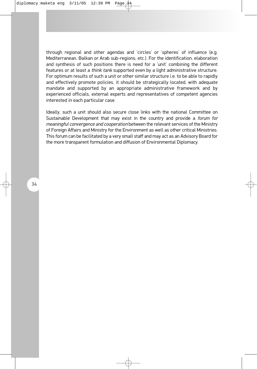through regional and other agendas and 'circles' or 'spheres' of influence (e.g. Mediterranean, Balkan or Arab sub-regions, etc.). For the identification, elaboration and synthesis of such positions there is need for a 'unit' combining the different features or at least a think tank supported even by a light administrative structure. For optimum results of such a unit or other similar structure i.e. to be able to rapidly and effectively promote policies, it should be strategically located, with adequate mandate and supported by an appropriate administrative framework and by experienced officials, external experts and representatives of competent agencies interested in each particular case.

Ideally, such a unit should also secure close links with the national Committee on Sustainable Development that may exist in the country and provide a forum for meaningful convergence and cooperation between the relevant services of the Ministry of Foreign Affairs and Ministry for the Environment as well as other critical Ministries. This forum can be facilitated by a very small staff and may act as an Advisory Board for the more transparent formulation and diffusion of Environmental Diplomacy.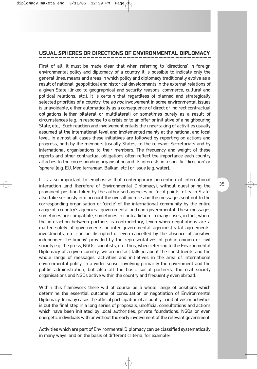# **USUAL SPHERES OR DIRECTIONS OF ENVIRONMENTAL DIPLOMACY**

First of all, it must be made clear that when referring to 'directions' in foreign environmental policy and diplomacy of a country it is possible to indicate only the general lines, means and areas in which policy and diplomacy traditionally evolve as a result of national, geopolitical and historical developments in the external relations of a given State (linked to geographical and security reasons, commerce, cultural and political relations, etc.). It is certain that regardless of planned and strategically selected priorities of a country, the *ad hoc* involvement in some environmental issues is unavoidable, either automatically as a consequence of direct or indirect contractual obligations (either bilateral or multilateral) or sometimes purely as a result of circumstances (e.g. in response to a crisis or to an offer or initiative of a neighbouring State, etc.). Such reaction and involvement entails the undertaking of activities usually assumed at the international level and implemented mainly at the national and local level. In almost all cases these initiatives are followed by reporting on actions and progress, both by the members (usually States) to the relevant Secretariats and by international organisations to their members. The frequency and weight of these reports and other contractual obligations often reflect the importance each country attaches to the corresponding organisation and its interests in a specific 'direction' or 'sphere' (e.g. EU, Mediterranean, Balkan, etc.) or issue (e.g. water).

It is also important to emphasise that contemporary perception of international interaction (and therefore of Environmental Diplomacy), without questioning the prominent position taken by the authorised agencies or 'focal points' of each State, also take seriously into account the overall picture and the messages sent out to the corresponding organisation or 'circle' of the international community by the entire range of a country's agencies - governmental and non-governmental. These messages sometimes are compatible, sometimes in contradiction. In many cases, in fact, where the interaction between partners is contradictory, (even when negotiations are a matter solely of governments or inter-governmental agencies) vital agreements, investments, etc. can be disrupted or even cancelled by the absence of 'positive independent testimony' provided by the representatives of public opinion or civil society e.g. the press, NGOs, scientists, etc. Thus, when referring to the Environmental Diplomacy of a given country, we are in fact talking about the constituents and the whole range of messages, activities and initiatives in the area of international environmental policy, in a wider sense, involving primarily the government and the public administration, but also all the basic social partners, the civil society organisations and NGOs active within the country and frequently even abroad.

Within this framework there will of course be a whole range of positions which determine the essential outcome of consultation or negotiation of Environmental Diplomacy. In many cases the official participation of a country in initiatives or activities is but the final step in a long series of proposals, unofficial consultations and actions which have been initiated by local authorities, private foundations, NGOs or even energetic individuals with or without the early involvement of the relevant government.

Activities which are part of Environmental Diplomacy can be classified systematically in many ways, and on the basis of different criteria, for example: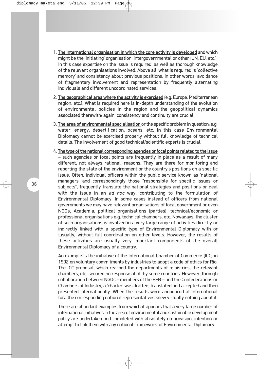- 1. The international organisation in which the core activity is developed and which might be the 'initiating' organisation, intergovernmental or other (UN, EU, etc.). In this case expertise on the issue is required, as well as thorough knowledge of the relevant organisations involved. Above all, what is required is 'collective memory' and consistency about previous positions. In other words, avoidance of fragmentary involvement and representation by frequently alternating individuals and different uncoordinated services.
- 2. The geographical area where the activity is exercised (e.g. Europe, Mediterranean region, etc.). What is required here is in-depth understanding of the evolution of environmental policies in the region and the geopolitical dynamics associated therewith; again, consistency and continuity are crucial.
- 3. The area of environmental specialisation or the specific problem in question: e.g. water, energy, desertification, oceans, etc. In this case Environmental Diplomacy cannot be exercised properly without full knowledge of technical details. The involvement of good technical/scientific experts is crucial.
- 4. The type of the national corresponding agencies or focal points related to the issue – such agencies or focal points are frequently in place as a result of many different, not always rational, reasons. They are there for monitoring and reporting the state of the environment or the country's positions on a specific issue. Often, individual officers within the public service known as 'national managers' and correspondingly those "responsible for specific issues or subjects", frequently translate the national strategies and positions or deal with the issue in an ad hoc way, contributing to the formulation of Environmental Diplomacy. In some cases instead of officers from national governments we may have relevant organisations of local government or even NGOs, Academia, political organisations (parties), technical/economic or professional organisations e.g. technical chambers, etc. Nowadays, the cluster of such organisations is involved in a very large range of activities directly or indirectly linked with a specific type of Environmental Diplomacy with or (usually) without full coordination on other levels. However, the results of these activities are usually very important components of the overall Environmental Diplomacy of a country.

An example is the initiative of the International Chamber of Commerce (ICC) in 1992 on voluntary commitments by industries to adopt a code of ethics for Rio. The ICC proposal, which reached the departments of ministries, the relevant chambers, etc. secured no response at all by some countries. However, through collaboration between NGOs – members of the EEB – and the Confederations or Chambers of Industry, a 'charter' was drafted, translated and accepted and then presented internationally. When the results were announced at international fora the corresponding national representatives knew virtually nothing about it.

There are abundant examples from which it appears that a very large number of international initiatives in the area of environmental and sustainable development policy are undertaken and completed with absolutely no provision, intention or attempt to link them with any national 'framework' of Environmental Diplomacy.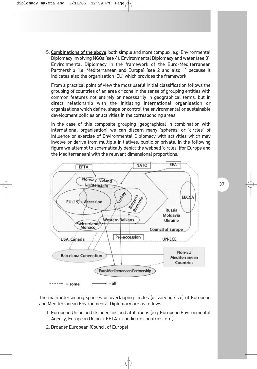5. Combinations of the above, both simple and more complex, e.g. Environmental Diplomacy involving NGOs (see 4), Environmental Diplomacy and water (see 3), Environmental Diplomacy in the framework of the Euro-Mediterranean Partnership (i.e. Mediterranean and Europe) (see 2 and also 1) because it indicates also the organisation (EU) which provides the framework.

From a practical point of view the most useful initial classification follows the grouping of countries of an area or zone in the sense of grouping entities with common features not entirely or necessarily in geographical terms, but in direct relationship with the initiating international organisation or organisations which define, shape or control the environmental or sustainable development policies or activities in the corresponding areas.

In the case of this composite grouping (geographical in combination with international organisation) we can discern many 'spheres' or 'circles' of influence or exercise of Environmental Diplomacy with activities which may involve or derive from multiple initiatives, public or private. In the following figure we attempt to schematically depict the webbed 'circles' (for Europe and the Mediterranean) with the relevant dimensional proportions.



The main intersecting spheres or overlapping circles (of varying size) of European and Mediterranean Environmental Diplomacy are as follows:

- 1. European Union and its agencies and affiliations (e.g. European Environmental Agency, European Union + EFTA + candidate countries, etc.)
- 2. Broader European (Council of Europe)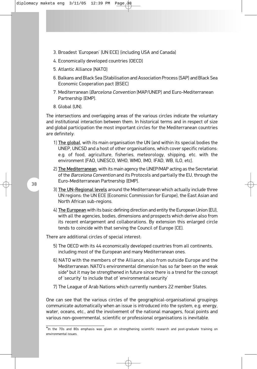- 3. Broadest 'European' (UN ECE) (including USA and Canada)
- 4. Economically developed countries (OECD)
- 5. Atlantic Alliance (NATO)
- 6. Balkans and Black Sea (Stabilisation and Association Process (SAP) and Black Sea Economic Cooperation pact (BSEC)
- 7. Mediterranean (Barcelona Convention (MAP/UNEP) and Euro-Mediterranean Partnership (EMP).
- 8. Global (UN).

The intersections and overlapping areas of the various circles indicate the voluntary and institutional interaction between them. In historical terms and in respect of size and global participation the most important circles for the Mediterranean countries are definitely:

- 1) The global, with its main organisation the UN (and within its special bodies the UNEP, UNCSD and a host of other organisations, which cover specific relations: e.g. of food, agriculture, fisheries, meteorology, shipping, etc. with the environment (FAO, UNESCO, WHO, WMO, IMO, IFAD, WB, ILO, etc).
- 2) The Mediterranean, with its main agency the UNEP/MAP acting as the Secretariat of the Barcelona Convention and its Protocols and partially the EU, through the Euro-Mediterranean Partnership (EMP).
- 3) The UN-Regional levels around the Mediterranean which actually include three UN regions: the UN ECE (Economic Commission for Europe), the East Asian and North African sub-regions.
- 4) The European with its basic defining direction and entity the European Union (EU), with all the agencies, bodies, dimensions and prospects which derive also from its recent enlargement and collaborations. By extension this enlarged circle tends to coincide with that serving the Council of Europe (CE).

There are additional circles of special interest:

- 5) The OECD with its 44 economically developed countries from all continents, including most of the European and many Mediterranean ones.
- 6) NATO with the members of the Alliance, also from outside Europe and the Mediterranean. NATO's environmental dimension has so far been on the weak side\* but it may be strengthened in future since there is a trend for the concept of 'security' to include that of 'environmental security'
- 7) The League of Arab Nations which currently numbers 22 member States.

One can see that the various circles of the geographical-organisational groupings communicate automatically when an issue is introduced into the system, e.g. energy, water, oceans, etc., and the involvement of the national managers, focal points and various non-governmental, scientific or professional organisations is inevitable.

<sup>\*</sup>In the 70s and 80s emphasis was given on strengthening scientific research and post-graduate training on environmental issues.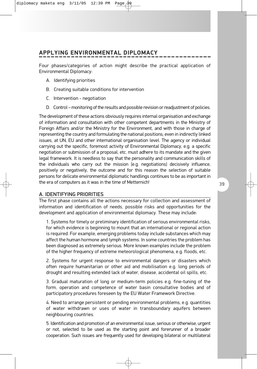# **APPLYING ENVIRONMENTAL DIPLOMACY**

Four phases/categories of action might describe the practical application of Environmental Diplomacy:

- A. Identifying priorities
- B. Creating suitable conditions for intervention
- C. Intervention negotiation
- D. Control monitoring of the results and possible revision or readjustment of policies.

The development of these actions obviously requires internal organisation and exchange of information and consultation with other competent departments in the Ministry of Foreign Affairs and/or the Ministry for the Environment, and with those in charge of representing the country and formulating the national positions, even in indirectly linked issues, at UN, EU and other international organisation level. The agency or individual carrying out the specific, foremost activity of Environmental Diplomacy, e.g. a specific negotiation or submission of a proposal, etc. must adhere to its mandate and the given legal framework. It is needless to say that the personality and communication skills of the individuals who carry out the mission (e.g. negotiations) decisively influence, positively or negatively, the outcome and for this reason the selection of suitable persons for delicate environmental diplomatic handlings continues to be as important in the era of computers as it was in the time of Metternich!

### A. IDENTIFYING PRIORITIES

The first phase contains all the actions necessary for collection and assessment of information and identification of needs, possible risks and opportunities for the development and application of environmental diplomacy. These may include:

1. Systems for timely or preliminary identification of serious environmental risks, for which evidence is beginning to mount that an international or regional action is required. For example, emerging problems today include substances which may affect the human hormone and lymph systems. In some countries the problem has been diagnosed as extremely serious. More known examples include the problem of the higher frequency of extreme meteorological phenomena, e.g. floods, etc.

2. Systems for urgent response to environmental dangers or disasters which often require humanitarian or other aid and mobilisation e.g. long periods of drought and resulting extended lack of water, disease, accidental oil spills, etc.

3. Gradual maturation of long or medium-term policies e.g. fine-tuning of the form, operation and competence of water basin consultative bodies and of participatory procedures foreseen by the EU Water Framework Directive.

4. Need to arrange persistent or pending environmental problems, e.g. quantities of water withdrawn or uses of water in transboundary aquifers between neighbouring countries.

5. Identification and promotion of an environmental issue, serious or otherwise, urgent or not, selected to be used as the starting point and forerunner of a broader cooperation. Such issues are frequently used for developing bilateral or multilateral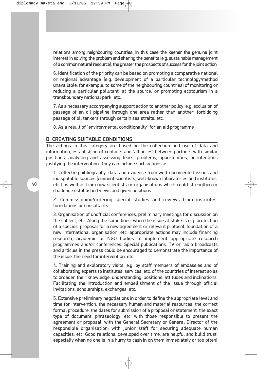relations among neighbouring countries. In this case the keener the genuine joint interest in solving the problem and sharing the benefits (e.g. sustainable management of a common natural resource), the greater the prospects of success for the joint action.

6. Identification of the priority can be based on promoting a comparative national or regional advantage (e.g. development of a particular technology/method unavailable, for example, to some of the neighbouring countries) of monitoring or reducing a particular pollutant, at the source, or promoting ecotourism in a transboundary national park, etc.

7. As a necessary accompanying support action to another policy, e.g. exclusion of passage of an oil pipeline through one area rather than another, forbidding passage of oil tankers through certain sea straits, etc.

8. As a result of "environmental conditionality" for an aid programme

#### B. CREATING SUITABLE CONDITIONS

The actions in this category are based on the collection and use of data and information, establishing of contacts and 'alliances' between partners with similar positions, analysing and assessing fears, problems, opportunities, or intentions justifying the intervention. They can include such actions as:

1. Collecting bibliography, data and evidence from well-documented issues and indisputable sources (eminent scientists, well-known laboratories and institutes, etc.) as well as from new scientists or organisations which could strengthen or challenge established views and given positions.

2. Commissioning/ordering special studies and reviews from institutes, foundations or consultants.

3. Organisation of unofficial conferences, preliminary meetings for discussion on the subject, etc. Along the same lines, when the issue at stake is e.g. protection of a species, proposal for a new agreement or relevant protocol, foundation of a new international organisation, etc. appropriate actions may include financing research, academic or NGO bodies to implement appropriate research programmes and/or conferences. Special publications, TV or radio broadcasts and articles in the press could be encouraged to demonstrate the importance of the issue, the need for intervention, etc.

4. Training and exploratory visits, e.g. by staff members of embassies and of collaborating experts to institutes, services, etc. of the countries of interest so as to broaden their knowledge, understanding, positions, attitudes and inclinations. Facilitating the introduction and embellishment of the issue through official invitations, scholarships, exchanges, etc.

5. Extensive preliminary negotiations in order to define the appropriate level and time for intervention, the necessary human and material resources, the correct formal procedure, the dates for submission of a proposal or statement, the exact type of document, phraseology, etc. with those responsible to present the agreement or proposal; with the General Secretary or General Director of the responsible organisation; with junior staff for securing adequate human capacities, etc. Good relations, developed over time, are helpful and build trust, especially when no one is in a hurry to cash in on them immediately or too often!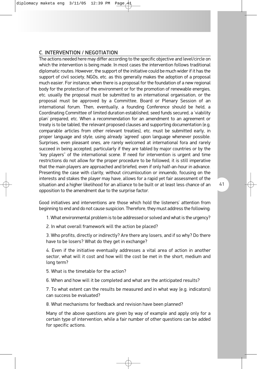## C. INTERVENTION / NEGOTIATION

The actions needed here may differ according to the specific objective and level/circle on which the intervention is being made. In most cases the intervention follows traditional diplomatic routes. However, the support of the initiative could be much wider if it has the support of civil society, NGOs, etc. as this generally makes the adoption of a proposal much easier. For instance, when there is a proposal for the foundation of a new regional body for the protection of the environment or for the promotion of renewable energies, etc. usually the proposal must be submitted to an international organisation, or the proposal must be approved by a Committee, Board or Plenary Session of an international forum. Then, eventually, a founding Conference should be held, a Coordinating Committee of limited duration established, seed funds secured, a 'viability plan' prepared, etc. When a recommendation for an amendment to an agreement or treaty is to be tabled, the relevant proposed clauses and supporting documentation (e.g. comparable articles from other relevant treaties), etc. must be submitted early, in proper language and style, using already 'agreed' upon language whenever possible. Surprises, even pleasant ones, are rarely welcomed at international fora and rarely succeed in being accepted, particularly if they are tabled by major countries or by the "key players" of the international scene. If need for intervention is urgent and time restrictions do not allow for the proper procedure to be followed, it is still imperative that the main players are approached and briefed, even if only half-an-hour in advance. Presenting the case with clarity, without circumlocution or innuendo, focusing on the interests and stakes the player may have, allows for a rapid yet fair assessment of the situation and a higher likelihood for an alliance to be built or at least less chance of an opposition to the amendment due to the surprise factor.

Good initiatives and interventions are those which hold the listeners' attention from beginning to end and do not cause suspicion. Therefore, they must address the following:

1. What environmental problem is to be addressed or solved and what is the urgency?

2. In what overall framework will the action be placed?

3. Who profits, directly or indirectly? Are there any losers, and if so why? Do there have to be losers? What do they get in exchange?

4. Even if the initiative eventually addresses a vital area of action in another sector, what will it cost and how will the cost be met in the short, medium and long term?

5. What is the timetable for the action?

6. When and how will it be completed and what are the anticipated results?

7. To what extent can the results be measured and in what way (e.g. indicators) can success be evaluated?

8. What mechanisms for feedback and revision have been planned?

Many of the above questions are given by way of example and apply only for a certain type of intervention, while a fair number of other questions can be added for specific actions.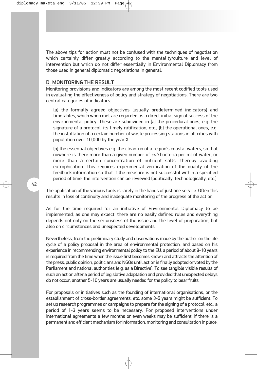The above tips for action must not be confused with the techniques of negotiation which certainly differ greatly according to the mentality/culture and level of intervention but which do not differ essentially in Environmental Diplomacy from those used in general diplomatic negotiations in general.

#### D. MONITORING THE RESULT

Monitoring provisions and indicators are among the most recent codified tools used in evaluating the effectiveness of policy and strategy of negotiations. There are two central categories of indicators:

(a) the formally agreed objectives (usually predetermined indicators) and timetables, which when met are regarded as a direct initial sign of success of the environmental policy. These are subdivided in (a) the procedural ones, e.g. the signature of a protocol, its timely ratification, etc.; (b) the operational ones, e.g. the installation of a certain number of waste processing stations in all cities with population over 10,000 by the year X.

(b) the essential objectives e.g. the clean-up of a region's coastal waters, so that nowhere is there more than a given number of *coli* bacteria per ml of water, or more than a certain concentration of nutrient salts, thereby avoiding eutrophication. This requires experimental verification of the quality of the feedback information so that if the measure is not successful within a specified period of time, the intervention can be reviewed (politically, technologically, etc.).

The application of the various tools is rarely in the hands of just one service. Often this results in loss of continuity and inadequate monitoring of the progress of the action.

As for the time required for an initiative of Environmental Diplomacy to be implemented, as one may expect, there are no easily defined rules and everything depends not only on the seriousness of the issue and the level of preparation, but also on circumstances and unexpected developments.

Nevertheless, from the preliminary study and observations made by the author on the life cycle of a policy proposal in the area of environmental protection, and based on his experience in recommending environmental policy to the EU, a period of about 8-10 years is required from the time when the issue first becomes known and attracts the attention of the press, public opinion, politicians and NGOs until action is finally adopted or voted by the Parliament and national authorities (e.g. as a Directive). To see tangible visible results of such an action after a period of legislative adaptation and provided that unexpected delays do not occur, another 5-10 years are usually needed for the policy to bear fruits.

For proposals or initiatives such as the founding of international organisations, or the establishment of cross-border agreements, etc. some 3-5 years might be sufficient. To set up research programmes or campaigns to prepare for the signing of a protocol, etc., a period of 1-3 years seems to be necessary. For proposed interventions under international agreements a few months or even weeks may be sufficient, if there is a permanent and efficient mechanism for information, monitoring and consultation in place.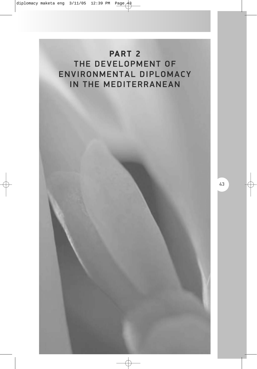# **PART 2** THE DEVELOPMENT OF ENVIRONMENTAL DIPLOMACY IN THE MEDITERRANEAN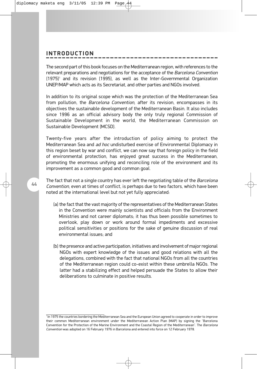# **INTRODUCTION**

The second part of this book focuses on the Mediterranean region, with references to the relevant preparations and negotiations for the acceptance of the Barcelona Convention  $(1975)^1$  and its revision (1995), as well as the Inter-Governmental Organization UNEP/MAP which acts as its Secretariat, and other parties and NGOs involved.

In addition to its original scope which was the protection of the Mediterranean Sea from pollution, the *Barcelona Convention*, after its revision, encompasses in its objectives the sustainable development of the Mediterranean Basin. It also includes since 1996 as an official advisory body the only truly regional Commission of Sustainable Development in the world, the Mediterranean Commission on Sustainable Development (MCSD).

Twenty-five years after the introduction of policy aiming to protect the Mediterranean Sea and ad hoc undisturbed exercise of Environmental Diplomacy in this region beset by war and conflict, we can now say that foreign policy in the field of environmental protection, has enjoyed great success in the Mediterranean, promoting the enormous unifying and reconciling role of the environment and its improvement as a common good and common goal.

The fact that not a single country has ever left the negotiating table of the Barcelona Convention, even at times of conflict, is perhaps due to two factors, which have been noted at the international level but not yet fully appreciated:

- (a) the fact that the vast majority of the representatives of the Mediterranean States in the Convention were mainly scientists and officials from the Environment Ministries and not career diplomats; it has thus been possible sometimes to overlook, play down or work around formal impediments and excessive political sensitivities or positions for the sake of genuine discussion of real environmental issues; and
- (b) the presence and active participation, initiatives and involvement of major regional NGOs with expert knowledge of the issues and good relations with all the delegations, combined with the fact that national NGOs from all the countries of the Mediterranean region could co-exist within these umbrella NGOs. The latter had a stabilizing effect and helped persuade the States to allow their deliberations to culminate in positive results.

<sup>&</sup>lt;sup>1</sup>In 1975 the countries bordering the Mediterranean Sea and the European Union agreed to cooperate in order to improve their common Mediterranean environment under the Mediterranean Action Plan (MAP) by signing the "Barcelona Convention for the Protection of the Marine Environment and the Coastal Region of the Mediterranean". The Barcelona Convention was adopted on 16 February 1976 in Barcelona and entered into force on 12 February 1978.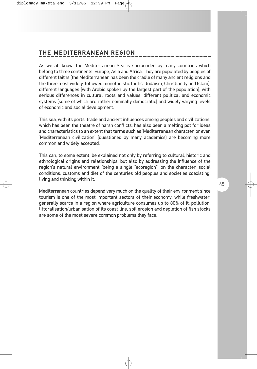# **THE MEDITERRANEAN REGION**

As we all know, the Mediterranean Sea is surrounded by many countries which belong to three continents: Europe, Asia and Africa. They are populated by peoples of different faiths (the Mediterranean has been the cradle of many ancient religions and the three most widely-followed monotheistic faiths: Judaism, Christianity and Islam), different languages (with Arabic spoken by the largest part of the population), with serious differences in cultural roots and values, different political and economic systems (some of which are rather nominally democratic) and widely varying levels of economic and social development.

This sea, with its ports, trade and ancient influences among peoples and civilizations, which has been the theatre of harsh conflicts, has also been a melting pot for ideas and characteristics to an extent that terms such as 'Mediterranean character' or even 'Mediterranean civilization' (questioned by many academics) are becoming more common and widely accepted.

This can, to some extent, be explained not only by referring to cultural, historic and ethnological origins and relationships, but also by addressing the influence of the region's natural environment (being a single "ecoregion") on the character, social conditions, customs and diet of the centuries old peoples and societies coexisting, living and thinking within it.

Mediterranean countries depend very much on the quality of their environment since tourism is one of the most important sectors of their economy, while freshwater, generally scarce in a region where agriculture consumes up to 80% of it, pollution, littoralisation/urbanisation of its coast line, soil erosion and depletion of fish stocks are some of the most severe common problems they face.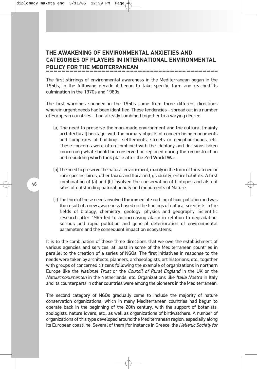## **THE AWAKENING OF ENVIRONMENTAL ANXIETIES AND CATEGORIES OF PLAYERS IN INTERNATIONAL ENVIRONMENTAL POLICY FOR THE MEDITERRANEAN**

The first stirrings of environmental awareness in the Mediterranean began in the 1950s; in the following decade it began to take specific form and reached its culmination in the 1970s and 1980s.

The first warnings sounded in the 1950s came from three different directions wherein urgent needs had been identified. These tendencies – spread out in a number of European countries – had already combined together to a varying degree:

- (a) The need to preserve the man-made environment and the cultural (mainly architectural) heritage, with the primary objects of concern being monuments and complexes of buildings, settlements, streets or neighbourhoods, etc. These concerns were often combined with the ideology and decisions taken concerning what should be conserved or replaced during the reconstruction and rebuilding which took place after the 2nd World War.
- (b) The need to preserve the natural environment, mainly in the form of threatened or rare species, birds, other fauna and flora and, gradually, entire habitats. A first combination of (a) and (b) involved the conservation of biotopes and also of sites of outstanding natural beauty and monuments of Nature.
- (c) The third of these needs involved the immediate curbing of toxic pollution and was the result of a new awareness based on the findings of natural scientists in the fields of biology, chemistry, geology, physics and geography. Scientific research after 1965 led to an increasing alarm in relation to degradation, serious and rapid pollution and general deterioration of environmental parameters and the consequent impact on ecosystems.

It is to the combination of these three directions that we owe the establishment of various agencies and services, at least in some of the Mediterranean countries in parallel to the creation of a series of NGOs. The first initiatives in response to the needs were taken by architects, planners, archaeologists, art historians, etc., together with groups of concerned citizens following the example of organizations in northern Europe like the National Trust or the Council of Rural England in the UK or the Natuurmonumenten in the Netherlands, etc. Organizations like Italia Nostra in Italy and its counterparts in other countries were among the pioneers in the Mediterranean.

The second category of NGOs gradually came to include the majority of nature conservation organizations, which in many Mediterranean countries had begun to operate back in the beginning of the 20th century, with the support of botanists, zoologists, nature lovers, etc., as well as organizations of birdwatchers. A number of organizations of this type developed around the Mediterranean region, especially along its European coastline. Several of them (for instance in Greece, the Hellenic Society for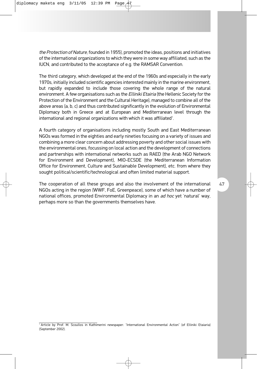the Protection of Nature, founded in 1955), promoted the ideas, positions and initiatives of the international organizations to which they were in some way affiliated, such as the IUCN, and contributed to the acceptance of e.g. the RAMSAR Convention.

The third category, which developed at the end of the 1960s and especially in the early 1970s, initially included scientific agencies interested mainly in the marine environment, but rapidly expanded to include those covering the whole range of the natural environment. A few organisations such as the Elliniki Etairia (the Hellenic Society for the Protection of the Environment and the Cultural Heritage), managed to combine all of the above areas (a, b, c) and thus contributed significantly in the evolution of Environmental Diplomacy both in Greece and at European and Mediterranean level through the international and regional organizations with which it was affiliated $^{\scriptscriptstyle\mathsf{1}}$ .

A fourth category of organisations including mostly South and East Mediterranean NGOs was formed in the eighties and early nineties focusing on a variety of issues and combining a more clear concern about addressing poverty and other social issues with the environmental ones, focussing on local action and the development of connections and partnerships with international networks such as RAED (the Arab NGO Network for Environment and Development), MIO-ECSDE (the Mediterranean Information Office for Environment, Culture and Sustainable Development), etc. from where they sought political/scientific/technological and often limited material support.

The cooperation of all these groups and also the involvement of the international NGOs acting in the region (WWF, FoE, Greenpeace), some of which have a number of national offices, promoted Environmental Diplomacy in an ad hoc yet 'natural' way, perhaps more so than the governments themselves have.

<sup>&</sup>lt;sup>1</sup> Article by Prof. M. Scoullos in Kathimerini newspaper: "International Environmental Action" (of Elliniki Etaiaria) (September 2002).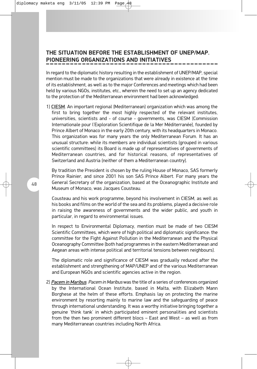# **THE SITUATION BEFORE THE ESTABLISHMENT OF UNEP/MAP. PIONEERING ORGANIZATIONS AND INITIATIVES**

In regard to the diplomatic history resulting in the establishment of UNEP/MAP, special mention must be made to the organizations that were already in existence at the time of its establishment, as well as to the major Conferences and meetings which had been held by various NGOs, institutes, etc., wherein the need to set up an agency dedicated to the protection of the Mediterranean environment had been acknowledged:

1) CIESM. An important regional (Mediterranean) organization which was among the first to bring together the most highly respected of the relevant institutes, universities, scientists and - of course - governments, was CIESM (Commission Internationale pour l'Exploration Scientifique de la Mer Méditerranée), founded by Prince Albert of Monaco in the early 20th century, with its headquarters in Monaco. This organization was for many years the only Mediterranean Forum. It has an unusual structure: while its members are individual scientists (grouped in various scientific committees) its Board is made up of representatives of governments of Mediterranean countries, and for historical reasons, of representatives of Switzerland and Austria (neither of them a Mediterranean country).

By tradition the President is chosen by the ruling House of Monaco, SAS formerly Prince Rainier, and since 2001 his son SAS Prince Albert. For many years the General Secretary of the organization, based at the Oceanographic Institute and Museum of Monaco, was Jacques Cousteau.

Cousteau and his work programme, beyond his involvement in CIESM, as well as his books and films on the world of the sea and its problems, played a decisive role in raising the awareness of governments and the wider public, and youth in particular, in regard to environmental issues.

In respect to Environmental Diplomacy, mention must be made of two CIESM Scientific Committees, which were of high political and diplomatic significance: the committee for the Fight Against Pollution in the Mediterranean and the Physical Oceanography Committee (both had programmes in the eastern Mediterranean and Aegean areas with intense political and territorial tensions between neighbours).

The diplomatic role and significance of CIESM was gradually reduced after the establishment and strengthening of MAP/UNEP and of the various Mediterranean and European NGOs and scientific agencies active in the region.

2) Pacem in Maribus. Pacem in Maribus was the title of a series of conferences organized by the International Ocean Institute, based in Malta, with Elizabeth Mann Borghese at the helm of these efforts. Emphasis lay on protecting the marine environment by resorting mainly to marine law and the safeguarding of peace through international understanding. It was a worthy initiative bringing together a genuine 'think tank' in which participated eminent personalities and scientists from the then two prominent different blocs – East and West – as well as from many Mediterranean countries including North Africa.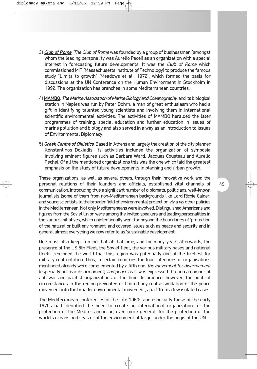- 3) Club of Rome. The Club of Rome was founded by a group of businessmen (amongst whom the leading personality was Aurelio Pecei) as an organization with a special interest in forecasting future developments. It was the Club of Rome which commissioned MIT (Massachusetts Institute of Technology) to produce the famous study "Limits to growth" (Meadows et al., 1972), which formed the basis for discussions at the UN Conference on the Human Environment in Stockholm in 1992. The organization has branches in some Mediterranean countries.
- 4) MAMBO. The Marine Association of Marine Biology and Oceanography, and its biological station in Naples was run by Peter Dohrn, a man of great enthusiasm who had a gift in identifying talented young scientists and involving them in international scientific environmental activities. The activities of MAMBO heralded the later programmes of training, special education and further education in issues of marine pollution and biology and also served in a way as an introduction to issues of Environmental Diplomacy.
- 5) Greek Centre of Oikistics. Based in Athens and largely the creation of the city planner Konstantinos Doxiadis. Its activities included the organization of symposia involving eminent figures such as Barbara Ward, Jacques Cousteau and Aurelio Pechei. Of all the mentioned organizations this was the one which laid the greatest emphasis on the study of future developments in planning and urban growth.

These organizations, as well as several others, through their innovative work and the personal relations of their founders and officials, established vital channels of communication, introducing thus a significant number of diplomats, politicians, well-known journalists (some of them from non-Mediterranean backgrounds like Lord Richie Calder) and young scientists to the broader field of environmental protection viz a vis other policies in the Mediterranean. Not only Mediterraneans were involved. Distinguished Americans and figures from the Soviet Union were among the invited speakers and leading personalities in the various initiatives, which unintentionally went far beyond the boundaries of 'protection of the natural or built environment' and covered issues such as peace and security and in general almost everything we now refer to as 'sustainable development'.

One must also keep in mind that at that time, and for many years afterwards, the presence of the US 6th Fleet, the Soviet fleet, the various military bases and national fleets, reminded the world that this region was potentially one of the likeliest for military confrontation. Thus, in certain countries the four categories of organisations mentioned already were complemented by a fifth one: the movement for disarmament (especially nuclear disarmament) and peace as it was expressed through a number of anti-war and pacifist organizations of the time. In practice, however, the political circumstances in the region prevented or limited any real assimilation of the peace movement into the broader environmental movement, apart from a few isolated cases.

The Mediterranean conferences of the late 1960s and especially those of the early 1970s had identified the need to create an international organization for the protection of the Mediterranean or, even more general, for the protection of the world's oceans and seas or of the environment at large, under the aegis of the UN.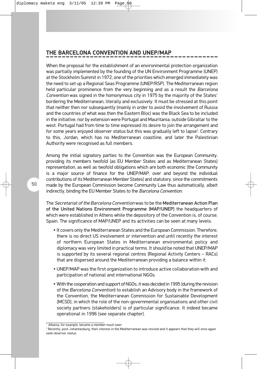# **THE BARCELONA CONVENTION AND UNEP/MAP**

When the proposal for the establishment of an environmental protection organization was partially implemented by the founding of the UN Environment Programme (UNEP) at the Stockholm Summit in 1972, one of the priorities which emerged immediately was the need to set up a Regional Seas Programme (UNEP/RSP). The Mediterranean region held particular prominence from the very beginning and as a result the Barcelona Convention was signed in the homonymous city in 1975 by the majority of the States<sup>1</sup> bordering the Mediterranean, literally and exclusively. It must be stressed at this point that neither then nor subsequently (mainly in order to avoid the involvement of Russia and the countries of what was then the Eastern Bloc) was the Black Sea to be included in the initiative, nor by extension were Portugal and Mauritania, outside Gibraltar to the west. Portugal had from time to time expressed its desire to join the arrangement and for some years enjoyed observer status but this was gradually left to lapse $^{\scriptscriptstyle 2}$ . Contrary to this, Jordan, which has no Mediterranean coastline, and later the Palestinian Authority were recognised as full members.

Among the initial signatory parties to the Convention was the European Community, providing its members twofold (as EU Member States and as Mediterranean States) representation, as well as twofold obligations which are both economic (the Community is a major source of finance for the UNEP/MAP, over and beyond the individual contributions of its Mediterranean Member States) and statutory, since the commitments made by the European Commission become Community Law thus automatically, albeit indirectly, binding the EU Member States to the Barcelona Convention.

The Secretariat of the Barcelona Convention was to be the Mediterranean Action Plan of the United Nations Environment Programme (MAP/UNEP) the headquarters of which were established in Athens while the depository of the Convention is, of course, Spain. The significance of MAP/UNEP and its activities can be seen at many levels:

- It covers only the Mediterranean States and the European Commission. Therefore, there is no direct US involvement or intervention and until recently the interest of northern European States in Mediterranean environmental policy and diplomacy was very limited in practical terms. It should be noted that UNEP/MAP is supported by its several regional centres (Regional Activity Centers – RACs) that are dispersed around the Mediterranean providing a balance within it.
- UNEP/MAP was the first organization to introduce active collaboration with and participation of national and international NGOs.
- With the cooperation and support of NGOs, it was decided in 1995 (during the revision of the Barcelona Convention) to establish an Advisory body in the framework of the Convention, the Mediterranean Commission for Sustainable Development (MCSD), in which the role of the non-governmental organisations and other civil society partners (stakeholders) is of particular significance. It indeed became operational in 1996 (see separate chapter).

<sup>&</sup>lt;sup>1</sup> Albania, for example, became a member much later

<sup>&</sup>lt;sup>2</sup> Recently, post-Johannesburg, their interest in the Mediterranean was revived and it appears that they will once again seek observer status.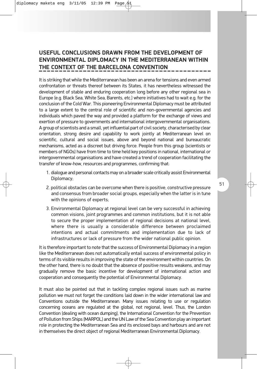# **USEFUL CONCLUSIONS DRAWN FROM THE DEVELOPMENT OF ENVIRONMENTAL DIPLOMACY IN THE MEDITERRANEAN WITHIN THE CONTEXT OF THE BARCELONA CONVENTION**

It is striking that while the Mediterranean has been an arena for tensions and even armed confrontation or threats thereof between its States, it has nevertheless witnessed the development of stable and enduring cooperation long before any other regional sea in Europe (e.g. Black Sea, White Sea, Barents, etc.) where initiatives had to wait e.g. for the conclusion of the Cold War. This pioneering Environmental Diplomacy must be attributed to a large extent to the central role of scientific and non-governmental agencies and individuals which paved the way and provided a platform for the exchange of views and exertion of pressure to governments and international intergovernmental organisations. A group of scientists and a small, yet influential part of civil society, characterised by clear orientation, strong desire and capability to work jointly at Mediterranean level on scientific, cultural and social issues, above and beyond national and bureaucratic mechanisms, acted as a discreet but driving force. People from this group (scientists or members of NGOs) have from time to time held key positions in national, international or intergovernmental organisations and have created a trend of cooperation facilitating the transfer of know-how, resources and programmes, confirming that:

- 1. dialogue and personal contacts may on a broader scale critically assist Environmental Diplomacy;
- 2. political obstacles can be overcome when there is positive, constructive pressure and consensus from broader social groups, especially when the latter is in tune with the opinions of experts;
- 3. Environmental Diplomacy at regional level can be very successful in achieving common visions, joint programmes and common institutions, but it is not able to secure the proper implementation of regional decisions at national level, where there is usually a considerable difference between proclaimed intentions and actual commitments and implementation due to lack of infrastructures or lack of pressure from the wider national public opinion.

It is therefore important to note that the success of Environmental Diplomacy in a region like the Mediterranean does not automatically entail success of environmental policy in terms of its visible results in improving the state of the environment within countries. On the other hand, there is no doubt that the absence of positive results weakens, and may gradually remove the basic incentive for development of international action and cooperation and consequently the potential of Environmental Diplomacy.

It must also be pointed out that in tackling complex regional issues such as marine pollution we must not forget the conditions laid down in the wider international law and Conventions outside the Mediterranean. Many issues relating to use or regulation concerning oceans are regulated at the global, not regional, level. Thus, the London Convention (dealing with ocean dumping), the International Convention for the Prevention of Pollution from Ships (MARPOL) and the UN Law of the Sea Convention play an important role in protecting the Mediterranean Sea and its enclosed bays and harbours and are not in themselves the direct object of regional Mediterranean Environmental Diplomacy.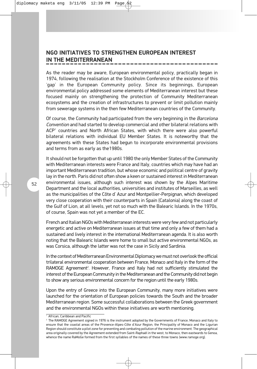## **NGO INITIATIVES TO STRENGTHEN EUROPEAN INTEREST IN THE MEDITERRANEAN**

As the reader may be aware, European environmental policy, practically began in 1974, following the realisation at the Stockholm Conference of the existence of this 'gap' in the European Community policy. Since its beginnings, European environmental policy addressed some elements of Mediterranean interest but these focused mainly on strengthening the protection of Community Mediterranean ecosystems and the creation of infrastructures to prevent or limit pollution mainly from sewerage systems in the then few Mediterranean countries of the Community.

Of course, the Community had participated from the very beginning in the Barcelona Convention and had started to develop commercial and other bilateral relations with ACP1 countries and North African States, with which there were also powerful bilateral relations with individual EU Member States. It is noteworthy that the agreements with these States had begun to incorporate environmental provisions and terms from as early as the1980s.

It should not be forgotten that up until 1980 the only Member States of the Community with Mediterranean interests were France and Italy, countries which may have had an important Mediterranean tradition, but whose economic and political centre of gravity lay in the north. Paris did not often show a keen or sustained interest in Mediterranean environmental issues, although such interest was shown by the Alpes Maritime Department and the local authorities, universities and institutes of Marseilles, as well as the municipalities of the Côte d' Azur and Montpellier-Perpignan, which developed very close cooperation with their counterparts in Spain (Catalonia) along the coast of the Gulf of Lion, at all levels, yet not so much with the Balearic Islands. In the 1970s, of course, Spain was not yet a member of the EC.

French and Italian NGOs with Mediterranean interests were very few and not particularly energetic and active on Mediterranean issues at that time and only a few of them had a sustained and lively interest in the international Mediterranean agenda. It is also worth noting that the Balearic Islands were home to small but active environmental NGOs, as was Corsica, although the latter was not the case in Sicily and Sardinia.

In the context of Mediterranean Environmental Diplomacy we must not overlook the official trilateral environmental cooperation between France, Monaco and Italy in the form of the RAMOGE Agreement<sup>2</sup>. However, France and Italy had not sufficiently stimulated the interest of the European Community in the Mediterranean and the Community did not begin to show any serious environmental concern for the region until the early 1980s.

Upon the entry of Greece into the European Community, many more initiatives were launched for the orientation of European policies towards the South and the broader Mediterranean region. Some successful collaborations between the Greek government and the environmental NGOs within these initiatives are worth mentioning.

<sup>&</sup>lt;sup>1</sup> African, Caribbean and Pacific

<sup>&</sup>lt;sup>2</sup> The RAMOGE Agreement signed in 1976 is the instrument adopted by the Governments of France, Monaco and Italy to ensure that the coastal areas of the Provence-Alpes-Côte d'Azur Region, the Principality of Monaco and the Ligurian Region should constitute a pilot zone for preventing and combating pollution of the marine environment. The geographical area originally covered by the Agreement extended from Saint-Raphaël in the west, to Monaco, then eastwards to Genoa, whence the name RaMoGe formed from the first syllables of the names of these three towns (www.ramoge.org).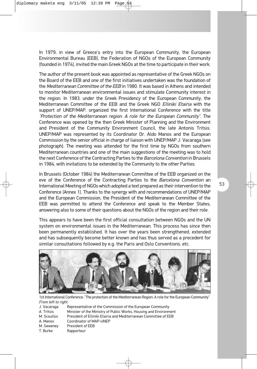In 1979, in view of Greece's entry into the European Community, the European Environmental Bureau (EEB), the Federation of NGOs of the European Community (founded in 1974), invited the main Greek NGOs at the time to participate in their work.

The author of the present book was appointed as representative of the Greek NGOs on the Board of the EEB and one of the first initiatives undertaken was the foundation of the Mediterranean Committee of the EEB in 1980. It was based in Athens and intended to monitor Mediterranean environmental issues and stimulate Community interest in the region. In 1983, under the Greek Presidency of the European Community, the Mediterranean Committee of the EEB and the Greek NGO Elliniki Etairia with the support of UNEP/MAP, organized the first International Conference with the title "Protection of the Mediterranean region: A role for the European Community". The Conference was opened by the then Greek Minister of Planning and the Environment and President of the Community Environment Council, the late Antonis Tritsis. UNEP/MAP was represented by its Coordinator Dr. Aldo Manos and the European Commission by the senior official in charge of liaison with UNEP/MAP J. Vacaraga (see photograph). The meeting was attended for the first time by NGOs from southern Mediterranean countries and one of the main suggestions of the meeting was to hold the next Conference of the Contracting Parties to the *Barcelona Convention* in Brussels in 1984, with invitations to be extended by the Community to the other Parties.

In Brussels (October 1984) the Mediterranean Committee of the EEB organized on the eve of the Conference of the Contracting Parties to the Barcelona Convention an International Meeting of NGOs which adopted a text prepared as their intervention to the Conference (Annex 1). Thanks to the synergy with and recommendations of UNEP/MAP and the European Commission, the President of the Mediterranean Committee of the EEB was permitted to attend the Conference and speak to the Member States, answering also to some of their questions about the NGOs of the region and their role.

This appears to have been the first official consultation between NGOs and the UN system on environmental issues in the Mediterranean. This process has since then been permanently established. It has over the years been strengthened, extended and has subsequently become better known and has thus served as a precedent for similar consultations followed by e.g. the Paris and Oslo Conventions, etc.



1st International Conference: "The protection of the Mediterranean Region: A role for the European Community" From left to right

- J. Vacaraga Representative of the Commission of the European Community
- A. Tritsis Minister of the Ministry of Public Works, Housing and Environment
- M. Scoullos President of Elliniki Etairia and Mediterranean Committee of EEB
- A. Manos Coordinator of MAP-UNEP
- 
- M. Sweeney President of EEB
- T. Burke Rapporteur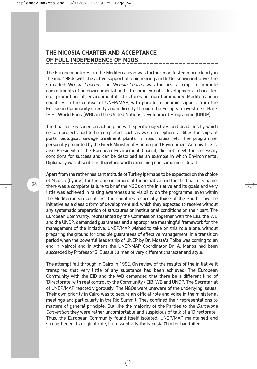## **THE NICOSIA CHARTER AND ACCEPTANCE OF FULL INDEPENDENCE OF NGOS**

The European interest in the Mediterranean was further manifested more clearly in the mid 1980s with the active support of a pioneering and little-known initiative, the so-called *Nicosia Charter*. The *Nicosia Charter* was the first attempt to promote commitments of an environmental and – to some extent – developmental character, e.g. promotion of environmental structures in non-Community Mediterranean countries in the context of UNEP/MAP, with parallel economic support from the European Community directly and indirectly through the European Investment Bank (EIB), World Bank (WB) and the United Nations Development Programme (UNDP).

The Charter envisaged an action plan with specific objectives and deadlines by which certain projects had to be completed, such as waste reception facilities for ships at ports, biological sewage treatment plants in major cities, etc. The programme, personally promoted by the Greek Minister of Planning and Environment Antonis Tritsis, also President of the European Environment Council, did not meet the necessary conditions for success and can be described as an example in which Environmental Diplomacy was absent. It is therefore worth examining it in some more detail.

Apart from the rather hesitant attitude of Turkey (perhaps to be expected) on the choice of Nicosia (Cyprus) for the announcement of the initiative and for the Charter's name, there was a complete failure to brief the NGOs on the initiative and its goals and very little was achieved in raising awareness and visibility on the programme, even within the Mediterranean countries. The countries, especially those of the South, saw the initiative as a classic form of development aid, which they expected to receive without any systematic preparation of structures or institutional conditions on their part. The European Community, represented by the Commission together with the EIB, the WB and the UNDP, demanded guarantees and a appropriate meaningful framework for the management of the initiative. UNEP/MAP wished to take on this role alone, without preparing the ground for credible guarantees of effective management, in a transition period when the powerful leadership of UNEP by Dr. Mostafa Tolba was coming to an end in Nairobi and in Athens the UNEP/MAP Coordinator Dr. A. Manos had been succeeded by Professor S. Bussutil a man of very different character and style.

The attempt fell through in Cairo in 1992. On review of the results of the initiative it transpired that very little of any substance had been achieved. The European Community with the EIB and the WB demanded that there be a different kind of 'Directorate' with real control by the Community / EIB, WB and UNDP. The Secretariat of UNEP/MAP reacted vigorously. The NGOs were unaware of the underlying issues. Their own priority in Cairo was to secure an official role and voice in the ministerial meetings and particularly in the Rio Summit. They confined their representations to matters of general principle. But like the majority of the Parties to the Barcelona Convention they were rather uncomfortable and suspicious of talk of a 'Directorate'. Thus, the European Community found itself isolated, UNEP/MAP maintained and strengthened its original role, but essentially the Nicosia Charter had failed.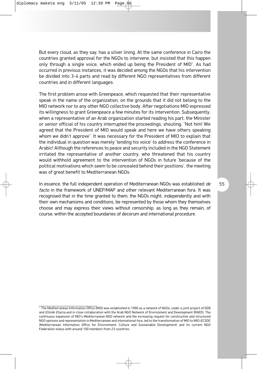But every cloud, as they say, has a silver lining. At the same conference in Cairo the countries granted approval for the NGOs to intervene, but insisted that this happen only through a single voice, which ended up being the President of MIO<sup>1</sup>. As had occurred in previous instances, it was decided among the NGOs that his intervention be divided into 3-4 parts and read by different NGO representatives from different countries and in different languages.

The first problem arose with Greenpeace, which requested that their representative speak in the name of the organization, on the grounds that it did not belong to the MIO network nor to any other NGO collective body. After negotiations MIO expressed its willingness to grant Greenpeace a few minutes for its intervention. Subsequently, when a representative of an Arab organization started reading his part, the Minister or senior official of his country interrupted the proceedings, shouting: "Not him! We agreed that the President of MIO would speak and here we have others speaking whom we didn't approve". It was necessary for the President of MIO to explain that the individual in question was merely 'lending his voice' to address the conference in Arabic! Although the references to peace and security included in the NGO Statement irritated the representative of another country, who threatened that his country would withhold agreement to the intervention of NGOs in future 'because of the political motivations which seem to be concealed behind their positions', the meeting was of great benefit to Mediterranean NGOs.

In essence, the full independent operation of Mediterranean NGOs was established de facto in the framework of UNEP/MAP and other relevant Mediterranean fora. It was recognised that in the time granted to them, the NGOs might, independently and with their own mechanisms and conditions, be represented by those whom they themselves choose and may express their views without censorship, as long as they remain, of course, within the accepted boundaries of decorum and international procedure.

<sup>&</sup>lt;sup>1</sup> The Mediterranean Information Office (MIO) was established in 1990 as a network of NGOs, under a joint project of EEB and Elliniki Etairia and in close collaboration with the Arab NGO Network of Environment and Development (RAED). The continuous expansion of MIO's Mediterranean NGO network and the increasing request for constructive and structured NGO opinions and representation in Mediterranean and international fora, led to the transformation of MIO to MIO-ECSDE (Mediterranean Information Office for Environment, Culture and Sustainable Development) and its current NGO Federation status with around 100 members from 23 countries.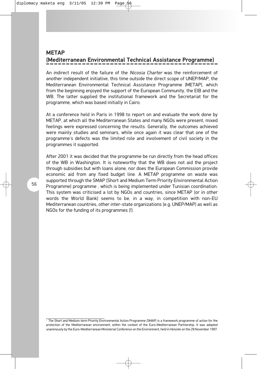# **METAP (Mediterranean Environmental Technical Assistance Programme)**

An indirect result of the failure of the Nicosia Charter was the reinforcement of another independent initiative, this time outside the direct scope of UNEP/MAP, the Mediterranean Environmental Technical Assistance Programme (METAP), which from the beginning enjoyed the support of the European Community, the EIB and the WB. The latter supplied the institutional framework and the Secretariat for the programme, which was based initially in Cairo.

At a conference held in Paris in 1998 to report on and evaluate the work done by METAP, at which all the Mediterranean States and many NGOs were present, mixed feelings were expressed concerning the results. Generally, the outcomes achieved were mainly studies and seminars, while once again it was clear that one of the programme's defects was the limited role and involvement of civil society in the programmes it supported.

After 2001 it was decided that the programme be run directly from the head offices of the WB in Washington. It is noteworthy that the WB does not aid the project through subsidies but with loans alone, nor does the European Commission provide economic aid from any fixed budget line. A METAP programme on waste was supported through the SMAP (Short and Medium Term Priority Environmental Action Programme) programme , which is being implemented under Tunisian coordination. This system was criticised a lot by NGOs and countries, since METAP (or in other words the World Bank) seems to be, in a way, in competition with non-EU Mediterranean countries, other inter-state organizations (e.g. UNEP/MAP) as well as NGOs for the funding of its programmes (!).

<sup>&</sup>lt;sup>1</sup> The Short and Medium-term Priority Environmental Action Programme (SMAP) is a framework programme of action for the protection of the Mediterranean environment, within the context of the Euro-Mediterranean Partnership. It was adopted unanimously by the Euro-Mediterranean Ministerial Conference on the Environment, held in Helsinki on the 28 November 1997.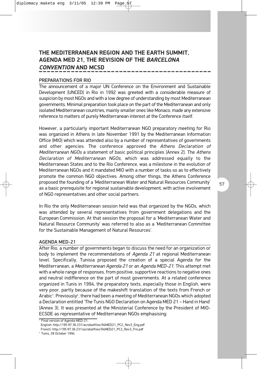# **THE MEDITERRANEAN REGION AND THE EARTH SUMMIT, AGENDA MED 21, THE REVISION OF THE BARCELONA CONVENTION AND MCSD**

#### PREPARATIONS FOR RIO

The announcement of a major UN Conference on the Environment and Sustainable Development (UNCED) in Rio in 1992 was greeted with a considerable measure of suspicion by most NGOs and with a low degree of understanding by most Mediterranean governments. Minimal preparation took place on the part of the Mediterranean and only isolated Mediterranean countries, mainly smaller ones like Monaco, made any extensive reference to matters of purely Mediterranean interest at the Conference itself.

However, a particularly important Mediterranean NGO preparatory meeting for Rio was organized in Athens in late November 1991 by the Mediterranean Information Office (MIO) which was attended also by a number of representatives of governments and other agencies. The conference approved the Athens Declaration of Mediterranean NGOs a statement of basic political principles (Annex 2). The Athens Declaration of Mediterranean NGOs, which was addressed equally to the Mediterranean States and to the Rio Conference, was a milestone in the evolution of Mediterranean NGOs and it mandated MIO with a number of tasks so as to effectively promote the common NGO objectives. Among other things, the Athens Conference proposed the founding of a 'Mediterranean Water and Natural Resources Community' as a basic prerequisite for regional sustainable development, with active involvement of NGO representatives and other social partners.

In Rio the only Mediterranean session held was that organized by the NGOs, which was attended by several representatives from government delegations and the European Commission. At that session the proposal for a 'Mediterranean Water and Natural Resource Community' was referred to also as a 'Mediterranean Committee for the Sustainable Management of Natural Resources'.

#### AGENDA MED-21

After Rio, a number of governments began to discuss the need for an organization or body to implement the recommendations of Agenda 21 at regional Mediterranean level. Specifically, Tunisia proposed the creation of a special Agenda for the Mediterranean, a *Mediterranean Agenda 21* or an Agenda MED-21. This attempt met with a whole range of responses, from positive, supportive reactions to negative ones and neutral indifference on the part of most governments. At a related conference organized in Tunis in 1994, the preparatory texts, especially those in English, were very poor, partly because of the makeshift translation of the texts from French or Arabic<sup>1</sup>. Previously<sup>2</sup>, there had been a meeting of Mediterranean NGOs which adopted a Declaration entitled 'The Tunis NGO Declaration on Agenda MED 21 – Hand in Hand' (Annex 3). It was presented at the Ministerial Conference by the President of MIO-ECSDE as representative of Mediterranean NGOs emphasising:

 $\frac{1}{1}$  Final version of Agenda MED-21.

English: http://195.97.36.231/acrobatfiles/94MED21\_PC2\_Rev3\_Eng.pdf

French: http://195.97.36.231/acrobatfiles/94MED21\_PC2\_Rev3\_Fre.pdf

<sup>2</sup> Tunis, 28 October 1994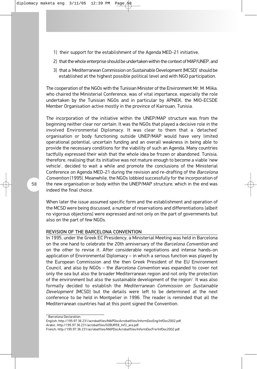- 1) their support for the establishment of the Agenda MED-21 initiative,
- 2) that the whole enterprise should be undertaken within the context of MAP/UNEP, and
- 3) that a 'Mediterranean Commission on Sustainable Development (MCSD)' should be established at the highest possible political level and with NGO participation.

The cooperation of the NGOs with the Tunisian Minister of the Environment Mr. M. Mlika, who chaired the Ministerial Conference, was of vital importance, especially the role undertaken by the Tunisian NGOs and in particular by APNEK, the MIO-ECSDE Member Organisation active mostly in the province of Kairouan, Tunisia.

The incorporation of the initiative within the UNEP/MAP structure was from the beginning neither clear nor certain. It was the NGOs that played a decisive role in the involved Environmental Diplomacy. It was clear to them that a 'detached' organisation or body functioning outside UNEP/MAP would have very limited operational potential, uncertain funding and an overall weakness in being able to provide the necessary conditions for the viability of such an Agenda. Many countries tactfully expressed their wish that the whole idea be frozen or abandoned. Tunisia, therefore, realising that its initiative was not mature enough to become a viable 'new vehicle', decided to wait a while and promote the conclusions of the Ministerial Conference on Agenda MED-21 during the revision and re-drafting of the Barcelona Convention (1995). Meanwhile, the NGOs lobbied successfully for the incorporation of the new organisation or body within the UNEP/MAP structure, which in the end was indeed the final choice.

When later the issue assumed specific form and the establishment and operation of the MCSD were being discussed, a number of reservations and differentiations (albeit no vigorous objections) were expressed and not only on the part of governments but also on the part of few NGOs.

#### REVISION OF THE BARCELONA CONVENTION

In 1995, under the Greek EC Presidency, a Ministerial Meeting was held in Barcelona on the one hand to celebrate the 20th anniversary of the Barcelona Convention and on the other to revise it. After considerable negotiations and intense hands-on application of Environmental Diplomacy – in which a serious function was played by the European Commission and the then Greek President of the EU Environment Council, and also by NGOs – the Barcelona Convention was expanded to cover not only the sea but also the broader Mediterranean region and not only the protection of the environment but also the sustainable development of the region'. It was also formally decided to establish the Mediterranean Commission on Sustainable Development (MCSD) but the details were left to be determined at the next conference to be held in Montpelier in 1996. The reader is reminded that all the Mediterranean countries had at this point signed the Convention.

<sup>&</sup>lt;sup>1</sup> Barcelona Declaration:

English: http://195.97.36.231/acrobatfiles/MAPDocAcrobatfiles/InformDocEng/InfDoc2002.pdf. Arabic: http://195.97.36.231/acrobatfiles/02BUR59\_Inf3\_ara.pdf.

French: http://195.97.36.231/acrobatfiles/MAPDocAcrobatfiles/InformDocFre/InfDoc2002.pdf.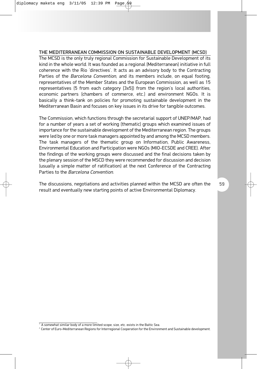#### THE MEDITERRANEAN COMMISSION ON SUSTAINABLE DEVELOPMENT (MCSD)

The MCSD is the only truly regional Commission for Sustainable Development of its kind in the whole world. It was founded as a regional (Mediterranean) initiative in full coherence with the Rio 'directives'. It acts as an advisory body to the Contracting Parties of the *Barcelona Convention*, and its members include, on equal footing, representatives of the Member States and the European Commission, as well as 15 representatives (5 from each category [3x5]) from the region's local authorities, economic partners (chambers of commerce, etc.) and environment NGOs. It is basically a think-tank on policies for promoting sustainable development in the Mediterranean Basin and focuses on key issues in its drive for tangible outcomes.

The Commission, which functions through the secretarial support of UNEP/MAP, had for a number of years a set of working (thematic) groups which examined issues of importance for the sustainable development of the Mediterranean region. The groups were led by one or more task managers appointed by and among the MCSD members. The task managers of the thematic group on Information, Public Awareness, Environmental Education and Participation were NGOs (MIO-ECSDE and CREE). After the findings of the working groups were discussed and the final decisions taken by the plenary session of the MSCD they were recommended for discussion and decision (usually a simple matter of ratification) at the next Conference of the Contracting Parties to the Barcelona Convention.

The discussions, negotiations and activities planned within the MCSD are often the result and eventually new starting points of active Environmental Diplomacy.

<sup>59</sup>

 $1/4$  Somewhat similar body of a more limited scope, size, etc. exists in the Baltic Sea.

<sup>&</sup>lt;sup>2</sup> Center of Euro-Mediterranean Regions for Interregional Cooperation for the Environment and Sustainable development.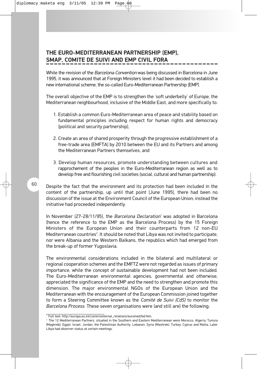# **THE EURO-MEDITERRANEAN PARTNERSHIP (EMP), SMAP, COMITE DE SUIVI AND EMP CIVIL FORA**

While the revision of the *Barcelona Convention* was being discussed in Barcelona in June 1995, it was announced that at Foreign Ministers level it had been decided to establish a new international scheme, the so-called Euro-Mediterranean Partnership (EMP).

The overall objective of the EMP is to strengthen the 'soft underbelly' of Europe, the Mediterranean neighbourhood, inclusive of the Middle East, and more specifically to:

- 1. Establish a common Euro-Mediterranean area of peace and stability based on fundamental principles including respect for human rights and democracy (political and security partnership),
- 2. Create an area of shared prosperity through the progressive establishment of a free-trade area (EMFTA) by 2010 between the EU and its Partners and among the Mediterranean Partners themselves, and
- 3. Develop human resources, promote understanding between cultures and rapprochement of the peoples in the Euro-Mediterranean region as well as to develop free and flourishing civil societies (social, cultural and human partnership).

Despite the fact that the environment and its protection had been included in the content of the partnership, up until that point (June 1995), there had been no discussion of the issue at the Environment Council of the European Union; instead the initiative had proceeded independently.

In November (27-28/11/95), the Barcelona Declaration<sup>1</sup> was adopted in Barcelona (hence the reference to the EMP as the Barcelona Process) by the 15 Foreign Ministers of the European Union and their counterparts from 12 non-EU Mediterranean countries<sup>2</sup>. It should be noted that Libya was not invited to participate, nor were Albania and the Western Balkans, the republics which had emerged from the break-up of former Yugoslavia.

The environmental considerations included in the bilateral and multilateral or regional cooperation schemes and the EMFTZ were not regarded as issues of primary importance, while the concept of sustainable development had not been included. The Euro-Mediterranean environmental agencies, governmental and otherwise, appreciated the significance of the EMP and the need to strengthen and promote this dimension. The major environmental NGOs of the European Union and the Mediterranean with the encouragement of the European Commission joined together to form a Steering Committee known as the *Comité de Suivi (CdS)* to monitor the Barcelona Process. These seven organisations were (and still are) the following:

<sup>1</sup> Full text: http://europa.eu.int/comm/external\_relations/euromed/bd.htm.

<sup>&</sup>lt;sup>2</sup> The 12 Mediterranean Partners, situated in the Southern and Eastern Mediterranean were Morocco, Algeria, Tunisia (Maghreb); Egypt, Israel, Jordan, the Palestinian Authority, Lebanon, Syria (Mashrek); Turkey, Cyprus and Malta; Later Libya had observer status at certain meetings.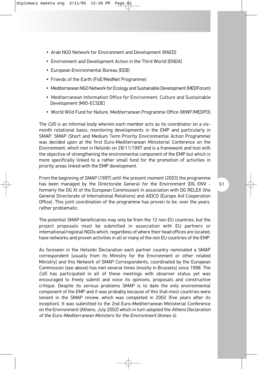- Arab NGO Network for Environment and Development (RAED)
- Environment and Development Action in the Third World (ENDA)
- European Environmental Bureau (EEB)
- Friends of the Earth (FoE/MedNet Programme)
- Mediterranean NGO Network for Ecology and Sustainable Development (MEDForum)
- Mediterranean Information Office for Environment, Culture and Sustainable Development (MIO-ECSDE)
- World Wild Fund for Nature, Mediterranean Programme Office (WWF/MEDPO)

The CdS is an informal body wherein each member acts as its coordinator on a sixmonth rotational basis, monitoring developments in the EMP and particularly in SMAP. SMAP (Short and Medium Term Priority Environmental Action Programme) was decided upon at the first Euro-Mediterranean Ministerial Conference on the Environment, which met in Helsinki on 28/11/1997 and is a framework and tool with the objective of strengthening the environmental component of the EMP but which is more specifically linked to a rather small fund for the promotion of activities in priority areas linked with the EMP development.

From the beginning of SMAP (1997) until the present moment (2003) the programme has been managed by the Directorate General for the Environment (DG ENV formerly the DG XI of the European Commission) in association with DG RELEX (the General Directorate of International Relations) and AIDCO (Europe Aid Cooperation Office). This joint coordination of the programme has proven to be, over the years, rather problematic.

The potential SMAP beneficiaries may only be from the 12 non-EU countries, but the project proposals must be submitted in association with EU partners or international/regional NGOs which, regardless of where their head offices are located, have networks and proven activities in all or many of the non EU countries of the EMP.

As foreseen in the Helsinki Declaration each partner country nominated a SMAP correspondent (usually from its Ministry for the Environment or other related Ministry) and this Network of SMAP Correspondents, coordinated by the European Commission (see above) has met several times (mostly in Brussels) since 1998. The CdS has participated in all of these meetings with observer status yet was encouraged to freely submit and voice its opinions, proposals and constructive critique. Despite its serious problems SMAP is to date the only environmental component of the EMP and it was probably because of this that most countries were lenient in the SMAP review, which was completed in 2002 (five years after its inception). It was submitted to the 2nd Euro-Mediterranean Ministerial Conference on the Environment (Athens, July 2002) which in turn adopted the Athens Declaration of the Euro-Mediterranean Ministers for the Environment (Annex 4).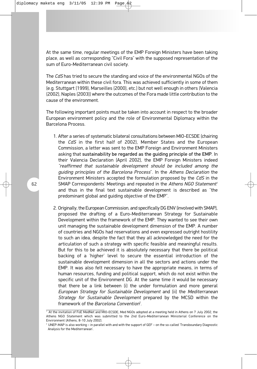At the same time, regular meetings of the EMP Foreign Ministers have been taking place, as well as corresponding "Civil Fora" with the supposed representation of the sum of Euro-Mediterranean civil society.

The CdS has tried to secure the standing and voice of the environmental NGOs of the Mediterranean within these civil fora. This was achieved sufficiently in some of them (e.g. Stuttgart (1999), Marseilles (2000), etc.) but not well enough in others (Valencia (2002), Naples (2003)) where the outcomes of the Fora made little contribution to the cause of the environment.

The following important points must be taken into account in respect to the broader European environment policy and the role of Environmental Diplomacy within the Barcelona Process.

- 1. After a series of systematic bilateral consultations between MIO-ECSDE (chairing the CdS in the first half of 2002), Member States and the European Commission, a letter was sent to the EMP Foreign and Environment Ministers asking that sustainability be regarded as the guiding principle of the EMP. In their Valencia Declaration (April 2002), the EMP Foreign Ministers indeed "reaffirmed that sustainable development should be included among the guiding principles of the Barcelona Process". In the Athens Declaration the Environment Ministers accepted the formulation proposed by the CdS in the SMAP Correspondents' Meetings and repeated in the Athens NGO Statement<sup>1</sup> and thus in the final text sustainable development is described as "the predominant global and guiding objective of the EMP".
- 2. Originally, the European Commission, and specifically DG ENV (involved with SMAP), proposed the drafting of a Euro-Mediterranean Strategy for Sustainable Development within the framework of the EMP. They wanted to see their own unit managing the sustainable development dimension of the EMP. A number of countries and NGOs had reservations and even expressed outright hostility to such an idea, despite the fact that they all acknowledged the need for the articulation of such a strategy with specific feasible and meaningful results. But for this to be achieved it is absolutely necessary that there be political backing of a 'higher' level to secure the essential introduction of the sustainable development dimension in all the sectors and actions under the EMP. It was also felt necessary to have the appropriate means, in terms of human resources, funding and political support, which do not exist within the specific unit of the Environment DG. At the same time it would be necessary that there be a link between (i) the under formulation and more general European Strategy for Sustainable Development and (ii) the Mediterranean Strategy for Sustainable Development prepared by the MCSD within the framework of the *Barcelona Convention*<sup>2</sup>.

<sup>&</sup>lt;sup>1</sup> At the invitation of FoE MedNet and MIO-ECSDE, Med NGOs adopted at a meeting held in Athens on 7 July 2002, the Athens NGO Statement which was submitted to the 2nd Euro-Mediterranean Ministerial Conference on the Environment (Athens, 8-10 July 2002).

<sup>2</sup> UNEP-MAP is also working – in parallel with and with the support of GEF – on the so-called 'Transboundary Diagnostic Analysis for the Mediterranean'.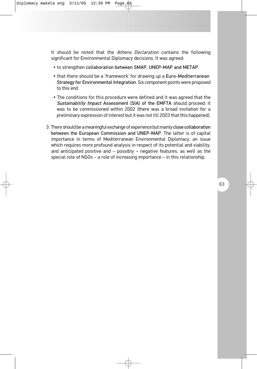It should be noted that the Athens Declaration contains the following significant for Environmental Diplomacy decisions. It was agreed:

- to strengthen collaboration between SMAP, UNEP-MAP and METAP.
- that there should be a 'framework' for drawing up a Euro-Mediterranean Strategy for Environmental Integration. Six component points were proposed to this end.
- The conditions for this procedure were defined and it was agreed that the Sustainability Impact Assessment (SIA) of the EMFTA should proceed; it was to be commissioned within 2002 (there was a broad invitation for a preliminary expression of interest but it was not till 2003 that this happened).
- 3. There should be a meaningful exchange of experience but mainly close collaboration between the European Commission and UNEP-MAP. The latter is of capital importance in terms of Mediterranean Environmental Diplomacy, an issue which requires more profound analysis in respect of its potential and viability, and anticipated positive and – possibly – negative features, as well as the special role of NGOs – a role of increasing importance – in this relationship.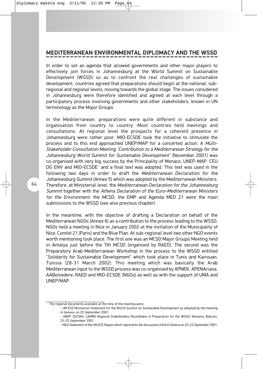## **MEDITERRANEAN ENVIRONMENTAL DIPLOMACY AND THE WSSD**

In order to set an agenda that allowed governments and other major players to effectively join forces in Johannesburg at the World Summit on Sustainable Development (WSSD) so as to confront the real challenges of sustainable development, countries agreed that preparations should begin at the national, subregional and regional levels, moving towards the global stage. The issues considered in Johannesburg were therefore identified and agreed at each level through a participatory process involving governments and other stakeholders, known in UN terminology as the Major Groups.

In the Mediterranean, preparations were quite different in substance and organisation from country to country. Most countries held meetings and consultations. At regional level the prospects for a coherent presence in Johannesburg were rather poor. MIO-ECSDE took the initiative to stimulate the process and to this end approached UNEP/MAP for a concerted action. A Multi-Stakeholder Consultation Meeting "Contribution to a Mediterranean Strategy for the Johannesburg World Summit for Sustainable Development" (November 2001) was co-organised with very big success by the Principality of Monaco, UNEP-MAP, CEU DG ENV and MIO-ECSDE<sup>1</sup> and a final text was adopted. This text was used in the following two days in order to draft the Mediterranean Declaration for the Johannesburg Summit (Annex 5) which was adopted by the Mediterranean Ministers. Therefore, at Ministerial level, the Mediterranean Declaration for the Johannesburg Summit together with the Athens Declaration of the Euro-Mediterranean Ministers for the Environment, the MCSD, the EMP and Agenda MED 21 were the main submissions to the WSSD (see also previous chapter).

In the meantime, with the objective of drafting a Declaration on behalf of the Mediterranean NGOs (Annex 6) as a contribution to the process leading to the WSSD, NGOs held a meeting in Nice in January 2002 at the invitation of the Municipality of Nice, Comité 21 (Paris) and the Blue Plan. At sub-regional level two other NGO events worth mentioning took place. The first one was an MCSD Major Groups Meeting held in Antalya just before the 7th MCSD (organised by RAED). The second was the Preparatory Arab-Mediterranean Workshop in the process to the WSSD entitled "Solidarity for Sustainable Development" which took place in Tunis and Kairouan, Tunisia (28-31 March 2002). This meeting which was basically the Arab Mediterranean input to the WSSD process was co-organised by APNEK, APENAriana, AABelvedere, RAED and MIO-ECSDE (NGOs) as well as with the support of UMA and UNEP/MAP.

 $\overline{1}$  The regional documents available at the time of the meeting were:

<sup>-</sup> UN ECE Ministerial Statement for the World Summit on Sustainable Development as adopted by the meeting in Geneva, on 25 September 2001.

<sup>-</sup> UNEP, ESCWA, CAMRE Regional Stakeholders Roundtable in Preparation for the WSSD, Manama, Bahrain, 23-25 September 2001.

<sup>-</sup> NGO Statement of the UN ECE Region which represents the discussions held in Geneva on 22-23 September 2001.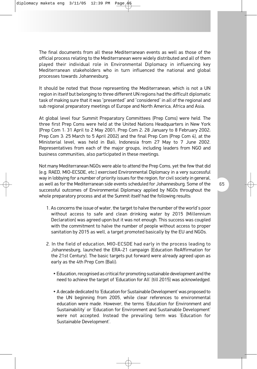The final documents from all these Mediterranean events as well as those of the official process relating to the Mediterranean were widely distributed and all of them played their individual role in Environmental Diplomacy in influencing key Mediterranean stakeholders who in turn influenced the national and global processes towards Johannesburg.

It should be noted that those representing the Mediterranean, which is not a UN region in itself but belonging to three different UN regions had the difficult diplomatic task of making sure that it was "presented" and "considered" in all of the regional and sub regional preparatory meetings of Europe and North America, Africa and Asia.

At global level four Summit Preparatory Committees (Prep Coms) were held. The three first Prep Coms were held at the United Nations Headquarters in New York (Prep Com 1: 31 April to 2 May 2001; Prep Com 2: 28 January to 8 February 2002; Prep Com 3: 25 March to 5 April 2002) and the final Prep Com (Prep Com 4), at the Ministerial level, was held in Bali, Indonesia from 27 May to 7 June 2002. Representatives from each of the major groups, including leaders from NGO and business communities, also participated in these meetings.

Not many Mediterranean NGOs were able to attend the Prep Coms, yet the few that did (e.g. RAED, MIO-ECSDE, etc.) exercised Environmental Diplomacy in a very successful way in lobbying for a number of priority issues for the region, for civil society in general, as well as for the Mediterranean side events scheduled for Johannesburg. Some of the successful outcomes of Environmental Diplomacy applied by NGOs throughout the whole preparatory process and at the Summit itself had the following results:

- 1. As concerns the issue of water, the target to halve the number of the world's poor without access to safe and clean drinking water by 2015 (Millennium Declaration) was agreed upon but it was not enough. This success was coupled with the commitment to halve the number of people without access to proper sanitation by 2015 as well, a target promoted basically by the EU and NGOs.
- 2. In the field of education, MIO-ECSDE had early in the process leading to Johannesburg, launched the ERA-21 campaign (Education ReAffirmation for the 21st Century). The basic targets put forward were already agreed upon as early as the 4th Prep Com (Bali):
	- Education, recognised as critical for promoting sustainable development and the need to achieve the target of 'Education for All' (till 2015) was acknowledged.
	- A decade dedicated to 'Education for Sustainable Development' was proposed to the UN beginning from 2005, while clear references to environmental education were made. However, the terms 'Education for Environment and Sustainability' or 'Education for Environment and Sustainable Development' were not accepted. Instead the prevailing term was 'Education for Sustainable Development'.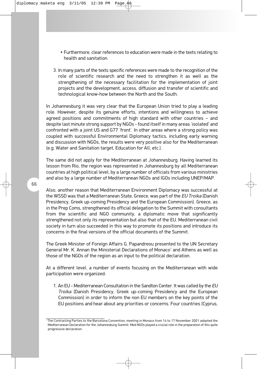- Furthermore, clear references to education were made in the texts relating to health and sanitation.
- 3. In many parts of the texts specific references were made to the recognition of the role of scientific research and the need to strengthen it as well as the strengthening of the necessary facilitation for the implementation of joint projects and the development, access, diffusion and transfer of scientific and technological know-how between the North and the South.

In Johannesburg it was very clear that the European Union tried to play a leading role. However, despite its genuine efforts, intentions and willingness to achieve agreed positions and commitments of high standard with other countries – and despite last minute strong support by NGOs - found itself in many areas 'isolated' and confronted with a joint US and G77 'front'. In other areas where a strong policy was coupled with successful Environmental Diplomacy tactics, including early warning and discussion with NGOs, the results were very positive also for the Mediterranean (e.g. Water and Sanitation target, Education for All, etc.).

The same did not apply for the Mediterranean at Johannesburg. Having learned its lesson from Rio, the region was represented in Johannesburg by all Mediterranean countries at high political level, by a large number of officials from various ministries and also by a large number of Mediterranean NGOs and IGOs including UNEP/MAP.

Also, another reason that Mediterranean Environment Diplomacy was successful at the WSSD was that a Mediterranean State, Greece, was part of the EU Troika (Danish Presidency, Greek up-coming Presidency and the European Commission). Greece, as in the Prep Coms, strengthened its official delegation to the Summit with consultants from the scientific and NGO community, a diplomatic move that significantly strengthened not only its representation but also that of the EU. Mediterranean civil society in turn also succeeded in this way to promote its positions and introduce its concerns in the final versions of the official documents of the Summit.

The Greek Minister of Foreign Affairs G. Papandreou presented to the UN Secretary General Mr. K. Annan the Ministerial Declarations of Monaco<sup>1</sup> and Athens as well as those of the NGOs of the region as an input to the political declaration.

At a different level, a number of events focusing on the Mediterranean with wide participation were organized:

1. An EU - Mediterranean Consultation in the Sandton Center. It was called by the EU Troika (Danish Presidency, Greek up-coming Presidency and the European Commission) in order to inform the non EU members on the key points of the EU positions and hear about any priorities or concerns. Four countries (Cyprus,

<sup>&</sup>lt;sup>1</sup>The Contracting Parties to the Barcelona Convention, meeting in Monaco from 14 to 17 November 2001 adopted the Mediterranean Declaration for the Johannesburg Summit. Med NGOs played a crucial role in the preparation of this quite progressive declaration.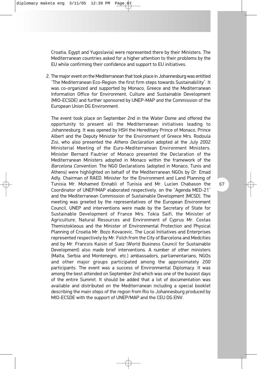Croatia, Egypt and Yugoslavia) were represented there by their Ministers. The Mediterranean countries asked for a higher attention to their problems by the EU while confirming their confidence and support to EU initiatives.

2. The major event on the Mediterranean that took place in Johannesburg was entitled "The Mediterranean Eco-Region: the first firm steps towards Sustainability". It was co-organized and supported by Monaco, Greece and the Mediterranean Information Office for Environment, Culture and Sustainable Development (MIO-ECSDE) and further sponsored by UNEP-MAP and the Commission of the European Union DG Environment.

The event took place on September 2nd in the Water Dome and offered the opportunity to present all the Mediterranean initiatives leading to Johannesburg. It was opened by HSH the Hereditary Prince of Monaco, Prince Albert and the Deputy Minister for the Environment of Greece Mrs. Rodoula Zisi, who also presented the Athens Declaration adopted at the July 2002 Ministerial Meeting of the Euro-Mediterranean Environment Ministers. Minister Bernard Fautrier of Monaco presented the Declaration of the Mediterranean Ministers adopted in Monaco within the framework of the Barcelona Convention. The NGO Declarations (adopted in Monaco, Tunis and Athens) were highlighted on behalf of the Mediterranean NGOs by Dr. Emad Adly, Chairman of RAED. Minister for the Environment and Land Planning of Tunisia Mr. Mohamed Ennabli of Tunisia and Mr. Lucien Chabason the Coordinator of UNEP/MAP elaborated respectively, on the "Agenda MED-21" and the Mediterranean Commission of Sustainable Development (MCSD). The meeting was greeted by the representatives of the European Environment Council, UNEP and interventions were made by the Secretary of State for Sustainable Development of France Mrs. Tokia Saifi, the Minister of Agriculture, Natural Resources and Environment of Cyprus Mr. Costas Themistokleous and the Minister of Environmental Protection and Physical Planning of Croatia Mr. Bozo Kovacevic. The Local Initiatives and Enterprises represented respectively by Mr. Folch from the City of Barcelona and Medcities and by Mr. Francois Kaisin of Suez (World Business Council for Sustainable Development) also made brief interventions. A number of other ministers (Malta, Serbia and Montenegro, etc.) ambassadors, parliamentarians, NGOs and other major groups participated among the approximately 200 participants. The event was a success of Environmental Diplomacy. It was among the best attended on September 2nd which was one of the busiest days of the entire Summit. It should be added that a lot of documentation was available and distributed on the Mediterranean including a special booklet describing the main steps of the region from Rio to Johannesburg produced by MIO-ECSDE with the support of UNEP/MAP and the CEU DG ENV.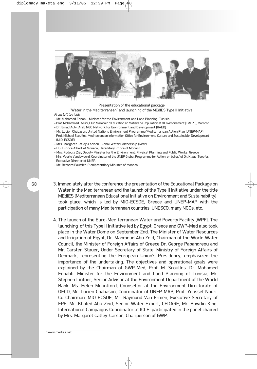

Presentation of the educational package

"Water in the Mediterranean" and launching of the MEdIES Type II Initiative.

From left to right:

- Mr. Mohamed Ennabli, Minister for the Environment and Land Planning, Tunisia
- Prof. Mohammed Ftouhi, Club Marocain d'Education en Matiere de Population et d'Environnement (CMEPE), Morocco
- Dr. Emad Adly, Arab NGO Network for Environment and Development (RAED)
- Mr. Lucien Chabason, United Nations Environment Programme/Mediterranean Action Plan (UNEP/MAP)
- Prof. Michael Scoullos, Mediterranean Information Office for Environment, Culture and Sustainable Development (MIO-ECSDE)
- Mrs. Margaret Catley-Carlson, Global Water Partnership (GWP)
- HSH Prince Albert of Monaco, Hereditary Prince of Monaco
- Mrs. Rodoula Zisi, Deputy Minister for the Environment, Physical Planning and Public Works, Greece
- Mrs. Veerle Vandeweerd, Coordinator of the UNEP Global Programme for Action, on behalf of Dr. Klaus Toepfer, Executive Director of UNEP.
- Mr. Bernard Fautrier, Plenipotentiary Minister of Monaco
- 68
- 3. Immediately after the conference the presentation of the Educational Package on Water in the Mediterranean and the launch of the Type II Initiative under the title MEdIES (Mediterranean Educational Initiative on Environment and Sustainability)<sup>1</sup> took place, which is led by MIO-ECSDE, Greece and UNEP-MAP with the participation of many Mediterranean countries, UNESCO, many NGOs, etc.
- 4. The launch of the Euro-Mediterranean Water and Poverty Facility (WPF). The launching of this Type II Initiative led by Egypt, Greece and GWP-Med also took place in the Water Dome on September 2nd. The Minister of Water Resources and Irrigation of Egypt, Dr. Mahmoud Abu Zeid, Chairman of the World Water Council, the Minister of Foreign Affairs of Greece Dr. George Papandreou and Mr. Carsten Stauer, Under Secretary of State, Ministry of Foreign Affairs of Denmark, representing the European Union's Presidency, emphasized the importance of the undertaking. The objectives and operational goals were explained by the Chairman of GWP-Med, Prof. M. Scoullos. Dr. Mohamed Ennabli, Minister for the Environment and Land Planning of Tunisia, Mr. Stephen Lintner, Senior Advisor at the Environment Department of the World Bank, Ms. Helen Mountford, Counsellor at the Environment Directorate of OECD, Mr. Lucien Chabason, Coordinator of UNEP-MAP, Prof. Youssef Nouri, Co-Chairman, MIO-ECSDE, Mr. Raymond Van Ermen, Executive Secretary of EPE, Mr. Khaled Abu Zeid, Senior Water Expert, CEDARE, Mr. Bowdin King, International Campaigns Coordinator at ICLEI participated in the panel chaired by Mrs. Margaret Catley-Carson, Chairperson of GWP.

 $1$ www.medies.net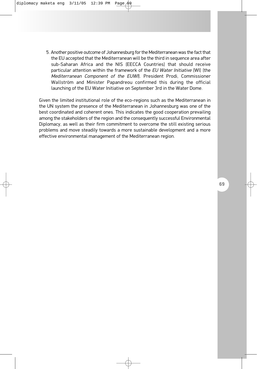5. Another positive outcome of Johannesburg for the Mediterranean was the fact that the EU accepted that the Mediterranean will be the third in sequence area after sub-Saharan Africa and the NIS (EECCA Countries) that should receive particular attention within the framework of the EU Water Initiative (WI) (the Mediterranean Component of the EUWI). President Prodi, Commissioner Wallström and Minister Papandreou confirmed this during the official launching of the EU Water Initiative on September 3rd in the Water Dome.

Given the limited institutional role of the eco-regions such as the Mediterranean in the UN system the presence of the Mediterranean in Johannesburg was one of the best coordinated and coherent ones. This indicates the good cooperation prevailing among the stakeholders of the region and the consequently successful Environmental Diplomacy, as well as their firm commitment to overcome the still existing serious problems and move steadily towards a more sustainable development and a more effective environmental management of the Mediterranean region.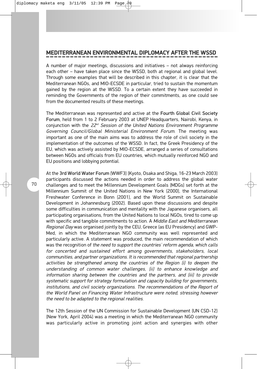## **MEDITERRANEAN ENVIRONMENTAL DIPLOMACY AFTER THE WSSD**

A number of major meetings, discussions and initiatives – not always reinforcing each other – have taken place since the WSSD, both at regional and global level. Through some examples that will be described in this chapter, it is clear that the Mediterranean NGOs, and MIO-ECSDE in particular, tried to sustain the momentum gained by the region at the WSSD. To a certain extent they have succeeded in reminding the Governments of the region of their commitments, as one could see from the documented results of these meetings.

The Mediterranean was represented and active at the Fourth Global Civil Society Forum, held from 1 to 2 February 2003 at UNEP Headquarters, Nairobi, Kenya, in conjunction with the  $22^{nd}$  Session of the United Nations Environment Programme Governing Council/Global Ministerial Environment Forum. The meeting was important as one of the main aims was to address the role of civil society in the implementation of the outcomes of the WSSD. In fact, the Greek Presidency of the EU, which was actively assisted by MIO-ECSDE, arranged a series of consultations between NGOs and officials from EU countries, which mutually reinforced NGO and EU positions and lobbying potential.

At the 3rd World Water Forum (WWF3) (Kyoto, Osaka and Shiga, 16-23 March 2003) participants discussed the actions needed in order to address the global water challenges and to meet the Millennium Development Goals (MDGs) set forth at the Millennium Summit of the United Nations in New York (2000), the International Freshwater Conference in Bonn (2001), and the World Summit on Sustainable Development in Johannesburg (2002). Based upon these discussions and despite some difficulties in communication and mentality with the Japanese organisers, all participating organisations, from the United Nations to local NGOs, tired to come up with specific and tangible commitments to action. A Middle East and Mediterranean Regional Day was organised jointly by the CEU, Greece (as EU Presidency) and GWP-Med, in which the Mediterranean NGO community was well represented and particularly active. A statement was produced, the main recommendation of which was the recognition of the need to support the countries' reform agenda, which calls for concerted and sustained effort among governments, stakeholders, local communities, and partner organizations. It is recommended that regional partnership activities be strengthened among the countries of the Region (i) to deepen the understanding of common water challenges, (ii) to enhance knowledge and information sharing between the countries and the partners, and (iii) to provide systematic support for strategy formulation and capacity building for governments, institutions, and civil society organizations. The recommendations of the Report of the World Panel on Financing Water Infrastructure were noted, stressing however the need to be adapted to the regional realities.

The 12th Session of the UN Commission for Sustainable Development (UN CSD-12) (New York, April 2004) was a meeting in which the Mediterranean NGO community was particularly active in promoting joint action and synergies with other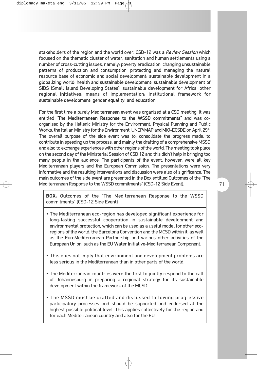stakeholders of the region and the world over. CSD-12 was a Review Session which focused on the thematic cluster of water, sanitation and human settlements using a number of cross-cutting issues, namely: poverty eradication; changing unsustainable patterns of production and consumption; protecting and managing the natural resource base of economic and social development; sustainable development in a globalizing world; health and sustainable development; sustainable development of SIDS (Small Island Developing States); sustainable development for Africa; other regional initiatives; means of implementation; institutional framework for sustainable development; gender equality; and education.

For the first time a purely Mediterranean event was organized at a CSD meeting. It was entitled "The Mediterranean Response to the WSSD commitments" and was coorganised by the Hellenic Ministry for the Environment, Physical Planning and Public Works, the Italian Ministry for the Environment, UNEP/MAP and MIO-ECSDE on April 29<sup>th</sup>. The overall purpose of the side event was to: consolidate the progress made, to contribute in speeding up the process, and mainly the drafting of a comprehensive MSSD and also to exchange experiences with other regions of the world. The meeting took place on the second day of the Ministerial Session of CSD 12 and this didn't help in bringing too many people in the audience. The participants of the event, however, were all key Mediterranean players and the European Commission. The presentations were very informative and the resulting interventions and discussion were also of significance. The main outcomes of the side event are presented in the Box entitled Outcomes of the "The Mediterranean Response to the WSSD commitments" (CSD-12 Side Event).

**BOX:** Outcomes of the "The Mediterranean Response to the WSSD commitments" (CSD-12 Side Event)

- The Mediterranean eco-region has developed significant experience for long-lasting successful cooperation in sustainable development and environmental protection, which can be used as a useful model for other ecoregions of the world: the Barcelona Convention and the MCSD within it, as well as the EuroMediterranean Partnership and various other activities of the European Union, such as the EU Water Initiative-Mediterranean Component.
- This does not imply that environment and development problems are less serious in the Mediterranean than in other parts of the world.
- The Mediterranean countries were the first to jointly respond to the call of Johannesburg in preparing a regional strategy for its sustainable development within the framework of the MCSD.
- The MSSD must be drafted and discussed following progressive participatory processes and should be supported and endorsed at the highest possible political level. This applies collectively for the region and for each Mediterranean country and also for the EU.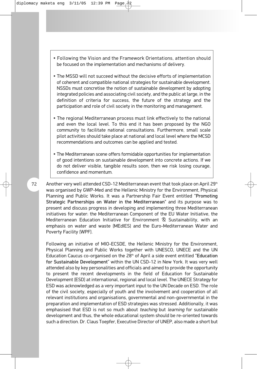- Following the Vision and the Framework Orientations, attention should be focused on the implementation and mechanisms of delivery.
- The MSSD will not succeed without the decisive efforts of implementation of coherent and compatible national strategies for sustainable development. NSSDs must concretise the notion of sustainable development by adopting integrated policies and associating civil society, and the public at large, in the definition of criteria for success, the future of the strategy and the participation and role of civil society in the monitoring and management.
- The regional Mediterranean process must link effectively to the national and even the local level. To this end it has been proposed by the NGO community to facilitate national consultations. Furthermore, small scale pilot activities should take place at national and local level where the MCSD recommendations and outcomes can be applied and tested.
- The Mediterranean scene offers formidable opportunities for implementation of good intentions on sustainable development into concrete actions. If we do not deliver visible, tangible results soon, then we risk losing courage, confidence and momentum.

Another very well attended CSD-12 Mediterranean event that took place on April 29th was organised by GWP-Med and the Hellenic Ministry for the Environment, Physical Planning and Public Works. It was a Partnership Fair Event entitled "Promoting Strategic Partnerships on Water in the Mediterranean" and its purpose was to present and discuss progress in developing and implementing three Mediterranean initiatives for water: the Mediterranean Component of the EU Water Initiative, the Mediterranean Education Initiative for Environment & Sustainability, with an emphasis on water and waste (MEdIES) and the Euro-Mediterranean Water and Poverty Facility (WPF).

Following an initiative of MIO-ECSDE, the Hellenic Ministry for the Environment, Physical Planning and Public Works together with UNESCO, UNECE and the UN Education Caucus co-organised on the 28<sup>th</sup> of April a side event entitled "Education for Sustainable Development" within the UN CSD-12 in New York. It was very well attended also by key personalities and officials and aimed to provide the opportunity to present the recent developments in the field of Education for Sustainable Development (ESD) at international, regional and local level. The UNECE Strategy for ESD was acknowledged as a very important input to the UN Decade on ESD. The role of the civil society, especially of youth and the involvement and cooperation of all relevant institutions and organisations, governmental and non-governmental in the preparation and implementation of ESD strategies was stressed. Additionally, it was emphasised that ESD is not so much about *teaching* but *learning* for sustainable development and thus, the whole educational system should be re-oriented towards such a direction. Dr. Claus Toepfer, Executive Director of UNEP, also made a short but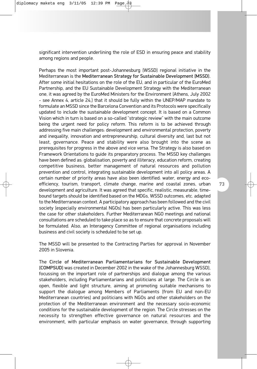significant intervention underlining the role of ESD in ensuring peace and stability among regions and people.

Perhaps the most important post-Johannesburg (WSSD) regional initiative in the Mediterranean is the Mediterranean Strategy for Sustainable Development (MSSD). After some initial hesitations on the role of the EU, and in particular of the EuroMed Partnership, and the EU Sustainable Development Strategy with the Mediterranean one, it was agreed by the EuroMed Ministers for the Environment (Athens, July 2002 - see Annex 4, article 24,) that it should be fully within the UNEP/MAP mandate to formulate an MSSD since the Barcelona Convention and its Protocols were specifically updated to include the sustainable development concept. It is based on a Common Vision which in turn is based on a so-called "strategic review" with the main outcome being the urgent need for policy reform. This reform is to be achieved through addressing five main challenges: development and environmental protection, poverty and inequality, innovation and entrepreneurship, cultural diversity and, last but not least, governance. Peace and stability were also brought into the scene as prerequisites for progress in the above and vice versa. The Strategy is also based on Framework Orientations to guide its preparatory process. The MSSD key challenges have been defined as: globalisation, poverty and illiteracy, education reform, creating competitive business, better management of natural resources and pollution prevention and control, integrating sustainable development into all policy areas. A certain number of priority areas have also been identified: water, energy and ecoefficiency, tourism, transport, climate change, marine and coastal zones, urban development and agriculture. It was agreed that specific, realistic, measurable, timebound targets should be identified based on the MDGs, WSSD outcomes, etc. adapted to the Mediterranean context. A participatory approach has been followed and the civil society (especially environmental NGOs) has been particularly active. This was less the case for other stakeholders. Further Mediterranean NGO meetings and national consultations are scheduled to take place so as to ensure that concrete proposals will be formulated. Also, an Interagency Committee of regional organisations including business and civil society is scheduled to be set up.

The MSSD will be presented to the Contracting Parties for approval in November 2005 in Slovenia.

The Circle of Mediterranean Parliamentarians for Sustainable Development (COMPSUD) was created in December 2002 in the wake of the Johannesburg WSSD), focussing on the important role of partnerships and dialogue among the various stakeholders, including Parliamentarians and politicians at large. The Circle is an open, flexible and light structure, aiming at promoting suitable mechanisms to support the dialogue among Members of Parliaments (from EU and non-EU Mediterranean countries) and politicians with NGOs and other stakeholders on the protection of the Mediterranean environment and the necessary socio-economic conditions for the sustainable development of the region. The Circle stresses on the necessity to strengthen effective governance on natural resources and the environment, with particular emphasis on water governance, through supporting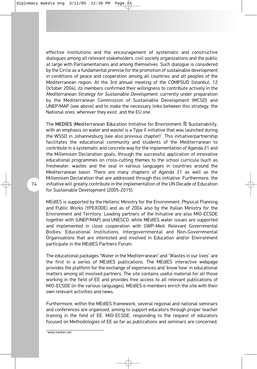effective institutions and the encouragement of systematic and constructive dialogues among all relevant stakeholders, civil society organizations and the public at large with Parliamentarians and among themselves. Such dialogue is considered by the Circle as a fundamental premise for the promotion of sustainable development in conditions of peace and cooperation among all countries and all peoples of the Mediterranean region. At the 3rd annual meeting of the COMPSUD (Istanbul, 12 October 2004), its members confirmed their willingness to contribute actively in the Mediterranean Strategy for Sustainable Development, currently under preparation by the Mediterranean Commission of Sustainable Development (MCSD) and UNEP/MAP (see above) and to make the necessary links between this strategy, the National ones, wherever they exist, and the EU one.

The MEDIES (Mediterranean Education Initiative for Environment & Sustainability, with an emphasis on water and waste) is a Type II initiative that was launched during the WSSD in Johannesburg (see also previous chapter)'. This initiative/partnership facilitates the educational community and students of the Mediterranean to contribute in a systematic and concrete way for the implementation of Agenda 21 and the Millennium Declaration goals, through the successful application of innovative educational programmes on cross-cutting themes to the school curricula (such as freshwater, wastes and the sea) in various languages in countries around the Mediterranean basin. There are many chapters of Agenda 21 as well as the Millennium Declaration that are addressed through this initiative. Furthermore, the initiative will greatly contribute in the implementation of the UN Decade of Education for Sustainable Development (2005-2015).

MEdIES is supported by the Hellenic Ministry for the Environment, Physical Planning and Public Works (YPEXODE) and as of 2004 also by the Italian Ministry for the Environment and Territory. Leading partners of the Initiative are also MIO-ECSDE together with (UNEP/MAP) and UNESCO, while MEdIES water issues are supported and implemented in close cooperation with GWP-Med. Relevant Governmental Bodies, Educational Institutions, Intergovernmental and Non-Governmental Organisations that are interested and involved in Education and/or Environment participate in the MEdIES Partners Forum.

The educational packages "Water in the Mediterranean" and "Wastes in our lives" are the first in a series of MEdIES publications. The MEdIES interactive webpage provides the platform for the exchange of experiences and 'know how' in educational matters among all involved partners. The site contains useful material for all those working in the field of EE and provides free access to all relevant publications of MIO-ECSDE (in the various languages). MEdIES e-members enrich the site with their own relevant activities and news.

Furthermore, within the MEdIES framework, several regional and national seminars and conferences are organised, aiming to support educators through proper teacher training in the field of EE. MIO-ECSDE, responding to the request of educators focused on Methodologies of EE as far as publications and seminars are concerned.

 $1$ www.medies.net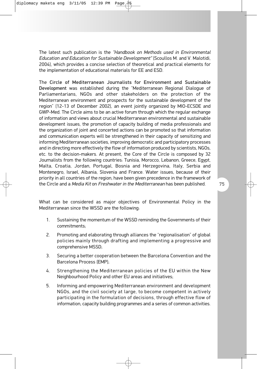The latest such publication is the "Handbook on Methods used in Environmental Education and Education for Sustainable Development" (Scoullos M. and V. Malotidi, 2004), which provides a concise selection of theoretical and practical elements for the implementation of educational materials for EE and ESD.

The Circle of Mediterranean Journalists for Environment and Sustainable Development was established during the "Mediterranean Regional Dialogue of Parliamentarians, NGOs and other stakeholders on the protection of the Mediterranean environment and prospects for the sustainable development of the region" (12-13 of December 2002), an event jointly organized by MIO-ECSDE and GWP-Med. The Circle aims to be an active forum through which the regular exchange of information and views about crucial Mediterranean environmental and sustainable development issues, the promotion of capacity building of media professionals and the organization of joint and concerted actions can be promoted so that information and communication experts will be strengthened in their capacity of sensitizing and informing Mediterranean societies, improving democratic and participatory processes and in directing more effectively the flow of information produced by scientists, NGOs, etc. to the decision-makers. At present, the Core of the Circle is composed by 32 Journalists from the following countries: Tunisia, Morocco, Lebanon, Greece, Egypt, Malta, Croatia, Jordan, Portugal, Bosnia and Herzegovina, Italy, Serbia and Montenegro, Israel, Albania, Slovenia and France. Water issues, because of their priority in all countries of the region, have been given precedence in the framework of the Circle and a Media Kit on Freshwater in the Mediterranean has been published.

What can be considered as major objectives of Environmental Policy in the Mediterranean since the WSSD are the following:

- 1. Sustaining the momentum of the WSSD reminding the Governments of their commitments;
- 2. Promoting and elaborating through alliances the "regionalisation" of global policies mainly through drafting and implementing a progressive and comprehensive MSSD;
- 3. Securing a better cooperation between the Barcelona Convention and the Barcelona Process (EMP);
- 4. Strengthening the Mediterranean policies of the EU within the New Neighbourhood Policy and other EU areas and initiatives;
- 5. Informing and empowering Mediterranean environment and development NGOs, and the civil society at large, to become competent in actively participating in the formulation of decisions, through effective flow of information, capacity building programmes and a series of common activities.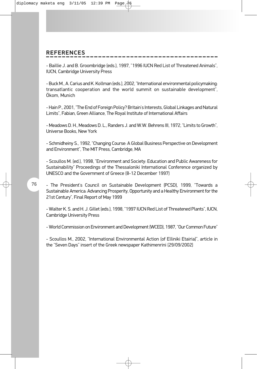# **REFERENCES**

- Baillie J. and B. Groombridge (eds.), 1997, "1996 IUCN Red List of Threatened Animals", IUCN, Cambridge University Press

- Buck M., A. Carius and K. Kollman (eds.), 2002, "International environmental policymaking: transatlantic cooperation and the world summit on sustainable development", Ökom, Munich

- Hain P., 2001, "The End of Foreign Policy? Britain's Interests, Global Linkages and Natural Limits", Fabian, Green Alliance, The Royal Institute of International Affairs

- Meadows D. H., Meadows D. L., Randers J. and W.W. Behrens III, 1972, "Limits to Growth", Universe Books, New York

- Schmidheiny S., 1992, "Changing Course: A Global Business Perspective on Development and Environment", The MIT Press, Cambridge, MA

- Scoullos M. (ed.), 1998, "Environment and Society: Education and Public Awareness for Sustainability" Proceedings of the Thessaloniki International Conference organized by UNESCO and the Government of Greece (8-12 December 1997)

- The President's Council on Sustainable Development (PCSD), 1999, "Towards a Sustainable America: Advancing Prosperity, Opportunity and a Healthy Environment for the 21st Century", Final Report of May 1999

- Walter K. S. and H. J. Gillet (eds.), 1998, "1997 IUCN Red List of Threatened Plants", IUCN, Cambridge University Press

- World Commission on Environment and Development (WCED), 1987, "Our Common Future"

- Scoullos M., 2002, "International Environmental Action (of Elliniki Etairia)", article in the "Seven Days" insert of the Greek newspaper Kathimenrini (29/09/2002)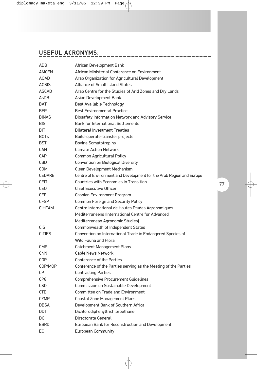# **USEFUL ACRONYMS:**

| ADB              | African Development Bank                                             |
|------------------|----------------------------------------------------------------------|
| <b>AMCEN</b>     | African Ministerial Conference on Environment                        |
| <b>AOAD</b>      | Arab Organization for Agricultural Development                       |
| <b>AOSIS</b>     | <b>Alliance of Small Island States</b>                               |
| ASCAD            | Arab Centre for the Studies of Arid Zones and Dry Lands              |
| AsDB             | Asian Development Bank                                               |
| BAT              | <b>Best Available Technology</b>                                     |
| BEP              | <b>Best Environmental Practice</b>                                   |
| <b>BINAS</b>     | Biosafety Information Network and Advisory Service                   |
| <b>BIS</b>       | <b>Bank for International Settlements</b>                            |
| BIT              | <b>Bilateral Investment Treaties</b>                                 |
| BOT <sub>S</sub> | Build-operate-transfer projects                                      |
| BST              | <b>Bovine Somatotropins</b>                                          |
| <b>CAN</b>       | <b>Climate Action Network</b>                                        |
| CAP              | Common Agricultural Policy                                           |
| CBD              | <b>Convention on Biological Diversity</b>                            |
| <b>CDM</b>       | Clean Development Mechanism                                          |
| <b>CEDARE</b>    | Centre of Environment and Development for the Arab Region and Europe |
| <b>CEIT</b>      | <b>Countries with Economies in Transition</b>                        |
| CEO              | <b>Chief Executive Officer</b>                                       |
| CEP              | Caspian Environment Program                                          |
| <b>CFSP</b>      | <b>Common Foreign and Security Policy</b>                            |
| <b>CIHEAM</b>    | Centre International de Hautes Etudes Agronomiques                   |
|                  | Méditerranéens (International Centre for Advanced                    |
|                  | Mediterranean Agronomic Studies)                                     |
| <b>CIS</b>       | Commonwealth of Independent States                                   |
| <b>CITIES</b>    | Convention on International Trade in Endangered Species of           |
|                  | Wild Fauna and Flora                                                 |
| <b>CMP</b>       | <b>Catchment Management Plans</b>                                    |
| <b>CNN</b>       | <b>Cable News Network</b>                                            |
| COP              | Conference of the Parties                                            |
| COP/MOP          | Conference of the Parties serving as the Meeting of the Parties      |
| CP               | <b>Contracting Parties</b>                                           |
| <b>CPG</b>       | <b>Comprehensive Procurement Guidelines</b>                          |
| CSD              | Commission on Sustainable Development                                |
| CTE              | Committee on Trade and Environment                                   |
| <b>CZMP</b>      | Coastal Zone Management Plans                                        |
| <b>DBSA</b>      | Development Bank of Southern Africa                                  |
| DDT              | Dichlorodiphenyltrichloroethane                                      |
| DG               | Directorate General                                                  |
| <b>EBRD</b>      | European Bank for Reconstruction and Development                     |
| EC               | <b>European Community</b>                                            |

-----------------------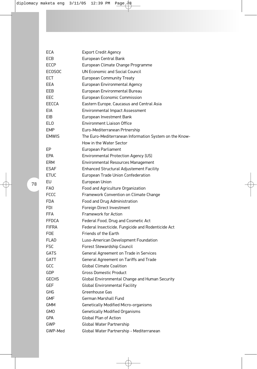| ECA             | <b>Export Credit Agency</b>                            |
|-----------------|--------------------------------------------------------|
| <b>ECB</b>      | European Central Bank                                  |
| ECCP            | European Climate Change Programme                      |
| <b>ECOSOC</b>   | UN Economic and Social Council                         |
| <b>FCT</b>      | <b>European Community Treaty</b>                       |
| EEA             | <b>European Environmental Agency</b>                   |
| EEB             | European Environmental Bureau                          |
| <b>EEC</b>      | European Economic Commission                           |
| <b>EECCA</b>    | Eastern Europe, Caucasus and Central Asia              |
| <b>EIA</b>      | <b>Environmental Impact Assessment</b>                 |
| <b>EIB</b>      | European Investment Bank                               |
| EL0             | <b>Environment Liaison Office</b>                      |
| <b>EMP</b>      | Euro-Mediterranean Prtnership                          |
| <b>EMWIS</b>    | The Euro-Mediterranean Information System on the Know- |
|                 | How in the Water Sector                                |
| EP              | European Parliament                                    |
| <b>EPA</b>      | <b>Environmental Protection Agency (US)</b>            |
| <b>ERM</b>      | <b>Environmental Resources Management</b>              |
| <b>ESAF</b>     | <b>Enhanced Structural Adjustement Facility</b>        |
| <b>ETUC</b>     | European Trade Union Confederation                     |
| EU              | European Union                                         |
| FA <sub>0</sub> | Food and Agriculture Organization                      |
| <b>FCCC</b>     | Framework Convention on Climate Change                 |
| <b>FDA</b>      | Food and Drug Administration                           |
| <b>FDI</b>      | Foreign Direct Investment                              |
| FFA.            | Framework for Action                                   |
| <b>FFDCA</b>    | Federal Food, Drug and Cosmetic Act                    |
| <b>FIFRA</b>    | Federal Insecticide, Fungicide and Rodenticide Act     |
| <b>FOE</b>      | Friends of the Earth                                   |
| <b>FLAD</b>     | Luso-American Development Foundation                   |
| <b>FSC</b>      | Forest Stewardship Council                             |
| <b>GATS</b>     | General Agreement on Trade in Services                 |
| GATT            | General Agreement on Tariffs and Trade                 |
| GCC             | <b>Global Climate Coalition</b>                        |
| GDP             | Gross Domestic Product                                 |
| <b>GECHS</b>    | Global Environmental Change and Human Security         |
| GEF             | <b>Global Environmental Facility</b>                   |
| GHG             | Greenhouse Gas                                         |
| <b>GMF</b>      | German Marshall Fund                                   |
| <b>GMM</b>      | <b>Genetically Modified Micro-organisms</b>            |
| <b>GMO</b>      | <b>Genetically Modified Organisms</b>                  |
| <b>GPA</b>      | Global Plan of Action                                  |
| <b>GWP</b>      | <b>Global Water Partnership</b>                        |
| GWP-Med         | Global Water Partnership - Mediterranean               |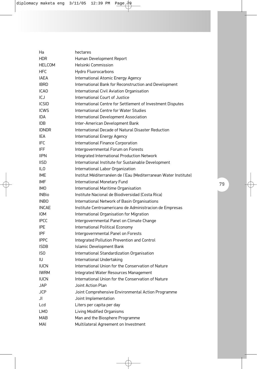| Ha               | hectares                                                        |
|------------------|-----------------------------------------------------------------|
| HDR.             | Human Development Report                                        |
| <b>HELCOM</b>    | <b>Helsinki Commission</b>                                      |
| <b>HFC</b>       | Hydro Fluorocarbons                                             |
| <b>IAEA</b>      | International Atomic Energy Agency                              |
| <b>IBRD</b>      | International Bank for Reconstruction and Development           |
| <b>ICAO</b>      | International Civil Aviation Organisation                       |
| ICJ              | International Court of Justice                                  |
| <b>ICSID</b>     | International Centre for Settlement of Investment Disputes      |
| <b>ICWS</b>      | International Centre for Water Studies                          |
| <b>IDA</b>       | International Development Association                           |
| IDB.             | Inter-American Development Bank                                 |
| <b>IDNDR</b>     | International Decade of Natural Disaster Reduction              |
| <b>IFA</b>       | <b>International Energy Agency</b>                              |
| <b>IFC</b>       | International Finance Corporation                               |
| <b>IFF</b>       | Intergovernmental Forum on Forests                              |
| <b>IIPN</b>      | Integrated International Production Network                     |
| <b>IISD</b>      | International Institute for Sustainable Development             |
| ILO.             | International Labor Organization                                |
| <b>IME</b>       | Institut Méditerranéen de l'Eau (Mediterranean Water Institute) |
| <b>IMF</b>       | International Monetary Fund                                     |
| <b>IMO</b>       | International Maritime Organisation                             |
| <b>INBio</b>     | Institute Nacional de Biodiversidad (Costa Rica)                |
| INB <sub>0</sub> | International Network of Basin Organisations                    |
| <b>INCAE</b>     | Institute Centroamericano de Administracion de Empresas         |
| <b>IOM</b>       | International Organisation for Migration                        |
| <b>IPCC</b>      | Intergovernmental Panel on Climate Change                       |
| <b>IPE</b>       | International Political Economy                                 |
| IPF              | Intergovernmental Panel on Forests                              |
| <b>IPPC</b>      | Integrated Pollution Prevention and Control                     |
| <b>ISDB</b>      | Islamic Development Bank                                        |
| ISO              | International Standardization Organisation                      |
| IU               | International Undertaking                                       |
| <b>IUCN</b>      | International Union for the Conservation of Nature              |
| <b>IWRM</b>      | Integrated Water Resources Management                           |
| <b>IUCN</b>      | International Union for the Conservation of Nature              |
| JAP              | <b>Joint Action Plan</b>                                        |
| <b>JCP</b>       | Joint Comprehensive Environmental Action Programme              |
| JI               | Joint Implementation                                            |
| Lcd              | Liters per capita per day                                       |
| LM <sub>0</sub>  | <b>Living Modified Organisms</b>                                |
| <b>MAB</b>       | Man and the Biosphere Programme                                 |
| <b>MAI</b>       | Multilateral Agreement on Investment                            |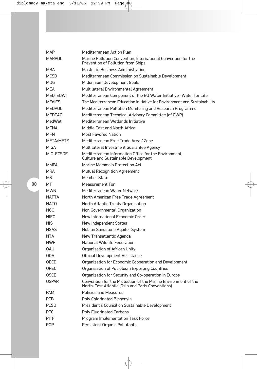| MAP           | Mediterranean Action Plan                                                                                          |
|---------------|--------------------------------------------------------------------------------------------------------------------|
| <b>MARPOL</b> | Marine Pollution Convention, International Convention for the<br>Prevention of Pollution from Ships                |
| <b>MBA</b>    | Master in Business Administration                                                                                  |
| <b>MCSD</b>   | Mediterranean Commission on Sustainable Development                                                                |
| <b>MDG</b>    | Millennium Development Goals                                                                                       |
| <b>MEA</b>    | Multilateral Environmental Agreement                                                                               |
| MED-EUWI      | Mediterranean Component of the EU Water Initiative - Water for Life                                                |
| <b>MEdIES</b> | The Mediterranean Education Initiative for Environment and Sustainability                                          |
| <b>MEDPOL</b> | Mediterranean Pollution Monitoring and Research Programme                                                          |
| <b>MEDTAC</b> | Mediterranean Technical Advisory Committee (of GWP)                                                                |
| MedWet        | Mediterranean Wetlands Initiative                                                                                  |
| <b>MENA</b>   | Middle East and North Africa                                                                                       |
| <b>MFN</b>    | <b>Most Favored Nation</b>                                                                                         |
| MFTA/MFTZ     | Mediterranean Free Trade Area / Zone                                                                               |
| <b>MIGA</b>   | Multilateral Investment Guarantee Agency                                                                           |
| MIO-ECSDE     | Mediterranean Information Office for the Environment,<br><b>Culture and Sustainable Development</b>                |
| <b>MMPA</b>   | Marine Mammals Protection Act                                                                                      |
| <b>MRA</b>    | <b>Mutual Recognition Agreement</b>                                                                                |
| <b>MS</b>     | Member State                                                                                                       |
| MT            | <b>Measurement Ton</b>                                                                                             |
| <b>MWN</b>    | Mediterranean Water Network                                                                                        |
| NAFTA         | North American Free Trade Agreement                                                                                |
| <b>NATO</b>   | North Atlantic Treaty Organisation                                                                                 |
| NGO           | Non Governmental Organization                                                                                      |
| <b>NIEO</b>   | New International Economic Order                                                                                   |
| <b>NIS</b>    | New Independent States                                                                                             |
| <b>NSAS</b>   | Nubian Sandstone Aquifer System                                                                                    |
| <b>NTA</b>    | New Transatlantic Agenda                                                                                           |
| <b>NWF</b>    | National Wildlife Federation                                                                                       |
| <b>OAU</b>    | Organisation of African Unity                                                                                      |
| <b>ODA</b>    | Official Development Assistance                                                                                    |
| <b>OECD</b>   | Organization for Economic Cooperation and Development                                                              |
| <b>OPEC</b>   | Organisation of Petroleum Exporting Countries                                                                      |
| <b>OSCE</b>   | Organization for Security and Co-operation in Europe                                                               |
| <b>OSPAR</b>  | Convention for the Protection of the Marine Environment of the<br>North-East Atlantic (Oslo and Paris Conventions) |
| PAM           | Policies and Measures                                                                                              |
| PCB           | <b>Poly Chlorinated Biphenyls</b>                                                                                  |
| <b>PCSD</b>   | President's Council on Sustainable Development                                                                     |
| <b>PFC</b>    | <b>Poly Fluorinated Carbons</b>                                                                                    |
| PITF          | Program Implementation Task Force                                                                                  |
| POP           | Persistent Organic Pollutants                                                                                      |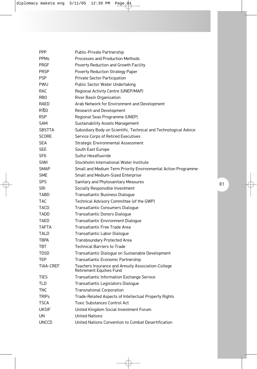| <b>PPP</b>       | Public-Private Partnership                                                            |
|------------------|---------------------------------------------------------------------------------------|
| <b>PPMs</b>      | <b>Processes and Production Methods</b>                                               |
| <b>PRGF</b>      | <b>Poverty Reduction and Growth Facility</b>                                          |
| <b>PRSP</b>      | <b>Poverty Reduction Strategy Paper</b>                                               |
| <b>PSP</b>       | <b>Private Sector Participation</b>                                                   |
| <b>PWU</b>       | Public Sector Water Undertaking                                                       |
| <b>RAC</b>       | Regional Activity Centre (UNEP/MAP)                                                   |
| RBO.             | River Basin Organisation                                                              |
| RAFD             | Arab Network for Environment and Development                                          |
| R <sup>®D</sup>  | Research and Development                                                              |
| <b>RSP</b>       | Regional Seas Programme (UNEP)                                                        |
| <b>SAM</b>       | <b>Sustainability Assets Management</b>                                               |
| <b>SBSTTA</b>    | Subsidiary Body on Scientific, Technical and Technological Advice                     |
| SCORE            | Service Corps of Retired Executives                                                   |
| <b>SEA</b>       | <b>Strategic Environmental Assessment</b>                                             |
| <b>SEE</b>       | South East Europe                                                                     |
| SF <sub>6</sub>  | Sulfur Hexafluoride                                                                   |
| SIWI             | Stockholm International Water Institute                                               |
| <b>SMAP</b>      | Small and Medium Term Priority Environmental Action Programme                         |
| <b>SME</b>       | Small and Medium-Sized Enterprise                                                     |
| <b>SPS</b>       | Sanitary and Phytosanitary Measures                                                   |
| SRI              | Socially Responsible Investment                                                       |
| TABD             | <b>Transatlantic Business Dialogue</b>                                                |
| TAC              | Technical Advisory Committee (of the GWP)                                             |
| TACD             | <b>Transatlantic Consumers Dialogue</b>                                               |
| TADD             | <b>Transatlantic Donors Dialoque</b>                                                  |
| TAED             | <b>Transatlantic Environment Dialoque</b>                                             |
| <b>TAFTA</b>     | Transatlantic Free Trade Area                                                         |
| TALD             | Transatlantic Labor Dialogue                                                          |
| TBPA             | <b>Transboundary Protected Area</b>                                                   |
| TBT              | <b>Technical Barriers to Trade</b>                                                    |
| TDSD             | Transatlantic Dialogue on Sustainable Development                                     |
| TEP              | Transatlantic Economic Partnership                                                    |
| <b>TIAA-CREF</b> | Teachers Insurance and Annuity Association-College<br><b>Retirement Equities Fund</b> |
| TIES             | Transatlantic Information Exchange Service                                            |
| TLD              | Transatlantic Legislators Dialogue                                                    |
| <b>TNC</b>       | <b>Transnational Corporation</b>                                                      |
| <b>TRIPs</b>     | Trade-Related Aspects of Intellectual Property Rights                                 |
| TSCA             | <b>Toxic Substances Control Act</b>                                                   |
| <b>UKSIF</b>     | United Kingdom Social Investment Forum                                                |
| UN               | <b>United Nations</b>                                                                 |
| <b>UNCCD</b>     | United Nations Convention to Combat Desertification                                   |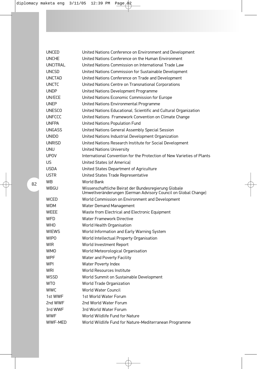| <b>UNCED</b>   | United Nations Conference on Environment and Development                                                               |
|----------------|------------------------------------------------------------------------------------------------------------------------|
| <b>UNCHE</b>   | United Nations Conference on the Human Environment                                                                     |
| UNCITRAI       | United Nations Commission on International Trade Law                                                                   |
| <b>UNCSD</b>   | United Nations Commission for Sustainable Development                                                                  |
| <b>UNCTAD</b>  | United Nations Conference on Trade and Development                                                                     |
| <b>UNCTC</b>   | United Nations Centre on Transnational Corporations                                                                    |
| <b>UNDP</b>    | United Nations Development Programme                                                                                   |
| UN/ECE         | United Nations Economic Commission for Europe                                                                          |
| <b>UNEP</b>    | United Nations Environmental Programme                                                                                 |
| <b>UNESCO</b>  | United Nations Educational, Scientific and Cultural Organization                                                       |
| <b>UNFCCC</b>  | United Nations Framework Convention on Climate Change                                                                  |
| <b>UNFPA</b>   | United Nations Population Fund                                                                                         |
| <b>UNGASS</b>  | United Nations General Assembly Special Session                                                                        |
| <b>UNIDO</b>   | United Nations Industrial Development Organization                                                                     |
| <b>UNRISD</b>  | United Nations Research Institute for Social Development                                                               |
| <b>UNU</b>     | <b>United Nations University</b>                                                                                       |
| <b>UPOV</b>    | International Convention for the Protection of New Varieties of Plants                                                 |
| US             | United States (of America)                                                                                             |
| <b>USDA</b>    | United States Department of Agriculture                                                                                |
| <b>USTR</b>    | United States Trade Representative                                                                                     |
| <b>WB</b>      | World Bank                                                                                                             |
| <b>WBGU</b>    | Wissenschaftliche Beirat der Bundesregierung Globale<br>Umweltveränderungen (German Advisory Council on Global Change) |
| <b>WCED</b>    | World Commission on Environment and Development                                                                        |
| <b>WDM</b>     | Water Demand Management                                                                                                |
| <b>WEEE</b>    | Waste from Electrical and Electronic Equipment                                                                         |
| <b>WFD</b>     | <b>Water Framework Directive</b>                                                                                       |
| <b>WHO</b>     | World Health Organisation                                                                                              |
| <b>WIEWS</b>   | World Information and Early Warning System                                                                             |
| <b>WIPO</b>    | World Intellectual Property Organisation                                                                               |
| <b>WIR</b>     | World Investment Report                                                                                                |
| <b>WMO</b>     | World Meteorological Organisation                                                                                      |
| <b>WPF</b>     | <b>Water and Poverty Facility</b>                                                                                      |
| <b>WPI</b>     | <b>Water Poverty Index</b>                                                                                             |
| WRI            | World Resources Institute                                                                                              |
| WSSD           | World Summit on Sustainable Development                                                                                |
| <b>WTO</b>     | <b>World Trade Organization</b>                                                                                        |
| <b>WWC</b>     | World Water Council                                                                                                    |
| 1st WWF        | 1st World Water Forum                                                                                                  |
| 2nd WWF        | 2nd World Water Forum                                                                                                  |
| 3rd WWF        | 3rd World Water Forum                                                                                                  |
| <b>WWF</b>     | World Wildlife Fund for Nature                                                                                         |
| <b>WWF-MED</b> | World Wildlife Fund for Nature-Mediterranean Programme                                                                 |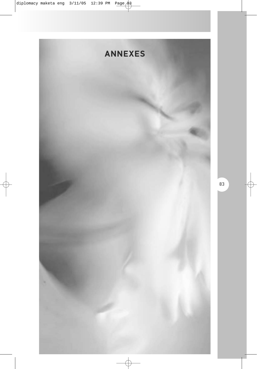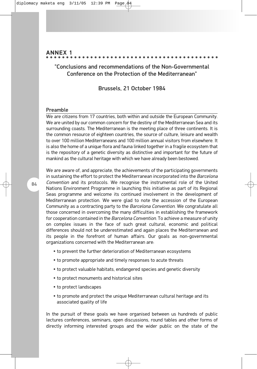# **ANNEX 1**

"Conclusions and recommendations of the Non-Governmental Conference on the Protection of the Mediterranean"

Brussels, 21 October 1984

### Preamble

We are citizens from 17 countries, both within and outside the European Community. We are united by our common concern for the destiny of the Mediterranean Sea and its surrounding coasts. The Mediterranean is the meeting place of three continents. It is the common resource of eighteen countries, the source of culture, leisure and wealth to over 100 million Mediterraneans and 100 million annual visitors from elsewhere. It is also the home of a unique flora and fauna linked together in a fragile ecosystem that is the repository of a genetic diversity as distinctive and important for the future of mankind as the cultural heritage with which we have already been bestowed.

We are aware of, and appreciate, the achievements of the participating governments in sustaining the effort to protect the Mediterranean incorporated into the Barcelona Convention and its protocols. We recognise the instrumental role of the United Nations Environment Programme in launching this initiative as part of its Regional Seas programme and welcome its continued involvement in the development of Mediterranean protection. We were glad to note the accession of the European Community as a contracting party to the Barcelona Convention. We congratulate all those concerned in overcoming the many difficulties in establishing the framework for cooperation contained in the Barcelona Convention. To achieve a measure of unity on complex issues in the face of such great cultural, economic and political differences should not be underestimated and again places the Mediterranean and its people in the forefront of human affairs. Our goals as non-governmental organizations concerned with the Mediterranean are:

- to prevent the further deterioration of Mediterranean ecosystems
- to promote appropriate and timely responses to acute threats
- to protect valuable habitats, endangered species and genetic diversity
- to protect monuments and historical sites
- to protect landscapes
- to promote and protect the unique Mediterranean cultural heritage and its associated quality of life

In the pursuit of these goals we have organised between us hundreds of public lectures conferences, seminars, open discussions, round tables and other forms of directly informing interested groups and the wider public on the state of the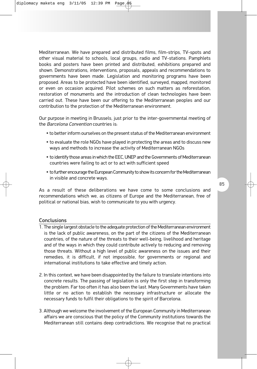Mediterranean. We have prepared and distributed films, film-strips, TV-spots and other visual material to schools, local groups, radio and TV-stations. Pamphlets books and posters have been printed and distributed, exhibitions prepared and shown. Demonstrations, interventions, proposals, appeals and recommendations to governments have been made. Legislation and monitoring programs have been proposed. Areas to be protected have been identified, surveyed, mapped, monitored or even on occasion acquired. Pilot schemes on such matters as reforestation, restoration of monuments and the introduction of clean technologies have been carried out. These have been our offering to the Mediterranean peoples and our contribution to the protection of the Mediterranean environment.

Our purpose in meeting in Brussels, just prior to the inter-governmental meeting of the Barcelona Convention countries is:

- to better inform ourselves on the present status of the Mediterranean environment
- to evaluate the role NGOs have played in protecting the areas and to discuss new ways and methods to increase the activity of Mediterranean NGOs
- to identify those areas in which the EEC, UNEP and the Governments of Mediterranean countries were failing to act or to act with sufficient speed
- to further encourage the European Community to show its concern for the Mediterranean in visible and concrete ways.

As a result of these deliberations we have come to some conclusions and recommendations which we, as citizens of Europe and the Mediterranean, free of political or national bias, wish to communicate to you with urgency.

### **Conclusions**

- 1. The single largest obstacle to the adequate protection of the Mediterranean environment is the lack of public awareness, on the part of the citizens of the Mediterranean countries, of the nature of the threats to their well-being, livelihood and heritage and of the ways in which they could contribute actively to reducing and removing those threats. Without a high level of public awareness on the issues and their remedies, it is difficult, if not impossible, for governments or regional and international institutions to take effective and timely action.
- 2. In this context, we have been disappointed by the failure to translate intentions into concrete results. The passing of legislation is only the first step in transforming the problem. Far too often it has also been the last. Many Governments have taken little or no action to establish the necessary infrastructure or allocate the necessary funds to fulfil their obligations to the spirit of Barcelona.
- 3. Although we welcome the involvement of the European Community in Mediterranean affairs we are conscious that the policy of the Community institutions towards the Mediterranean still contains deep contradictions. We recognise that no practical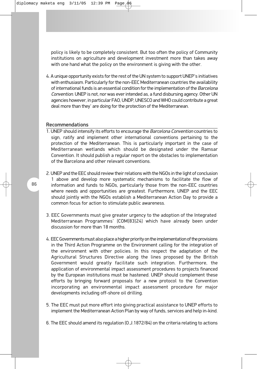policy is likely to be completely consistent. But too often the policy of Community institutions on agriculture and development investment more than takes away with one hand what the policy on the environment is giving with the other.

4. A unique opportunity exists for the rest of the UN system to support UNEP's initiatives with enthusiasm. Particularly for the non-EEC Mediterranean countries the availability of international funds is an essential condition for the implementation of the *Barcelona* Convention. UNEP is not, nor was ever intended as, a fund disbursing agency. Other UN agencies however, in particular FAO, UNDP, UNESCO and WHO could contribute a great deal more than they' are doing for the protection of the Mediterranean.

#### Recommendations

- 1. UNEP should intensify its efforts to encourage the Barcelona Convention countries to sign, ratify and implement other international conventions pertaining to the protection of the Mediterranean. This is particularly important in the case of Mediterranean wetlands which should be designated under the Ramsar Convention. It should publish a regular report on the obstacles to implementation of the Barcelona and other relevant conventions.
- 2. UNEP and the EEC should review their relations with the NGOs in the light of conclusion 1 above and develop more systematic mechanisms to facilitate the flow of information and funds to NGOs, particularly those from the non-EEC countries where needs and opportunities are greatest. Furthermore, UNEP and the EEC should jointly with the NGOs establish a Mediterranean Action Day to provide a common focus for action to stimulate public awareness.
- 3. EEC Governments must give greater urgency to the adoption of the Integrated Mediterranean Programmes' (COM(83)24) which have already been under discussion for more than 18 months.
- 4. EEC Governments must also place a higher priority on the implementation of the provisions in the Third Action Programme on the Environment calling for the integration of the environment with other policies. In this respect the adaptation of the Agricultural Structures Directive along the lines proposed by the British Government would greatly facilitate such integration. Furthermore, the application of environmental impact assessment procedures to projects financed by the European institutions must be hastened. UNEP should complement these efforts by bringing forward proposals for a new protocol to the Convention incorporating an environmental impact assessment procedure for major developments including off-shore oil drilling.
- 5. The EEC must put more effort into giving practical assistance to UNEP efforts to implement the Mediterranean Action Plan by way of funds, services and help in-kind.
- 6. The EEC should amend its regulation (O.J.1872/84) on the criteria relating to actions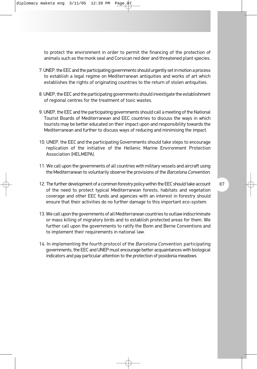to protect the environment in order to permit the financing of the protection of animals such as the monk seal and Corsican red deer and threatened plant species.

- 7. UNEP, the EEC and the participating governments should urgently set in motion a process to establish a legal regime on Mediterranean antiquities and works of art which establishes the rights of originating countries to the return of stolen antiquities.
- 8. UNEP, the EEC and the participating governments should investigate the establishment of regional centres for the treatment of toxic wastes.
- 9. UNEP, the EEC and the participating governments should call a meeting of the National Tourist Boards of Mediterranean and EEC countries to discuss the ways in which tourists may be better educated on their impact upon and responsibility towards the Mediterranean and further to discuss ways of reducing and minimising the impact.
- 10. UNEP, the EEC and the participating Governments should take steps to encourage replication of the initiative of the Hellenic Marine Environment Protection Association (HELMEPA).
- 11. We call upon the governments of all countries with military vessels and aircraft using the Mediterranean to voluntarily observe the provisions of the Barcelona Convention.
- 12. The further development of a common forestry policy within the EEC should take account of the need to protect typical Mediterranean forests, habitats and vegetation coverage and other EEC funds and agencies with an interest in forestry should ensure that their activities do no further damage to this important eco-system.
- 13. We call upon the governments of all Mediterranean countries to outlaw indiscriminate or mass killing of migratory birds and to establish protected areas for them. We further call upon the governments to ratify the Bonn and Berne Conventions and to implement their requirements in national law.
- 14. In implementing the fourth protocol of the Barcelona Convention, participating governments, the EEC and UNEP must encourage better acquaintances with biological indicators and pay particular attention to the protection of posidonia meadows.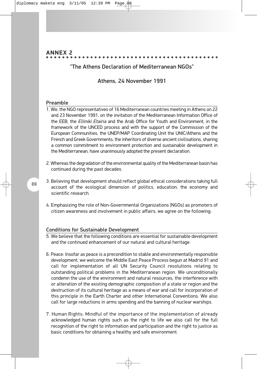# **ANNEX 2**

# "The Athens Declaration of Mediterranean NGOs"

# Athens, 24 November 1991

# Preamble

- 1. We, the NGO representatives of 16 Mediterranean countries meeting in Athens on 22 and 23 November 1991, on the invitation of the Mediterranean Information Office of the EEB, the Elliniki Etairia and the Arab Office for Youth and Environment, in the framework of the UNCED process and with the support of the Commission of the European Communities, the UNEP/MAP Coordinating Unit the UNIC/Athens and the French and Greek Governments, the inheritors of diverse ancient civilisations, sharing a common commitment to environment protection and sustainable development in the Mediterranean, have unanimously adopted the present declaration.
- 2. Whereas the degradation of the environmental quality of the Mediterranean basin has continued during the past decades.
- 3. Believing that development should reflect global ethical considerations taking full account of the ecological dimension of politics, education, the economy and scientific research.
- 4. Emphasizing the role of Non-Governmental Organizations (NGOs) as promoters of citizen awareness and involvement in public affairs, we agree on the following:

### Conditions for Sustainable Development

- 5. We believe that the following conditions are essential for sustainable development and the continued enhancement of our natural and cultural heritage.
- 6. Peace: Insofar as peace is a precondition to stable and environmentally responsible development, we welcome the Middle East Peace Process begun at Madrid 91 and call for implementation of all UN Security Council resolutions relating to outstanding political problems in the Mediterranean region. We unconditionally condemn the use of the environment and natural resources, the interference with or alteration of the existing demographic composition of a state or region and the destruction of its cultural heritage as a means of war and call for incorporation of this principle in the Earth Charter and other International Conventions. We also call for large reductions in arms spending and the banning of nuclear warships.
- 7. Human Rights: Mindful of the importance of the implementation of already acknowledged human rights such as the right to life we also call for the full recognition of the right to information and participation and the right to justice as basic conditions for obtaining a healthy and safe environment.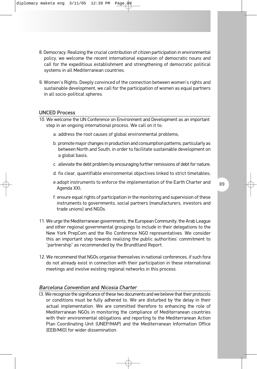- 8. Democracy: Realizing the crucial contribution of citizen participation in environmental policy, we welcome the recent international expansion of democratic nouns and call for the expeditious establishment and strengthening of democratic political systems in all Mediterranean countries.
- 9. Women's Rights: Deeply convinced of the connection between women's rights and sustainable development, we call for the participation of women as equal partners in all socio-political spheres.

# UNCED Process

- 10. We welcome the UN Conference on Environment and Development as an important step in an ongoing international process. We call on it to:
	- a. address the root causes of global environmental problems;
	- b. promote major changes in production and consumption patterns, particularly as between North and South, in order to facilitate sustainable development on a global basis;
	- c. alleviate the debt problem by encouraging further remissions of debt for nature;
	- d. fix clear, quantifiable environmental objectives linked to strict timetables;
	- e.adopt instruments to enforce the implementation of the Earth Charter and Agenda XXI;
	- f. ensure equal rights of participation in the monitoring and supervision of these instruments to governments, social partners (manufacturers, investors and trade unions) and NGOs.
- 11. We urge the Mediterranean governments, the European Community, the Arab League and other regional governmental groupings to include in their delegations to the New York PrepCom and the Rio Conference NGO representatives. We consider this an important step towards realizing the public authorities' commitment to "partnership" as recommended by the Brundtland Report.
- 12. We recommend that NGOs organise themselves in national conferences, if such fora do not already exist in connection with their participation in these international meetings and involve existing regional networks in this process.

### Barcelona Convention and Nicosia Charter

l3. We recognize the significance of these two documents and we believe that their protocols or conditions must be fully adhered to. We are disturbed by the delay in their actual implementation. We are committed therefore to enhancing the role of Mediterranean NGOs in monitoring the compliance of Mediterranean countries with their environmental obligations and reporting to the Mediterranean Action Plan Coordinating Unit (UNEP/MAP) and the Mediterranean Information Office (EEB/MIO) for wider dissemination.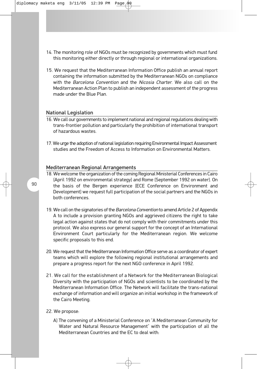- 14. The monitoring role of NGOs must be recognized by governments which must fund this monitoring either directly or through regional or international organizations.
- 15. We request that the Mediterranean Information Office publish an annual report containing the information submitted by the Mediterranean NGOs on compliance with the Barcelona Convention and the Nicosia Charter. We also call on the Mediterranean Action Plan to publish an independent assessment of the progress made under the Blue Plan.

### National Legislation

- 16. We call our governments to implement national and regional regulations dealing with trans-frontier pollution and particularly the prohibition of international transport of hazardous wastes.
- 17. We urge the adoption of national legislation requiring Environmental Impact Assessment studies and the Freedom of Access to Information on Environmental Matters.

### Mediterranean Regional Arrangements

- 18. We welcome the organization of the coming Regional Ministerial Conferences in Cairo (April 1992 on environmental strategy) and Rome (September 1992 on water). On the basis of the Bergen experience (ECE Conference on Environment and Development) we request full participation of the social partners and the NGOs in both conferences.
- 19. We call on the signatories of the Barcelona Convention to amend Article 2 of Appendix A to include a provision granting NGOs and aggrieved citizens the right to take legal action against states that do not comply with their commitments under this protocol. We also express our general support for the concept of an International Environment Court particularly for the Mediterranean region. We welcome specific proposals to this end.
- 20. We request that the Mediterranean Information Office serve as a coordinator of expert teams which will explore the following regional institutional arrangements and prepare a progress report for the next NGO conference in April 1992.
- 21. We call for the establishment of a Network for the Mediterranean Biological Diversity with the participation of NGOs and scientists to be coordinated by the Mediterranean Information Office. The Network will facilitate the trans-national exchange of information and will organize an initial workshop in the framework of the Cairo Meeting.
- 22. We propose:
	- A) The convening of a Ministerial Conference on "A Mediterranean Community for Water and Natural Resource Management" with the participation of all the Mediterranean Countries and the EC to deal with: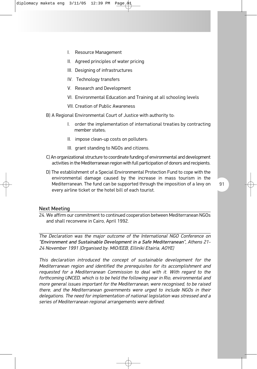- I. Resource Management
- II. Agreed principles of water pricing
- III. Designing of infrastructures
- IV. Technology transfers
- V. Research and Development
- VI. Environmental Education and Training at all schooling levels
- VII. Creation of Public Awareness
- B) A Regional Environmental Court of Justice with authority to:
	- I. order the implementation of international treaties by contracting member states;
	- II. impose clean-up costs on polluters:
	- III. grant standing to NGOs and citizens.
- C) An organizational structure to coordinate funding of environmental and development activities in the Mediterranean region with full participation of donors and recipients.
- D) The establishment of a Special Environmental Protection Fund to cope with the environmental damage caused by the increase in mass tourism in the Mediterranean. The fund can be supported through the imposition of a levy on every airline ticket or the hotel bill of each tourist.

Next Meeting

24. We affirm our commitment to continued cooperation between Mediterranean NGOs and shall reconvene in Cairo, April 1992.

The Declaration was the major outcome of the International NGO Conference on "Environment and Sustainable Development in a Safe Mediterranean", Athens 21- 24 November 1991 (Organised by: MIO/EEB, Elliniki Etairia, AOYE)

This declaration introduced the concept of sustainable development for the Mediterranean region and identified the prerequisites for its accomplishment and requested for a Mediterranean Commission to deal with it. With regard to the forthcoming UNCED, which is to be held the following year in Rio, environmental and more general issues important for the Mediterranean, were recognised, to be raised there, and the Mediterranean governments were urged to include NGOs in their delegations. The need for implementation of national legislation was stressed and a series of Mediterranean regional arrangements were defined.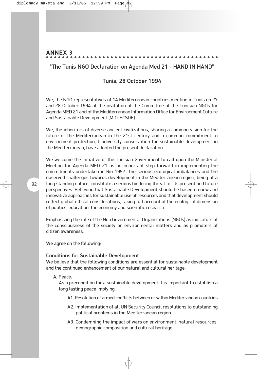# **ANNEX 3**

"The Tunis NGO Declaration on Agenda Med 21 - HAND IN HAND"

# Tunis, 28 October 1994

We, the NGO representatives of 14 Mediterranean countries meeting in Tunis on 27 and 28 October 1994 at the invitation of the Committee of the Tunisian NGOs for Agenda MED 21 and of the Mediterranean Information Office for Environment Culture and Sustainable Development (MIO-ECSDE).

We, the inheritors of diverse ancient civilizations, sharing a common vision for the future of the Mediterranean in the 21st century and a common commitment to environment protection, biodiversity conservation for sustainable development in the Mediterranean, have adopted the present declaration.

We welcome the initiative of the Tunisian Government to call upon the Ministerial Meeting for Agenda MED 21 as an important step forward in implementing the commitments undertaken in Rio 1992. The serious ecological imbalances and the observed challenges towards development in the Mediterranean region, being of a long standing nature, constitute a serious hindering threat for its present and future perspectives. Believing that Sustainable Development should be based on new and innovative approaches for sustainable use of resources and that development should reflect global ethical considerations, taking full account of the ecological dimension of politics, education, the economy and scientific research.

Emphasizing the role of the Non Governmental Organizations (NGOs) as indicators of the consciousness of the society on environmental matters and as promoters of citizen awareness,

We agree on the following:

### Conditions for Sustainable Development

We believe that the following conditions are essential for sustainable development and the continued enhancement of our natural and cultural heritage:

### A) Peace:

As a precondition for a sustainable development it is important to establish a long lasting peace implying:

- A1. Resolution of armed conflicts between or within Mediterranean countries
- A2. Implementation of all UN Security Council resolutions to outstanding political problems in the Mediterranean region
- A3. Condemning the impact of wars on environment, natural resources, demographic composition and cultural heritage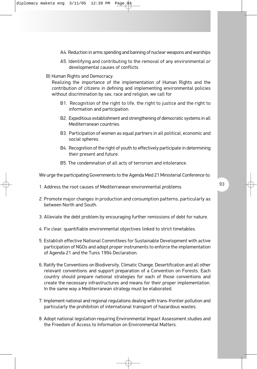- A4. Reduction in arms spending and banning of nuclear weapons and warships
- A5. Identifying and contributing to the removal of any environmental or developmental causes of conflicts
- B) Human Rights and Democracy:

Realizing the importance of the implementation of Human Rights and the contribution of citizens in defining and implementing environmental policies without discrimination by sex, race and religion, we call for

- B1. Recognition of the right to life, the right to justice and the right to information and participation.
- B2. Expeditious establishment and strengthening of democratic systems in all Mediterranean countries.
- B3. Participation of women as equal partners in all political, economic and social spheres.
- B4. Recognition of the right of youth to effectively participate in determining their present and future.
- B5. The condemnation of all acts of terrorism and intolerance.

We urge the participating Governments to the Agenda Med 21 Ministerial Conference to:

- 1. Address the root causes of Mediterranean environmental problems.
- 2. Promote major changes in production and consumption patterns, particularly as between North and South.
- 3. Alleviate the debt problem by encouraging further remissions of debt for nature.
- 4. Fix clear, quantifiable environmental objectives linked to strict timetables.
- 5. Establish effective National Committees for Sustainable Development with active participation of NGOs and adopt proper instruments to enforce the implementation of Agenda 21 and the Tunis 1994 Declaration.
- 6. Ratify the Conventions on Biodiversity, Climatic Change, Desertification and all other relevant conventions and support preparation of a Convention on Forests. Each country should prepare national strategies for each of those conventions and create the necessary infrastructures and means for their proper implementation. In the same way a Mediterranean strategy must be elaborated.
- 7. Implement national and regional regulations dealing with trans-frontier pollution and particularly the prohibition of international transport of hazardous wastes.
- 8. Adopt national legislation requiring Environmental Impact Assessment studies and the Freedom of Access to Information on Environmental Matters.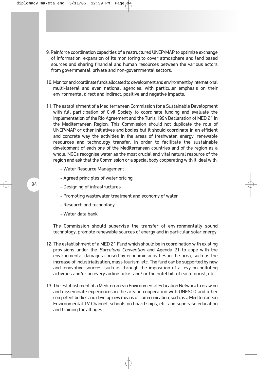- 9. Reinforce coordination capacities of a restructured UNEP/MAP to optimize exchange of information, expansion of its monitoring to cover atmosphere and land based sources and sharing financial and human resources between the various actors from governmental, private and non-governmental sectors.
- 10. Monitor and coordinate funds allocated to development and environment by international multi-lateral and even national agencies, with particular emphasis on their environmental direct and indirect, positive and negative impacts.
- 11. The establishment of a Mediterranean Commission for a Sustainable Development with full participation of Civil Society to coordinate funding and evaluate the implementation of the Rio Agreement and the Tunis 1994 Declaration of MED 21 in the Mediterranean Region. This Commission should not duplicate the role of UNEP/MAP or other initiatives and bodies but it should coordinate in an efficient and concrete way the activities in the areas of freshwater, energy, renewable resources and technology transfer, in order to facilitate the sustainable development of each one of the Mediterranean countries and of the region as a whole. NGOs recognise water as the most crucial and vital natural resource of the region and ask that the Commission or a special body cooperating with it, deal with:
	- Water Resource Management
	- Agreed principles of water pricing
	- Designing of infrastructures
	- Promoting wastewater treatment and economy of water
	- Research and technology
	- Water data bank

The Commission should supervise the transfer of environmentally sound technology, promote renewable sources of energy and in particular solar energy.

- 12. The establishment of a MED 21 Fund which should be in coordination with existing provisions under the Barcelona Convention and Agenda 21 to cope with the environmental damages caused by economic activities in the area, such as the increase of industrialisation, mass tourism, etc. The fund can be supported by new and innovative sources, such as through the imposition of a levy on polluting activities and/or on every airline ticket and/ or the hotel bill of each tourist, etc.
- 13. The establishment of a Mediterranean Environmental Education Network to draw on and disseminate experiences in the area in cooperation with UNESCO and other competent bodies and develop new means of communication, such as a Mediterranean Environmental TV Channel, schools on board ships, etc. and supervise education and training for all ages.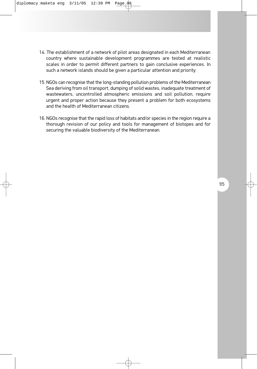- 14. The establishment of a network of pilot areas designated in each Mediterranean country where sustainable development programmes are tested at realistic scales in order to permit different partners to gain conclusive experiences. In such a network islands should be given a particular attention and priority.
- 15. NGOs can recognise that the long-standing pollution problems of the Mediterranean Sea deriving from oil transport, dumping of solid wastes, inadequate treatment of wastewaters, uncontrolled atmospheric emissions and soil pollution, require urgent and proper action because they present a problem for both ecosystems and the health of Mediterranean citizens.
- 16. NGOs recognise that the rapid loss of habitats and/or species in the region require a thorough revision of our policy and tools for management of biotopes and for securing the valuable biodiversity of the Mediterranean.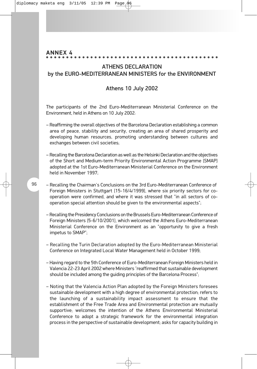# **ANNEX 4**

# ATHENS DECLARATION by the EURO-MEDITERRANEAN MINISTERS for the ENVIRONMENT

# Athens 10 July 2002

The participants of the 2nd Euro-Mediterranean Ministerial Conference on the Environment, held in Athens on 10 July 2002:

- Reaffirming the overall objectives of the Barcelona Declaration establishing a common area of peace, stability and security, creating an area of shared prosperity and developing human resources, promoting understanding between cultures and exchanges between civil societies;
- Recalling the Barcelona Declaration as well as the Helsinki Declaration and the objectives of the Short and Medium-term Priority Environmental Action Programme (SMAP) adopted at the 1st Euro-Mediterranean Ministerial Conference on the Environment held in November 1997;
- Recalling the Chairman's Conclusions on the 3rd Euro-Mediterranean Conference of Foreign Ministers in Stuttgart (15-16/4/1999), where six priority sectors for cooperation were confirmed, and where it was stressed that "in all sectors of cooperation special attention should be given to the environmental aspects";
- Recalling the Presidency Conclusions on the Brussels Euro-Mediterranean Conference of Foreign Ministers (5-6/10/2001), which welcomed the Athens Euro-Mediterranean Ministerial Conference on the Environment as an "opportunity to give a fresh impetus to SMAP";
- Recalling the Turin Declaration adopted by the Euro-Mediterranean Ministerial Conference on Integrated Local Water Management held in October 1999;
- Having regard to the 5th Conference of Euro-Mediterranean Foreign Ministers held in Valencia 22-23 April 2002 where Ministers "reaffirmed that sustainable development should be included among the guiding principles of the Barcelona Process";
- Noting that the Valencia Action Plan adopted by the Foreign Ministers foresees sustainable development with a high degree of environmental protection; refers to the launching of a sustainability impact assessment to ensure that the establishment of the Free Trade Area and Environmental protection are mutually supportive; welcomes the intention of the Athens Environmental Ministerial Conference to adopt a strategic framework for the environmental integration process in the perspective of sustainable development; asks for capacity building in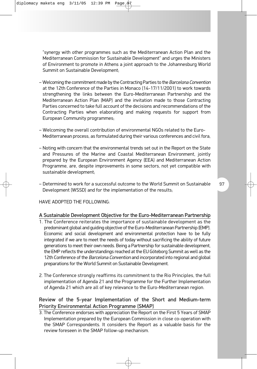"synergy with other programmes such as the Mediterranean Action Plan and the Mediterranean Commission for Sustainable Development" and urges the Ministers of Environment to promote in Athens a joint approach to the Johannesburg World Summit on Sustainable Development;

- Welcoming the commitment made by the Contracting Parties to the *Barcelona Convention* at the 12th Conference of the Parties in Monaco (14-17/11/2001) to work towards strengthening the links between the Euro-Mediterranean Partnership and the Mediterranean Action Plan (MAP) and the invitation made to those Contracting Parties concerned to take full account of the decisions and recommendations of the Contracting Parties when elaborating and making requests for support from European Community programmes;
- Welcoming the overall contribution of environmental NGOs related to the Euro-Mediterranean process, as formulated during their various conferences and civil fora,
- Noting with concern that the environmental trends set out in the Report on the State and Pressures of the Marine and Coastal Mediterranean Environment, jointly prepared by the European Environment Agency (EEA) and Mediterranean Action Programme, are, despite improvements in some sectors, not yet compatible with sustainable development;
- Determined to work for a successful outcome to the World Summit on Sustainable Development (WSSD) and for the implementation of the results;

### HAVE ADOPTED THE FOLLOWING:

# A Sustainable Development Objective for the Euro-Mediterranean Partnership

- 1. The Conference reiterates the importance of sustainable development as the predominant global and guiding objective of the Euro-Mediterranean Partnership (EMP). Economic and social development and environmental protection have to be fully integrated if we are to meet the needs of today without sacrificing the ability of future generations to meet their own needs. Being a Partnership for sustainable development, the EMP reflects the understandings reached at the EU Göteborg Summit as well as the 12th Conference of the Barcelona Convention and incorporated into regional and global preparations for the World Summit on Sustainable Development.
- 2. The Conference strongly reaffirms its commitment to the Rio Principles, the full implementation of Agenda 21 and the Programme for the Further Implementation of Agenda 21 which are all of key relevance to the Euro-Mediterranean region.

# Review of the 5-year Implementation of the Short and Medium-term Priority Environmental Action Programme (SMAP)

3. The Conference endorses with appreciation the Report on the First 5 Years of SMAP Implementation prepared by the European Commission in close co-operation with the SMAP Correspondents. It considers the Report as a valuable basis for the review foreseen in the SMAP follow-up mechanism.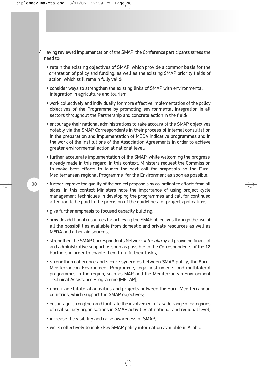- 4. Having reviewed implementation of the SMAP, the Conference participants stress the need to:
	- retain the existing objectives of SMAP, which provide a common basis for the orientation of policy and funding, as well as the existing SMAP priority fields of action, which still remain fully valid;
	- consider ways to strengthen the existing links of SMAP with environmental integration in agriculture and tourism;
	- work collectively and individually for more effective implementation of the policy objectives of the Programme by promoting environmental integration in all sectors throughout the Partnership and concrete action in the field;
	- encourage their national administrations to take account of the SMAP objectives notably via the SMAP Correspondents in their process of internal consultation in the preparation and implementation of MEDA indicative programmes and in the work of the institutions of the Association Agreements in order to achieve greater environmental action at national level;
	- further accelerate implementation of the SMAP, while welcoming the progress already made in this regard. In this context, Ministers request the Commission to make best efforts to launch the next call for proposals on the Euro-Mediterranean regional Programme for the Environment as soon as possible;
	- further improve the quality of the project proposals by co-ordinated efforts from all sides. In this context Ministers note the importance of using project cycle management techniques in developing the programmes and call for continued attention to be paid to the precision of the guidelines for project applications;
		- give further emphasis to focused capacity building;
		- provide additional resources for achieving the SMAP objectives through the use of all the possibilities available from domestic and private resources as well as MEDA and other aid sources;
		- strengthen the SMAP Correspondents Network inter alia by all providing financial and administrative support as soon as possible to the Correspondents of the 12 Partners in order to enable them to fulfil their tasks;
		- strengthen coherence and secure synergies between SMAP policy, the Euro-Mediterranean Environment Programme, legal instruments and multilateral programmes in the region, such as MAP and the Mediterranean Environment Technical Assistance Programme (METAP);
		- encourage bilateral activities and projects between the Euro-Mediterranean countries, which support the SMAP objectives;
		- encourage, strengthen and facilitate the involvement of a wide range of categories of civil society organisations in SMAP activities at national and regional level,
		- $\bullet$  increase the visibility and raise awareness of SMAP.
		- work collectively to make key SMAP policy information available in Arabic.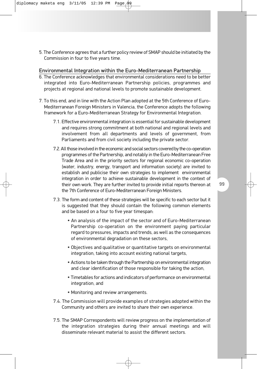5. The Conference agrees that a further policy review of SMAP should be initiated by the Commission in four to five years time.

# Environmental Integration within the Euro-Mediterranean Partnership

- 6. The Conference acknowledges that environmental considerations need to be better integrated into Euro-Mediterranean Partnership policies, programmes and projects at regional and national levels to promote sustainable development.
- 7. To this end, and in line with the Action Plan adopted at the 5th Conference of Euro-Mediterranean Foreign Ministers in Valencia, the Conference adopts the following framework for a Euro-Mediterranean Strategy for Environmental Integration.
	- 7.1. Effective environmental integration is essential for sustainable development and requires strong commitment at both national and regional levels and involvement from all departments and levels of government, from Parliaments and from civil society including the private sector.
	- 7.2. All those involved in the economic and social sectors covered by the co-operation programmes of the Partnership, and notably in the Euro-Mediterranean Free Trade Area and in the priority sectors for regional economic co-operation (water, industry, energy, transport and information society) are invited to establish and publicise their own strategies to implement environmental integration in order to achieve sustainable development in the context of their own work. They are further invited to provide initial reports thereon at the 7th Conference of Euro-Mediterranean Foreign Ministers.
	- 7.3. The form and content of these strategies will be specific to each sector but it is suggested that they should contain the following common elements and be based on a four to five year timespan:
		- An analysis of the impact of the sector and of Euro-Mediterranean Partnership co-operation on the environment paying particular regard to pressures, impacts and trends, as well as the consequences of environmental degradation on these sectors,
		- Objectives and qualitative or quantitative targets on environmental integration, taking into account existing national targets,
		- Actions to be taken through the Partnership on environmental integration and clear identification of those responsible for taking the action,
		- Timetables for actions and indicators of performance on environmental integration, and
		- Monitoring and review arrangements.
	- 7.4. The Commission will provide examples of strategies adopted within the Community and others are invited to share their own experience.
	- 7.5. The SMAP Correspondents will review progress on the implementation of the integration strategies during their annual meetings and will disseminate relevant material to assist the different sectors.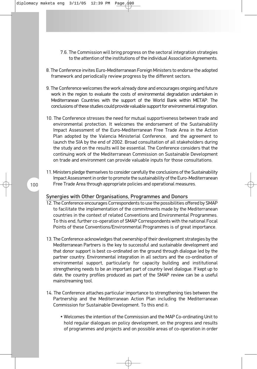- 7.6. The Commission will bring progress on the sectoral integration strategies to the attention of the institutions of the individual Association Agreements.
- 8. The Conference invites Euro-Mediterranean Foreign Ministers to endorse the adopted framework and periodically review progress by the different sectors.
- 9. The Conference welcomes the work already done and encourages ongoing and future work in the region to evaluate the costs of environmental degradation undertaken in Mediterranean Countries with the support of the World Bank within METAP. The conclusions of these studies could provide valuable support for environmental integration.
- 10. The Conference stresses the need for mutual supportiveness between trade and environmental protection. It welcomes the endorsement of the Sustainability Impact Assessment of the Euro-Mediterranean Free Trade Area in the Action Plan adopted by the Valencia Ministerial Conference, and the agreement to launch the SIA by the end of 2002. Broad consultation of all stakeholders during the study and on the results will be essential. The Conference considers that the continuing work of the Mediterranean Commission on Sustainable Development on trade and environment can provide valuable inputs for those consultations.
- 11. Ministers pledge themselves to consider carefully the conclusions of the Sustainability Impact Assessment in order to promote the sustainability of the Euro-Mediterranean Free Trade Area through appropriate policies and operational measures.

# Synergies with Other Organisations, Programmes and Donors

- 12. The Conference encourages Correspondents to use the possibilities offered by SMAP to facilitate the implementation of the commitments made by the Mediterranean countries in the context of related Conventions and Environmental Programmes. To this end, further co-operation of SMAP Correspondents with the national Focal Points of these Conventions/Environmental Programmes is of great importance.
- 13. The Conference acknowledges that ownership of their development strategies by the Mediterranean Partners is the key to successful and sustainable development and that donor support is best co-ordinated on the ground through dialogue led by the partner country. Environmental integration in all sectors and the co-ordination of environmental support, particularly for capacity building and institutional strengthening needs to be an important part of country level dialogue. If kept up to date, the country profiles produced as part of the SMAP review can be a useful mainstreaming tool.
- 14. The Conference attaches particular importance to strengthening ties between the Partnership and the Mediterranean Action Plan including the Mediterranean Commission for Sustainable Development. To this end it:
	- Welcomes the intention of the Commission and the MAP Co-ordinating Unit to hold regular dialogues on policy development, on the progress and results of programmes and projects and on possible areas of co-operation in order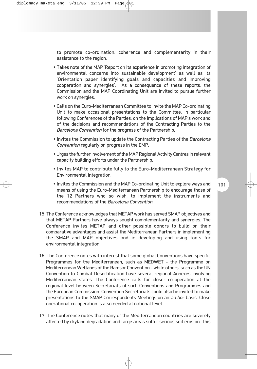to promote co-ordination, coherence and complementarity in their assistance to the region,

- Takes note of the MAP 'Report on its experience in promoting integration of environmental concerns into sustainable development' as well as its 'Orientation paper identifying goals and capacities and improving cooperation and synergies'. As a consequence of these reports, the Commission and the MAP Coordinating Unit are invited to pursue further work on synergies.
- Calls on the Euro-Mediterranean Committee to invite the MAP Co-ordinating Unit to make occasional presentations to the Committee, in particular following Conferences of the Parties, on the implications of MAP's work and of the decisions and recommendations of the Contracting Parties to the Barcelona Convention for the progress of the Partnership,
- Invites the Commission to update the Contracting Parties of the Barcelona Convention regularly on progress in the EMP,
- Urges the further involvement of the MAP Regional Activity Centres in relevant capacity building efforts under the Partnership,
- Invites MAP to contribute fully to the Euro-Mediterranean Strategy for Environmental Integration,
- Invites the Commission and the MAP Co-ordinating Unit to explore ways and means of using the Euro-Mediterranean Partnership to encourage those of the 12 Partners who so wish, to implement the instruments and recommendations of the Barcelona Convention.
- 15. The Conference acknowledges that METAP work has served SMAP objectives and that METAP Partners have always sought complementarity and synergies. The Conference invites METAP and other possible donors to build on their comparative advantages and assist the Mediterranean Partners in implementing the SMAP and MAP objectives and in developing and using tools for environmental integration.
- 16. The Conference notes with interest that some global Conventions have specific Programmes for the Mediterranean, such as MEDWET - the Programme on Mediterranean Wetlands of the Ramsar Convention - while others, such as the UN Convention to Combat Desertification have several regional Annexes involving Mediterranean states. The Conference calls for closer co-operation at the regional level between Secretariats of such Conventions and Programmes and the European Commission. Convention Secretariats could also be invited to make presentations to the SMAP Correspondents Meetings on an *ad hoc* basis. Close operational co-operation is also needed at national level.
- 17. The Conference notes that many of the Mediterranean countries are severely affected by dryland degradation and large areas suffer serious soil erosion. This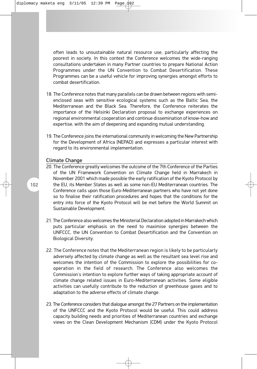often leads to unsustainable natural resource use, particularly affecting the poorest in society. In this context the Conference welcomes the wide-ranging consultations undertaken in many Partner countries to prepare National Action Programmes under the UN Convention to Combat Desertification. These Programmes can be a useful vehicle for improving synergies amongst efforts to combat desertification.

- 18. The Conference notes that many parallels can be drawn between regions with semienclosed seas with sensitive ecological systems such as the Baltic Sea, the Mediterranean and the Black Sea. Therefore, the Conference reiterates the importance of the Helsinki Declaration proposal to exchange experiences on regional environmental cooperation and continue dissemination of know-how and expertise, with the aim of deepening and expanding mutual understanding.
- 19. The Conference joins the international community in welcoming the New Partnership for the Development of Africa (NEPAD) and expresses a particular interest with regard to its environmental implementation.

#### Climate Change

- 20. The Conference greatly welcomes the outcome of the 7th Conference of the Parties of the UN Framework Convention on Climate Change held in Marrakech in November 2001 which made possible the early ratification of the Kyoto Protocol by the EU, its Member States as well as some non-EU Mediterranean countries. The Conference calls upon those Euro-Mediterranean partners who have not yet done so to finalise their ratification procedures and hopes that the conditions for the entry into force of the Kyoto Protocol will be met before the World Summit on Sustainable Development.
- 21. The Conference also welcomes the Ministerial Declaration adopted in Marrakech which puts particular emphasis on the need to maximise synergies between the UNFCCC, the UN Convention to Combat Desertification and the Convention on Biological Diversity.
- 22. The Conference notes that the Mediterranean region is likely to be particularly adversely affected by climate change as well as the resultant sea level rise and welcomes the intention of the Commission to explore the possibilities for cooperation in the field of research. The Conference also welcomes the Commission's intention to explore further ways of taking appropriate account of climate change related issues in Euro-Mediterranean activities. Some eligible activities can usefully contribute to the reduction of greenhouse gases and to adaptation to the adverse effects of climate change.
- 23. The Conference considers that dialogue amongst the 27 Partners on the implementation of the UNFCCC and the Kyoto Protocol would be useful. This could address capacity building needs and priorities of Mediterranean countries and exchange views on the Clean Development Mechanism (CDM) under the Kyoto Protocol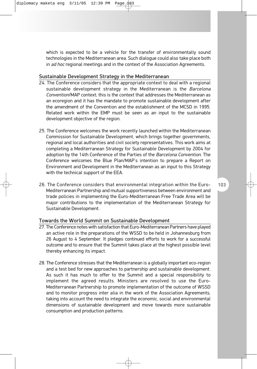which is expected to be a vehicle for the transfer of environmentally sound technologies in the Mediterranean area. Such dialogue could also take place both in ad hoc regional meetings and in the context of the Association Agreements.

### Sustainable Development Strategy in the Mediterranean

- 24. The Conference considers that the appropriate context to deal with a regional sustainable development strategy in the Mediterranean is the Barcelona Convention/MAP context; this is the context that addresses the Mediterranean as an ecoregion and it has the mandate to promote sustainable development after the amendment of the Convention and the establishment of the MCSD in 1995. Related work within the EMP must be seen as an input to the sustainable development objective of the region.
- 25. The Conference welcomes the work recently launched within the Mediterranean Commission for Sustainable Development, which brings together governments, regional and local authorities and civil society representatives. This work aims at completing a Mediterranean Strategy for Sustainable Development by 2004 for adoption by the 14th Conference of the Parties of the Barcelona Convention. The Conference welcomes the Blue Plan/MAP's intention to prepare a Report on Environment and Development in the Mediterranean as an input to this Strategy with the technical support of the EEA.
- 26. The Conference considers that environmental integration within the Euro-Mediterranean Partnership and mutual supportiveness between environment and trade policies in implementing the Euro-Mediterranean Free Trade Area will be major contributions to the implementation of the Mediterranean Strategy for Sustainable Development.

# Towards the World Summit on Sustainable Development

- 27. The Conference notes with satisfaction that Euro-Mediterranean Partners have played an active role in the preparations of the WSSD to be held in Johannesburg from 26 August to 4 September. It pledges continued efforts to work for a successful outcome and to ensure that the Summit takes place at the highest possible level thereby enhancing its impact.
- 28. The Conference stresses that the Mediterranean is a globally important eco-region and a test bed for new approaches to partnership and sustainable development. As such it has much to offer to the Summit and a special responsibility to implement the agreed results. Ministers are resolved to use the Euro-Mediterranean Partnership to promote implementation of the outcome of WSSD and to monitor progress inter alia in the work of the Association Agreements, taking into account the need to integrate the economic, social and environmental dimensions of sustainable development and move towards more sustainable consumption and production patterns.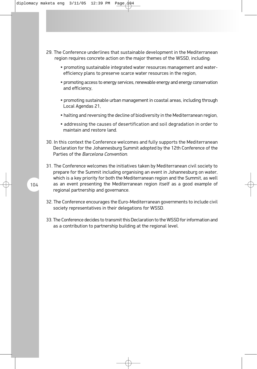- 29. The Conference underlines that sustainable development in the Mediterranean region requires concrete action on the major themes of the WSSD, including:
	- promoting sustainable integrated water resources management and waterefficiency plans to preserve scarce water resources in the region,
	- promoting access to energy services, renewable energy and energy conservation and efficiency,
	- promoting sustainable urban management in coastal areas, including through Local Agendas 21,
	- halting and reversing the decline of biodiversity in the Mediterranean region,
	- addressing the causes of desertification and soil degradation in order to maintain and restore land.
- 30. In this context the Conference welcomes and fully supports the Mediterranean Declaration for the Johannesburg Summit adopted by the 12th Conference of the Parties of the Barcelona Convention.
- 31. The Conference welcomes the initiatives taken by Mediterranean civil society to prepare for the Summit including organising an event in Johannesburg on water, which is a key priority for both the Mediterranean region and the Summit, as well as an event presenting the Mediterranean region itself as a good example of regional partnership and governance.
- 32. The Conference encourages the Euro-Mediterranean governments to include civil society representatives in their delegations for WSSD.
- 33. The Conference decides to transmit this Declaration to the WSSD for information and as a contribution to partnership building at the regional level.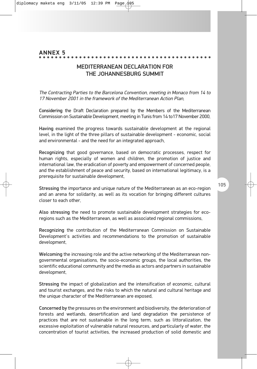# **ANNEX 5**

# MEDITERRANEAN DECLARATION FOR THE JOHANNESBURG SUMMIT

The Contracting Parties to the Barcelona Convention, meeting in Monaco from 14 to 17 November 2001 in the framework of the Mediterranean Action Plan,

Considering the Draft Declaration prepared by the Members of the Mediterranean Commission on Sustainable Development, meeting in Tunis from 14 to17 November 2000,

Having examined the progress towards sustainable development at the regional level, in the light of the three pillars of sustainable development - economic, social and environmental - and the need for an integrated approach,

Recognizing that good governance, based on democratic processes, respect for human rights, especially of women and children, the promotion of justice and international law, the eradication of poverty and empowerment of concerned people, and the establishment of peace and security, based on international legitimacy, is a prerequisite for sustainable development,

Stressing the importance and unique nature of the Mediterranean as an eco-region and an arena for solidarity, as well as its vocation for bringing different cultures closer to each other,

Also stressing the need to promote sustainable development strategies for ecoregions such as the Mediterranean, as well as associated regional commissions,

Recognizing the contribution of the Mediterranean Commission on Sustainable Development's activities and recommendations to the promotion of sustainable development,

Welcoming the increasing role and the active networking of the Mediterranean nongovernmental organisations, the socio-economic groups, the local authorities, the scientific educational community and the media as actors and partners in sustainable development,

Stressing the impact of globalization and the intensification of economic, cultural and tourist exchanges, and the risks to which the natural and cultural heritage and the unique character of the Mediterranean are exposed,

Concerned by the pressures on the environment and biodiversity, the deterioration of forests and wetlands, desertification and land degradation the persistence of practices that are not sustainable in the long term, such as littoralization, the excessive exploitation of vulnerable natural resources, and particularly of water, the concentration of tourist activities, the increased production of solid domestic and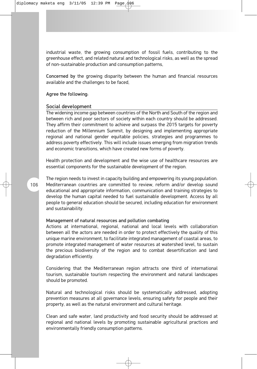industrial waste, the growing consumption of fossil fuels, contributing to the greenhouse effect, and related natural and technological risks, as well as the spread of non-sustainable production and consumption patterns,

Concerned by the growing disparity between the human and financial resources available and the challenges to be faced,

Agree the following:

### Social development

The widening income gap between countries of the North and South of the region and between rich and poor sectors of society within each country should be addressed. They affirm their commitment to achieve and surpass the 2015 targets for poverty reduction of the Millennium Summit, by designing and implementing appropriate regional and national gender equitable policies, strategies and programmes to address poverty effectively. This will include issues emerging from migration trends and economic transitions, which have created new forms of poverty.

Health protection and development and the wise use of healthcare resources are essential components for the sustainable development of the region.

The region needs to invest in capacity building and empowering its young population. Mediterranean countries are committed to review, reform and/or develop sound educational and appropriate information, communication and training strategies to develop the human capital needed to fuel sustainable development. Access by all people to general education should be secured, including education for environment and sustainability.

### Management of natural resources and pollution combating

Actions at international, regional, national and local levels with collaboration between all the actors are needed in order to protect effectively the quality of this unique marine environment, to facilitate integrated management of coastal areas, to promote integrated management of water resources at watershed level, to sustain the precious biodiversity of the region and to combat desertification and land degradation efficiently.

Considering that the Mediterranean region attracts one third of international tourism, sustainable tourism respecting the environment and natural landscapes should be promoted.

Natural and technological risks should be systematically addressed, adopting prevention measures at all governance levels, ensuring safety for people and their property, as well as the natural environment and cultural heritage.

Clean and safe water, land productivity and food security should be addressed at regional and national levels by promoting sustainable agricultural practices and environmentally friendly consumption patterns.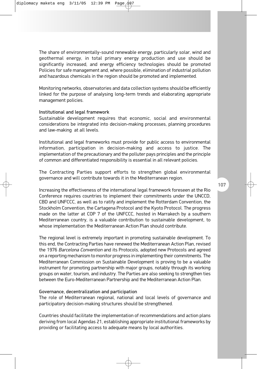The share of environmentally-sound renewable energy, particularly solar, wind and geothermal energy, in total primary energy production and use should be significantly increased, and energy efficiency technologies should be promoted Policies for safe management and, where possible, elimination of industrial pollution and hazardous chemicals in the region should be promoted and implemented.

Monitoring networks, observatories and data collection systems should be efficiently linked for the purpose of analysing long-term trends and elaborating appropriate management policies.

#### Institutional and legal framework

Sustainable development requires that economic, social and environmental considerations be integrated into decision-making processes, planning procedures and law-making at all levels.

Institutional and legal frameworks must provide for public access to environmental information, participation in decision-making and access to justice. The implementation of the precautionary and the polluter pays principles and the principle of common and differentiated responsibility is essential in all relevant policies.

The Contracting Parties support efforts to strengthen global environmental governance and will contribute towards it in the Mediterranean region.

Increasing the effectiveness of the international legal framework foreseen at the Rio Conference requires countries to implement their commitments under the UNCCD, CBD and UNFCCC, as well as to ratify and implement the Rotterdam Convention, the Stockholm Convention, the Cartagena Protocol and the Kyoto Protocol. The progress made on the latter at COP 7 of the UNFCCC, hosted in Marrakech by a southern Mediterranean country, is a valuable contribution to sustainable development, to whose implementation the Mediterranean Action Plan should contribute.

The regional level is extremely important in promoting sustainable development. To this end, the Contracting Parties have renewed the Mediterranean Action Plan, revised the 1976 Barcelona Convention and its Protocols, adopted new Protocols and agreed on a reporting mechanism to monitor progress in implementing their commitments. The Mediterranean Commission on Sustainable Development is proving to be a valuable instrument for promoting partnership with major groups, notably through its working groups on water, tourism, and industry. The Parties are also seeking to strengthen ties between the Euro-Mediterranean Partnership and the Mediterranean Action Plan.

#### Governance, decentralization and participation

The role of Mediterranean regional, national and local levels of governance and participatory decision-making structures should be strengthened.

Countries should facilitate the implementation of recommendations and action plans deriving from local Agendas 21, establishing appropriate institutional frameworks by providing or facilitating access to adequate means by local authorities.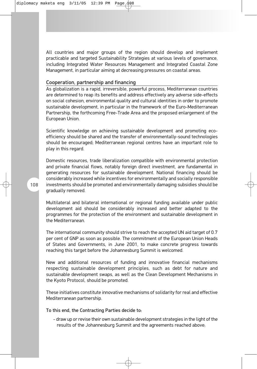All countries and major groups of the region should develop and implement practicable and targeted Sustainability Strategies at various levels of governance, including Integrated Water Resources Management and Integrated Coastal Zone Management, in particular aiming at decreasing pressures on coastal areas.

#### Cooperation, partnership and financing

As globalization is a rapid, irreversible, powerful process, Mediterranean countries are determined to reap its benefits and address effectively any adverse side-effects on social cohesion, environmental quality and cultural identities in order to promote sustainable development, in particular in the framework of the Euro-Mediterranean Partnership, the forthcoming Free-Trade Area and the proposed enlargement of the European Union.

Scientific knowledge on achieving sustainable development and promoting ecoefficiency should be shared and the transfer of environmentally-sound technologies should be encouraged; Mediterranean regional centres have an important role to play in this regard.

Domestic resources, trade liberalization compatible with environmental protection and private financial flows, notably foreign direct investment, are fundamental in generating resources for sustainable development. National financing should be considerably increased while incentives for environmentally and socially responsible investments should be promoted and environmentally damaging subsidies should be gradually removed.

Multilateral and bilateral international or regional funding available under public development aid should be considerably increased and better adapted to the programmes for the protection of the environment and sustainable development in the Mediterranean.

The international community should strive to reach the accepted UN aid target of 0.7 per cent of GNP as soon as possible. The commitment of the European Union Heads of States and Governments, in June 2001, to make concrete progress towards reaching this target before the Johannesburg Summit is welcomed.

New and additional resources of funding and innovative financial mechanisms respecting sustainable development principles, such as debt for nature and sustainable development swaps, as well as the Clean Development Mechanisms in the Kyoto Protocol, should be promoted.

These initiatives constitute innovative mechanisms of solidarity for real and effective Mediterranean partnership.

To this end, the Contracting Parties decide to:

- draw up or revise their own sustainable development strategies in the light of the results of the Johannesburg Summit and the agreements reached above;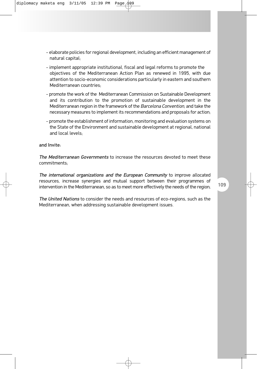- elaborate policies for regional development, including an efficient management of natural capital;
- implement appropriate institutional, fiscal and legal reforms to promote the objectives of the Mediterranean Action Plan as renewed in 1995, with due attention to socio-economic considerations particularly in eastern and southern Mediterranean countries;
- promote the work of the Mediterranean Commission on Sustainable Development and its contribution to the promotion of sustainable development in the Mediterranean region in the framework of the Barcelona Convention, and take the necessary measures to implement its recommendations and proposals for action;
- promote the establishment of information, monitoring and evaluation systems on the State of the Environment and sustainable development at regional, national and local levels;

and Invite:

The Mediterranean Governments to increase the resources devoted to meet these commitments;

The international organizations and the European Community to improve allocated resources, increase synergies and mutual support between their programmes of intervention in the Mediterranean, so as to meet more effectively the needs of the region;

The United Nations to consider the needs and resources of eco-regions, such as the Mediterranean, when addressing sustainable development issues.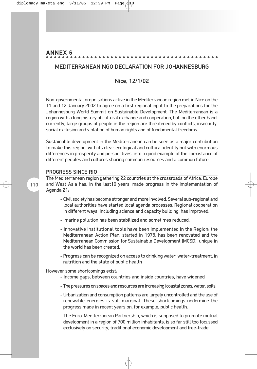# MEDITERRANEAN NGO DECLARATION FOR JOHANNESBURG

# Nice, 12/1/02

Non-governmental organisations active in the Mediterranean region met in Nice on the 11 and 12 January 2002 to agree on a first regional input to the preparations for the Johannesburg World Summit on Sustainable Development. The Mediterranean is a region with a long history of cultural exchange and cooperation, but, on the other hand, currently, large groups of people in the region are threatened by conflicts, insecurity, social exclusion and violation of human rights and of fundamental freedoms.

Sustainable development in the Mediterranean can be seen as a major contribution to make this region, with its clear ecological and cultural identity but with enormous differences in prosperity and perspectives, into a good example of the coexistance of different peoples and cultures sharing common resources and a common future.

## PROGRESS SINCE RIO

The Mediterranean region gathering 22 countries at the crossroads of Africa, Europe and West Asia has, in the last10 years, made progress in the implementation of Agenda 21:

- Civil society has become stronger and more involved. Several sub-regional and local authorities have started local agenda processes. Regional cooperation in different ways, including science and capacity building, has improved.
- marine pollution has been stabilized and sometimes reduced,
- innovative institutional tools have been implemented in the Region: the Mediterranean Action Plan, started in 1975, has been renovated and the Mediterranean Commission for Sustainable Development (MCSD), unique in the world has been created.
- Progress can be recognized on access to drinking water, water-treatment, in nutrition and the state of public health

However some shortcomings exist:

- Income gaps, between countries and inside countries, have widened
- The pressures on spaces and resources are increasing (coastal zones, water, soils),
- Urbanization and consumption patterns are largely uncontrolled and the use of renewable energies is still marginal. These shortcomings undermine the progress made in recent years on, for example, public health.
- The Euro-Mediterranean Partnership, which is supposed to promote mutual development in a region of 700 million inhabitants, is so far still too focussed exclusively on security, traditional economic development and free-trade.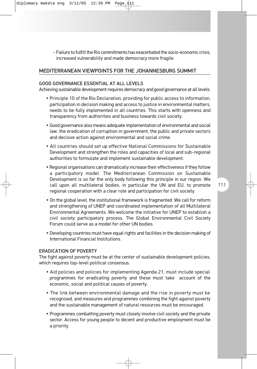- Failure to fulfill the Rio commitments has exacerbated the socio-economic crisis, increased vulnerability and made democracy more fragile.

## MEDITERRANEAN VIEWPOINTS FOR THE JOHANNESBURG SUMMIT

## GOOD GOVERNANCE ESSENTIAL AT ALL LEVELS

Achieving sustainable development requires democracy and good governance at all levels.

- Principle 10 of the Rio Declaration, providing for public access to information, participation in decision making and access to justice in environmental matters, needs to be fully implemented in all countries. This starts with openness and transparency from authorities and business towards civil society.
- ñ Good governance also means adequate implementation of environmental and social law, the eradication of corruption in government, the public and private sectors and decisive action against environmental and social crime.
- All countries should set up effective National Commissions for Sustainable Development and strengthen the roles and capacities of local and sub-regional authorities to formulate and implement sustainable development.
- Regional organisations can dramatically increase their effectiveness if they follow a participatory model. The Mediterranean Commission on Sustainable Development is so far the only body following this principle in our region. We call upon all multilateral bodies, in particular the UN and EU, to promote regional cooperation with a clear role and participation for civil society.
- On the global level, the institutional framework is fragmented. We call for reform and strengthening of UNEP and coordinated implementation of all Multilateral Environmental Agreements. We welcome the initiative for UNEP to establish a civil society participatory process. The Global Environmental Civil Society Forum could serve as a model for other UN bodies.
- Developing countries must have equal rights and facilities in the decision making of International Financial Institutions.

## ERADICATION OF POVERTY

The fight against poverty must be at the center of sustainable development policies, which requires top-level political consensus.

- Aid policies and policies for implementing Agenda 21, must include special programmes for eradicating poverty and these must take account of the economic, social and political causes of poverty.
- The link between environmental damage and the rise in poverty must be recognised, and measures and programmes combining the fight against poverty and the sustainable management of natural resources must be encouraged.
- Programmes combatting poverty must closely involve civil society and the private sector. Access for young people to decent and productive employment must be a priority.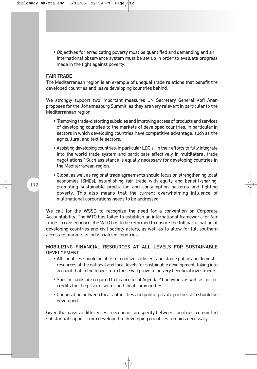• Objectives for erradicating poverty must be quantified and demanding and an international observance system must be set up in order to evaluate progress made in the fight against poverty.

#### FAIR TRADE

The Mediterranean region is an example of unequal trade relations that benefit the developed countries and leave developing countries behind.

We strongly support two important measures UN Secretary General Kofi Anan proposes for the Johannesburg Summit, as they are very relevant in particular to the Mediterranean region:

- "Removing trade-distorting subsidies and improving access of products and services of developing countries to the markets of developed countries, in particular in sectors in which developing countries have competitive advantage, such as the agricultural and textile sectors.
- Assisting developing countries, in particular LDC's, in their efforts to fully integrate into the world trade system and participate effectively in multilateral trade negotiations." Such assistance is equally necessary for developing countries in the Mediterranean region.
- Global as well as regional trade agreements should focus on strengthening local economies (SMEs), establishing fair trade with equity and benefit-sharing, promoting sustainable production and consumption patterns and fighting poverty. This also means that the current overwhelming influence of multinational corporations needs to be addressed.

We call for the WSSD to recognize the need for a convention on Corporate Accountability. The WTO has failed to establish an international framework for fair trade. In consequence, the WTO has to be reformed to ensure the full participation of developing countries and civil society actors, as well as to allow for full southern access to markets in industrialized countries.

MOBILIZING FINANCIAL RESOURCES AT ALL LEVELS FOR SUSTAINABLE DEVELOPMENT

- All countries should be able to mobilize sufficient and stable public and domestic resources at the national and local levels for sustainable development, taking into account that in the longer term these will prove to be very beneficial investments.
- Specific funds are required to finance local Agenda 21 activities as well as microcredits for the private sector and local communities.
- ñ Cooperation between local authorities and public-private partnership should be developed.

Given the massive differences in economic prosperity between countries, committed substantial support from developed to developing countries remains necessary: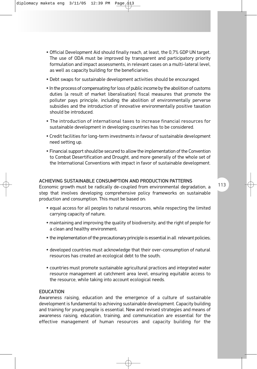- Official Development Aid should finally reach, at least, the 0,7% GDP UN target. The use of ODA must be improved by transparent and participatory priority formulation and impact assessments, in relevant cases on a multi-lateral level, as well as capacity building for the beneficiaries.
- Debt swaps for sustainable development activities should be encouraged.
- In the process of compensating for loss of public income by the abolition of customs duties (a result of market liberalisation) fiscal measures that promote the polluter pays principle, including the abolition of environmentally perverse subsidies and the introduction of innovative environmentally positive taxation should be introduced.
- The introduction of international taxes to increase financial resources for sustainable development in developing countries has to be considered.
- Credit facilities for long-term investments in favour of sustainable development need setting up.
- Financial support should be secured to allow the implementation of the Convention to Combat Desertification and Drought, and more generally of the whole set of the International Conventions with impact in favor of sustainable development.

## ACHIEVING SUSTAINABLE CONSUMPTION AND PRODUCTION PATTERNS

Economic growth must be radically de-coupled from environmental degradation, a step that involves developing comprehensive policy frameworks on sustainable production and consumption. This must be based on:

- equal access for all peoples to natural resources, while respecting the limited carrying capacity of nature;
- maintaining and improving the quality of biodiversity; and the right of people for a clean and healthy environment;
- the implementation of the precautionary principle is essential in all relevant policies;
- developed countries must acknowledge that their over-consumption of natural resources has created an ecological debt to the south;
- countries must promote sustainable agricultural practices and integrated water resource management at catchment area level, ensuring equitable access to the resource, while taking into account ecological needs.

## EDUCATION

Awareness raising, education and the emergence of a culture of sustainable development is fundamental to achieving sustainable development. Capacity building and training for young people is essential. New and revised strategies and means of awareness raising, education, training, and communication are essential for the effective management of human resources and capacity building for the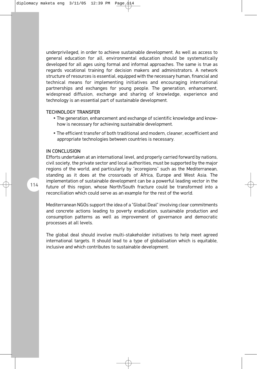underprivileged, in order to achieve sustainable development. As well as access to general education for all, environmental education should be systematically developed for all ages using formal and informal approaches. The same is true as regards vocational training for decision makers and administrators. A network structure of resources is essential, equipped with the necessary human, financial and technical means for implementing initiatives and encouraging international partnerships and exchanges for young people. The generation, enhancement, widespread diffusion, exchange and sharing of knowledge, experience and technology is an essential part of sustainable development.

#### TECHNOLOGY TRANSFER

- The generation, enhancement and exchange of scientific knowledge and knowhow is necessary for achieving sustainable development.
- The efficient transfer of both traditional and modern, cleaner, ecoefficient and appropriate technologies between countries is necessary.

#### IN CONCLUSION

Efforts undertaken at an international level, and properly carried forward by nations, civil society, the private sector and local authorities, must be supported by the major regions of the world, and particularly by "ecoregions" such as the Mediterranean, standing as it does at the crossroads of Africa, Europe and West Asia. The implementation of sustainable development can be a powerful leading vector in the future of this region, whose North/South fracture could be transformed into a reconciliation which could serve as an example for the rest of the world.

Mediterranean NGOs support the idea of a "Global Deal" involving clear commitments and concrete actions leading to poverty eradication, sustainable production and consumption patterns as well as improvement of governance and democratic processes at all levels.

The global deal should involve multi-stakeholder initiatives to help meet agreed international targets. It should lead to a type of globalisation which is equitable, inclusive and which contributes to sustainable development.